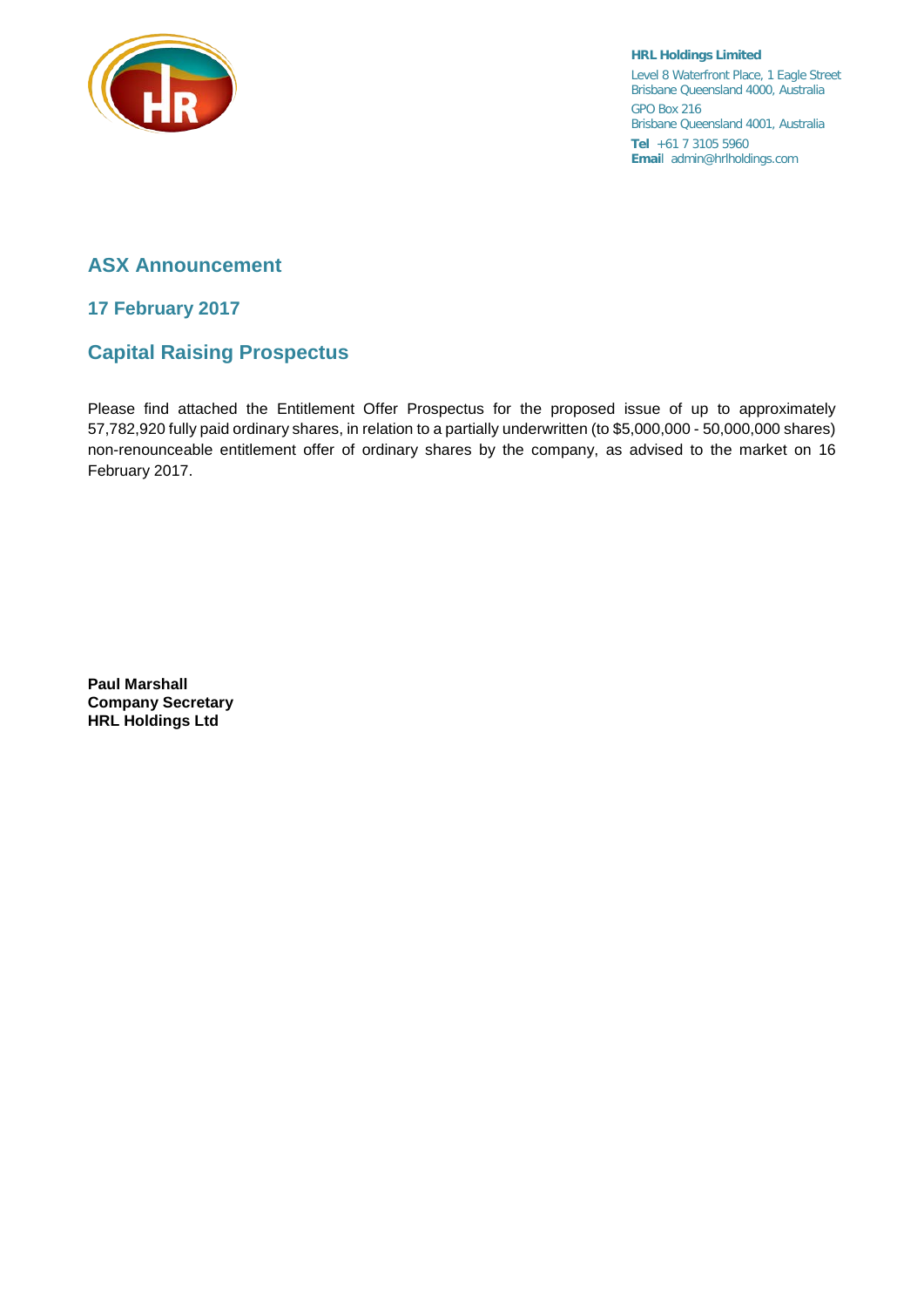

**HRL Holdings Limited** Level 8 Waterfront Place, 1 Eagle Street Brisbane Queensland 4000, Australia GPO Box 216 Brisbane Queensland 4001, Australia **Tel** +61 7 3105 5960 **Emai**l admin@hrlholdings.com

## **ASX Announcement**

**17 February 2017**

## **Capital Raising Prospectus**

Please find attached the Entitlement Offer Prospectus for the proposed issue of up to approximately 57,782,920 fully paid ordinary shares, in relation to a partially underwritten (to \$5,000,000 - 50,000,000 shares) non-renounceable entitlement offer of ordinary shares by the company, as advised to the market on 16 February 2017.

**Paul Marshall Company Secretary HRL Holdings Ltd**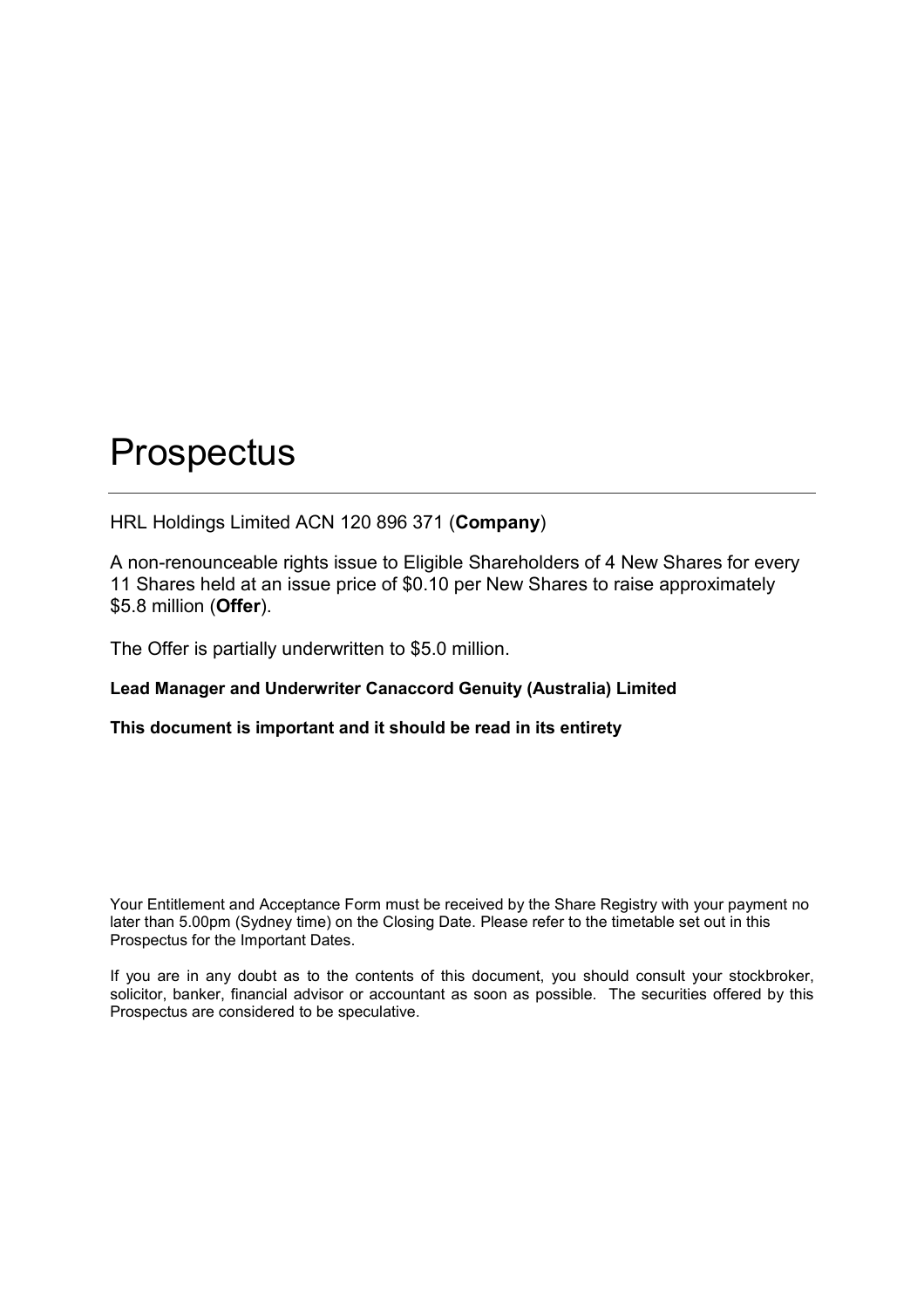HRL Holdings Limited ACN 120 896 371 (**Company**)

A non-renounceable rights issue to Eligible Shareholders of 4 New Shares for every 11 Shares held at an issue price of \$0.10 per New Shares to raise approximately \$5.8 million (**Offer**).

The Offer is partially underwritten to \$5.0 million.

## **Lead Manager and Underwriter Canaccord Genuity (Australia) Limited**

## **This document is important and it should be read in its entirety**

Your Entitlement and Acceptance Form must be received by the Share Registry with your payment no later than 5.00pm (Sydney time) on the Closing Date. Please refer to the timetable set out in this Prospectus for the Important Dates.

If you are in any doubt as to the contents of this document, you should consult your stockbroker, solicitor, banker, financial advisor or accountant as soon as possible. The securities offered by this Prospectus are considered to be speculative.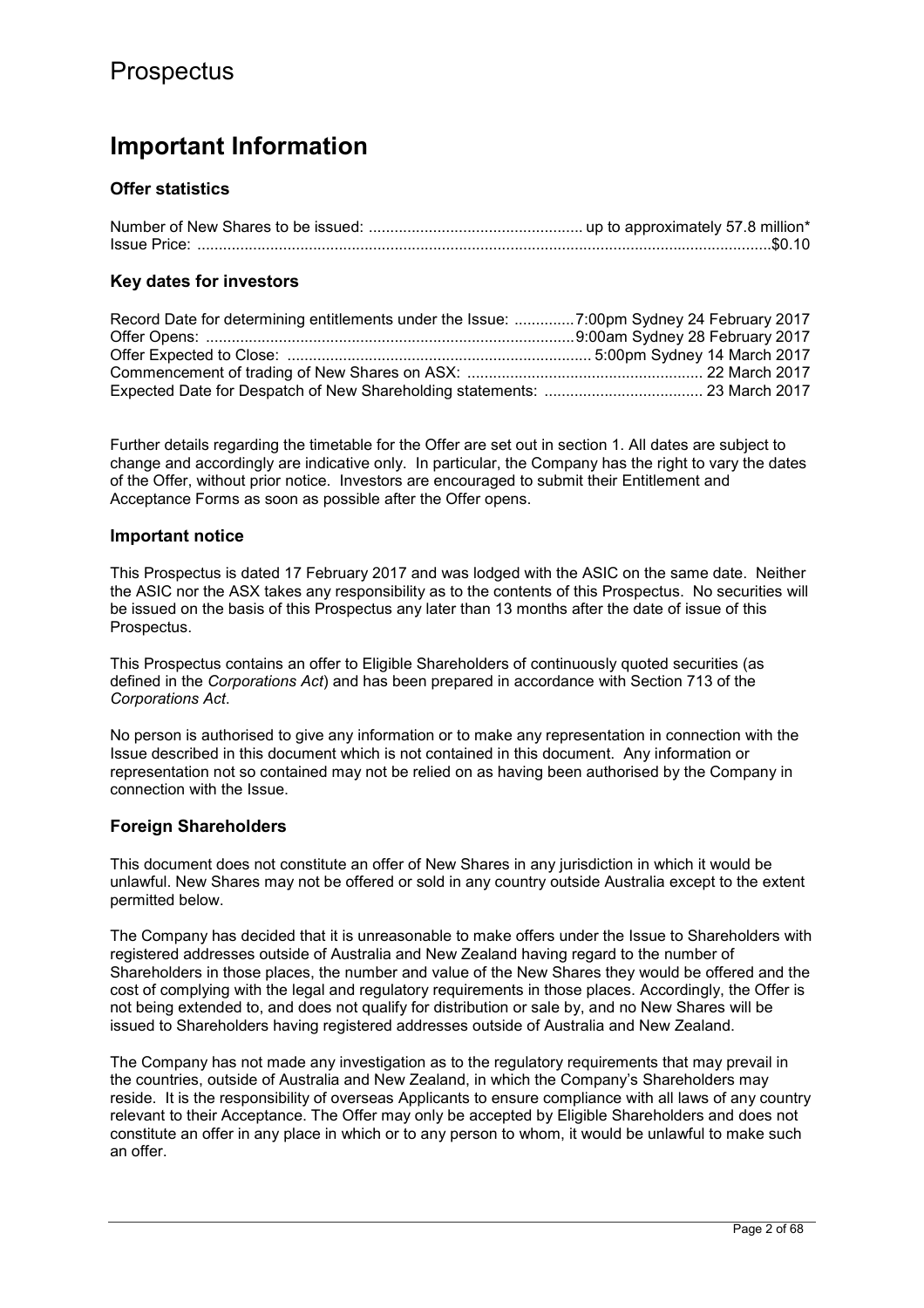## **Important Information**

## **Offer statistics**

## **Key dates for investors**

Further details regarding the timetable for the Offer are set out in section 1. All dates are subject to change and accordingly are indicative only. In particular, the Company has the right to vary the dates of the Offer, without prior notice. Investors are encouraged to submit their Entitlement and Acceptance Forms as soon as possible after the Offer opens.

### **Important notice**

This Prospectus is dated 17 February 2017 and was lodged with the ASIC on the same date. Neither the ASIC nor the ASX takes any responsibility as to the contents of this Prospectus. No securities will be issued on the basis of this Prospectus any later than 13 months after the date of issue of this Prospectus.

This Prospectus contains an offer to Eligible Shareholders of continuously quoted securities (as defined in the *Corporations Act*) and has been prepared in accordance with Section 713 of the *Corporations Act*.

No person is authorised to give any information or to make any representation in connection with the Issue described in this document which is not contained in this document. Any information or representation not so contained may not be relied on as having been authorised by the Company in connection with the Issue.

## **Foreign Shareholders**

This document does not constitute an offer of New Shares in any jurisdiction in which it would be unlawful. New Shares may not be offered or sold in any country outside Australia except to the extent permitted below.

The Company has decided that it is unreasonable to make offers under the Issue to Shareholders with registered addresses outside of Australia and New Zealand having regard to the number of Shareholders in those places, the number and value of the New Shares they would be offered and the cost of complying with the legal and regulatory requirements in those places. Accordingly, the Offer is not being extended to, and does not qualify for distribution or sale by, and no New Shares will be issued to Shareholders having registered addresses outside of Australia and New Zealand.

The Company has not made any investigation as to the regulatory requirements that may prevail in the countries, outside of Australia and New Zealand, in which the Company's Shareholders may reside. It is the responsibility of overseas Applicants to ensure compliance with all laws of any country relevant to their Acceptance. The Offer may only be accepted by Eligible Shareholders and does not constitute an offer in any place in which or to any person to whom, it would be unlawful to make such an offer.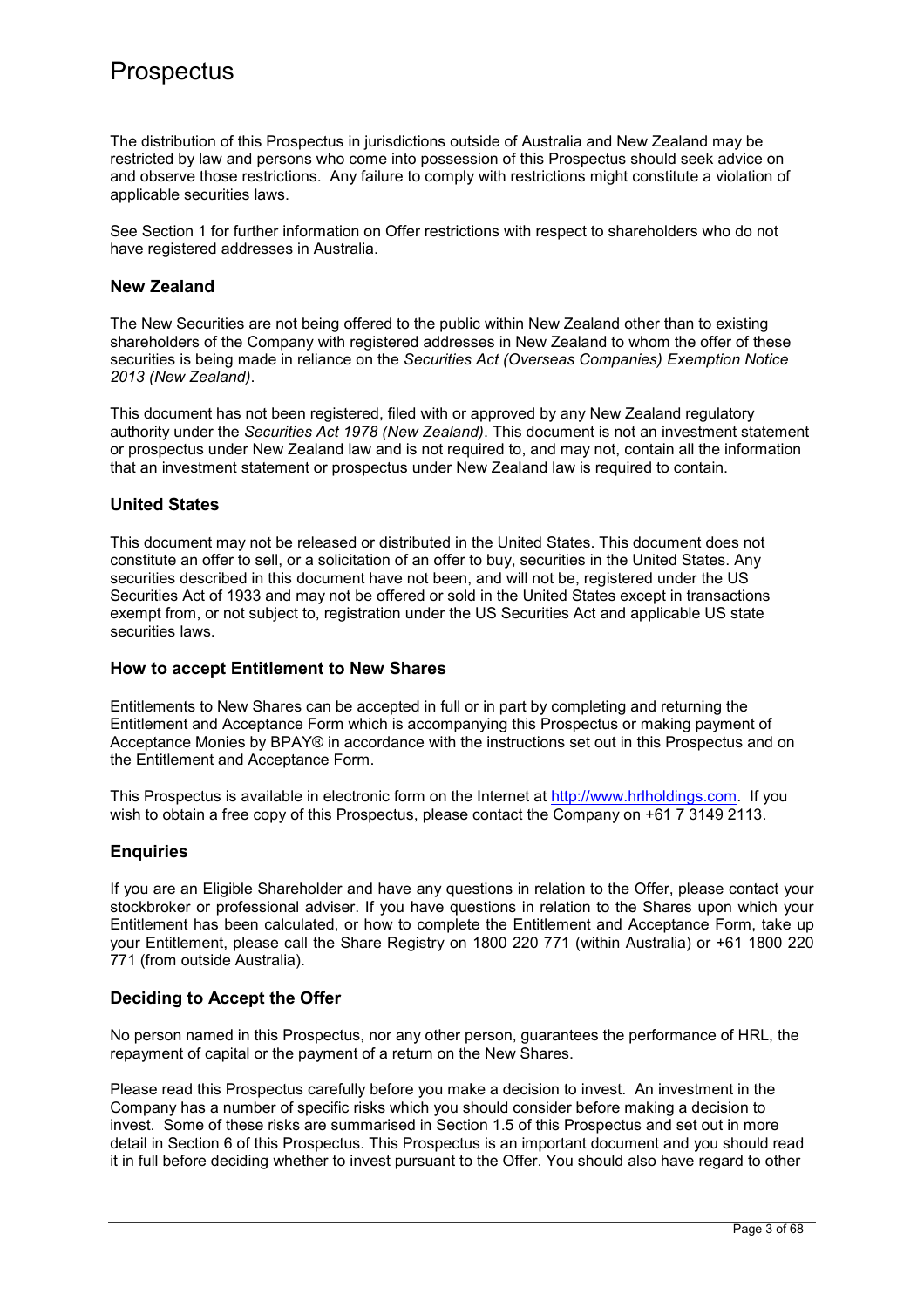The distribution of this Prospectus in jurisdictions outside of Australia and New Zealand may be restricted by law and persons who come into possession of this Prospectus should seek advice on and observe those restrictions. Any failure to comply with restrictions might constitute a violation of applicable securities laws.

See Section 1 for further information on Offer restrictions with respect to shareholders who do not have registered addresses in Australia.

## **New Zealand**

The New Securities are not being offered to the public within New Zealand other than to existing shareholders of the Company with registered addresses in New Zealand to whom the offer of these securities is being made in reliance on the *Securities Act (Overseas Companies) Exemption Notice 2013 (New Zealand)*.

This document has not been registered, filed with or approved by any New Zealand regulatory authority under the *Securities Act 1978 (New Zealand)*. This document is not an investment statement or prospectus under New Zealand law and is not required to, and may not, contain all the information that an investment statement or prospectus under New Zealand law is required to contain.

## **United States**

This document may not be released or distributed in the United States. This document does not constitute an offer to sell, or a solicitation of an offer to buy, securities in the United States. Any securities described in this document have not been, and will not be, registered under the US Securities Act of 1933 and may not be offered or sold in the United States except in transactions exempt from, or not subject to, registration under the US Securities Act and applicable US state securities laws.

## **How to accept Entitlement to New Shares**

Entitlements to New Shares can be accepted in full or in part by completing and returning the Entitlement and Acceptance Form which is accompanying this Prospectus or making payment of Acceptance Monies by BPAY® in accordance with the instructions set out in this Prospectus and on the Entitlement and Acceptance Form.

This Prospectus is available in electronic form on the Internet at http://www.hrlholdings.com. If you wish to obtain a free copy of this Prospectus, please contact the Company on +61 7 3149 2113.

## **Enquiries**

If you are an Eligible Shareholder and have any questions in relation to the Offer, please contact your stockbroker or professional adviser. If you have questions in relation to the Shares upon which your Entitlement has been calculated, or how to complete the Entitlement and Acceptance Form, take up your Entitlement, please call the Share Registry on 1800 220 771 (within Australia) or +61 1800 220 771 (from outside Australia).

## **Deciding to Accept the Offer**

No person named in this Prospectus, nor any other person, guarantees the performance of HRL, the repayment of capital or the payment of a return on the New Shares.

Please read this Prospectus carefully before you make a decision to invest. An investment in the Company has a number of specific risks which you should consider before making a decision to invest. Some of these risks are summarised in Section 1.5 of this Prospectus and set out in more detail in Section 6 of this Prospectus. This Prospectus is an important document and you should read it in full before deciding whether to invest pursuant to the Offer. You should also have regard to other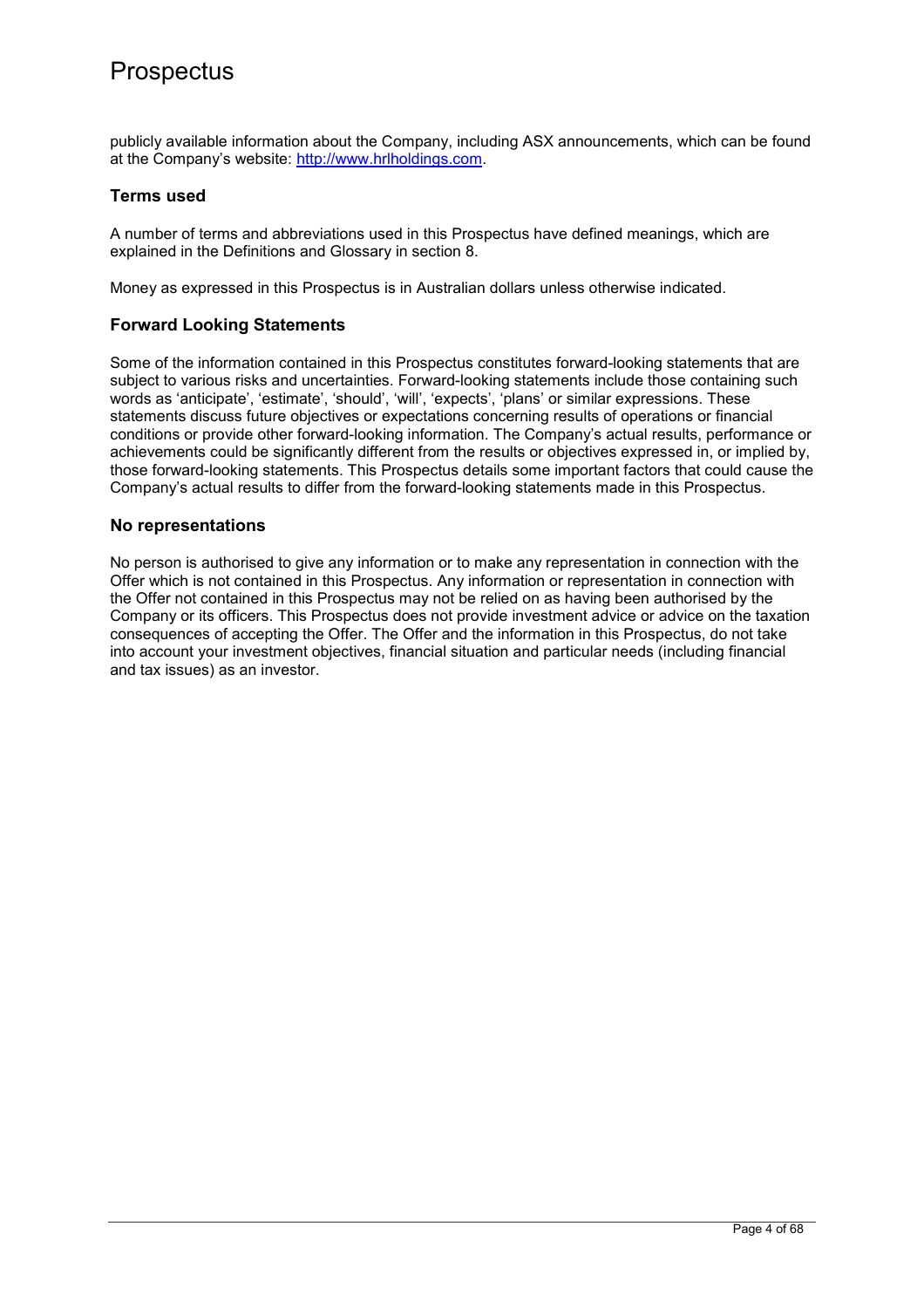publicly available information about the Company, including ASX announcements, which can be found at the Company's website: http://www.hrlholdings.com.

## **Terms used**

A number of terms and abbreviations used in this Prospectus have defined meanings, which are explained in the Definitions and Glossary in section 8.

Money as expressed in this Prospectus is in Australian dollars unless otherwise indicated.

## **Forward Looking Statements**

Some of the information contained in this Prospectus constitutes forward-looking statements that are subject to various risks and uncertainties. Forward-looking statements include those containing such words as 'anticipate', 'estimate', 'should', 'will', 'expects', 'plans' or similar expressions. These statements discuss future objectives or expectations concerning results of operations or financial conditions or provide other forward-looking information. The Company's actual results, performance or achievements could be significantly different from the results or objectives expressed in, or implied by, those forward-looking statements. This Prospectus details some important factors that could cause the Company's actual results to differ from the forward-looking statements made in this Prospectus.

## **No representations**

No person is authorised to give any information or to make any representation in connection with the Offer which is not contained in this Prospectus. Any information or representation in connection with the Offer not contained in this Prospectus may not be relied on as having been authorised by the Company or its officers. This Prospectus does not provide investment advice or advice on the taxation consequences of accepting the Offer. The Offer and the information in this Prospectus, do not take into account your investment objectives, financial situation and particular needs (including financial and tax issues) as an investor.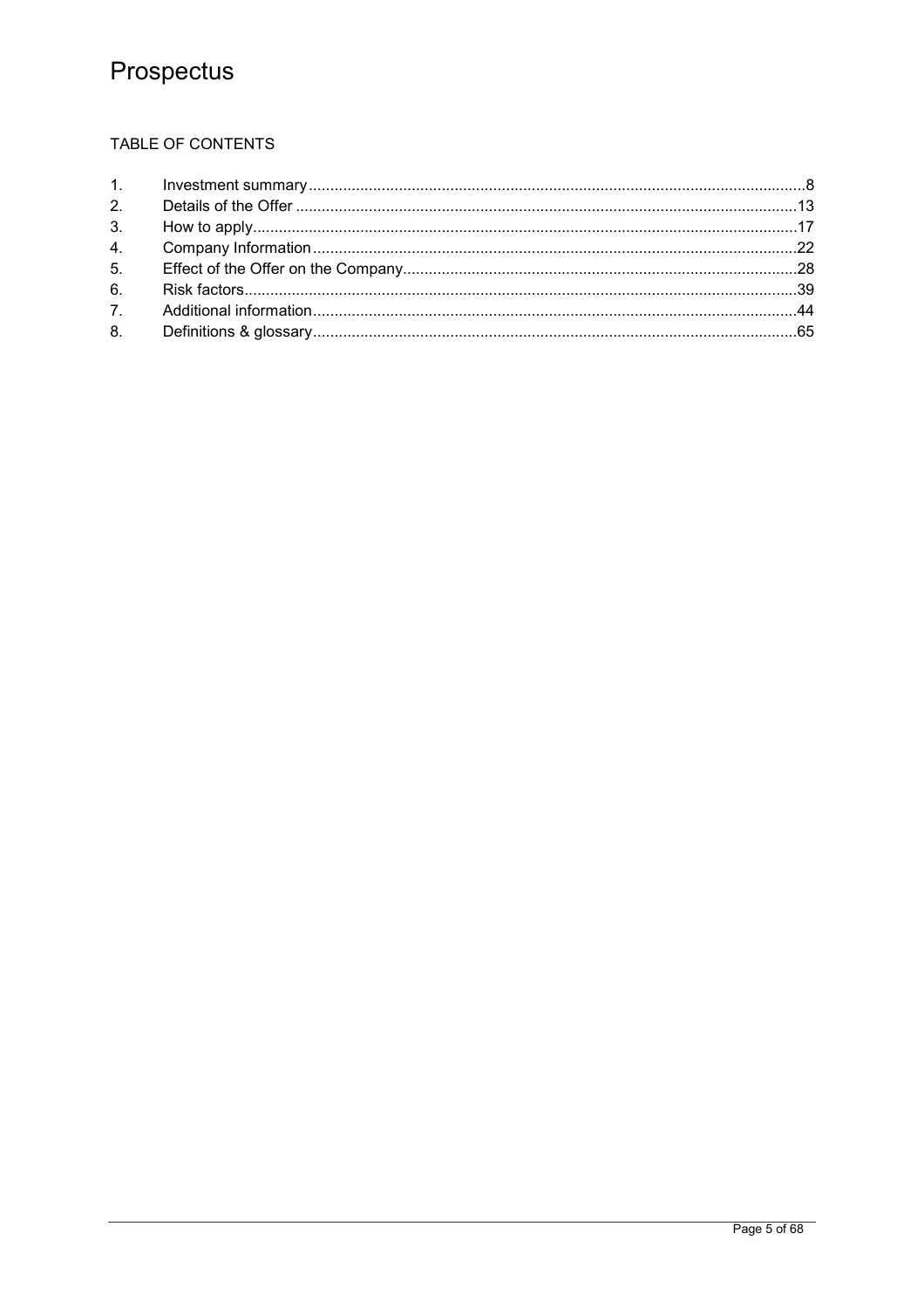## TABLE OF CONTENTS

| 6. |  |
|----|--|
|    |  |
|    |  |
|    |  |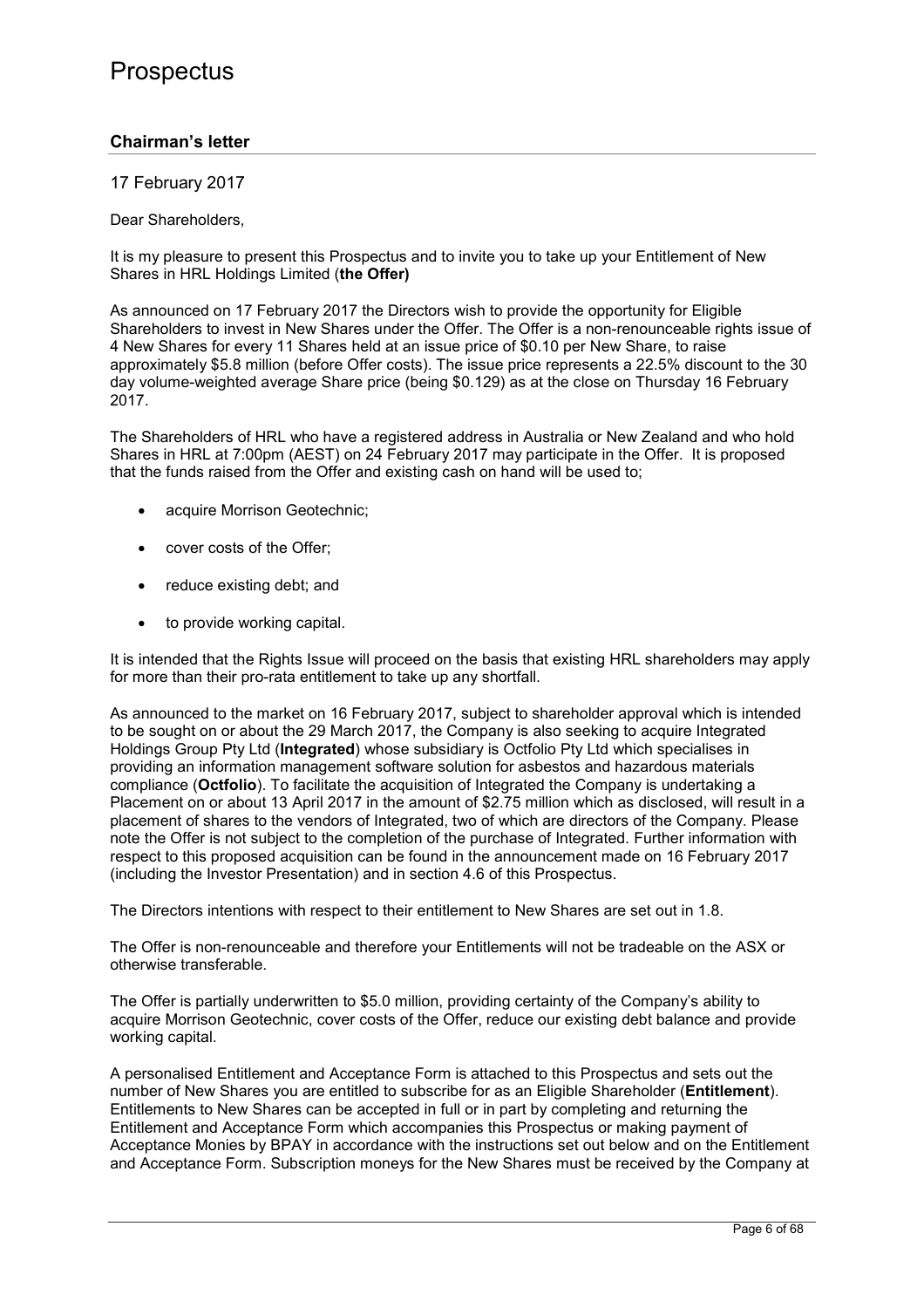## **Chairman's letter**

## 17 February 2017

Dear Shareholders,

It is my pleasure to present this Prospectus and to invite you to take up your Entitlement of New Shares in HRL Holdings Limited (**the Offer)**

As announced on 17 February 2017 the Directors wish to provide the opportunity for Eligible Shareholders to invest in New Shares under the Offer. The Offer is a non-renounceable rights issue of 4 New Shares for every 11 Shares held at an issue price of \$0.10 per New Share, to raise approximately \$5.8 million (before Offer costs). The issue price represents a 22.5% discount to the 30 day volume-weighted average Share price (being \$0.129) as at the close on Thursday 16 February 2017.

The Shareholders of HRL who have a registered address in Australia or New Zealand and who hold Shares in HRL at 7:00pm (AEST) on 24 February 2017 may participate in the Offer. It is proposed that the funds raised from the Offer and existing cash on hand will be used to;

- acquire Morrison Geotechnic;
- cover costs of the Offer;
- reduce existing debt; and
- to provide working capital.

It is intended that the Rights Issue will proceed on the basis that existing HRL shareholders may apply for more than their pro-rata entitlement to take up any shortfall.

As announced to the market on 16 February 2017, subject to shareholder approval which is intended to be sought on or about the 29 March 2017, the Company is also seeking to acquire Integrated Holdings Group Pty Ltd (**Integrated**) whose subsidiary is Octfolio Pty Ltd which specialises in providing an information management software solution for asbestos and hazardous materials compliance (**Octfolio**). To facilitate the acquisition of Integrated the Company is undertaking a Placement on or about 13 April 2017 in the amount of \$2.75 million which as disclosed, will result in a placement of shares to the vendors of Integrated, two of which are directors of the Company. Please note the Offer is not subject to the completion of the purchase of Integrated. Further information with respect to this proposed acquisition can be found in the announcement made on 16 February 2017 (including the Investor Presentation) and in section 4.6 of this Prospectus.

The Directors intentions with respect to their entitlement to New Shares are set out in 1.8.

The Offer is non-renounceable and therefore your Entitlements will not be tradeable on the ASX or otherwise transferable.

The Offer is partially underwritten to \$5.0 million, providing certainty of the Company's ability to acquire Morrison Geotechnic, cover costs of the Offer, reduce our existing debt balance and provide working capital.

A personalised Entitlement and Acceptance Form is attached to this Prospectus and sets out the number of New Shares you are entitled to subscribe for as an Eligible Shareholder (**Entitlement**). Entitlements to New Shares can be accepted in full or in part by completing and returning the Entitlement and Acceptance Form which accompanies this Prospectus or making payment of Acceptance Monies by BPAY in accordance with the instructions set out below and on the Entitlement and Acceptance Form. Subscription moneys for the New Shares must be received by the Company at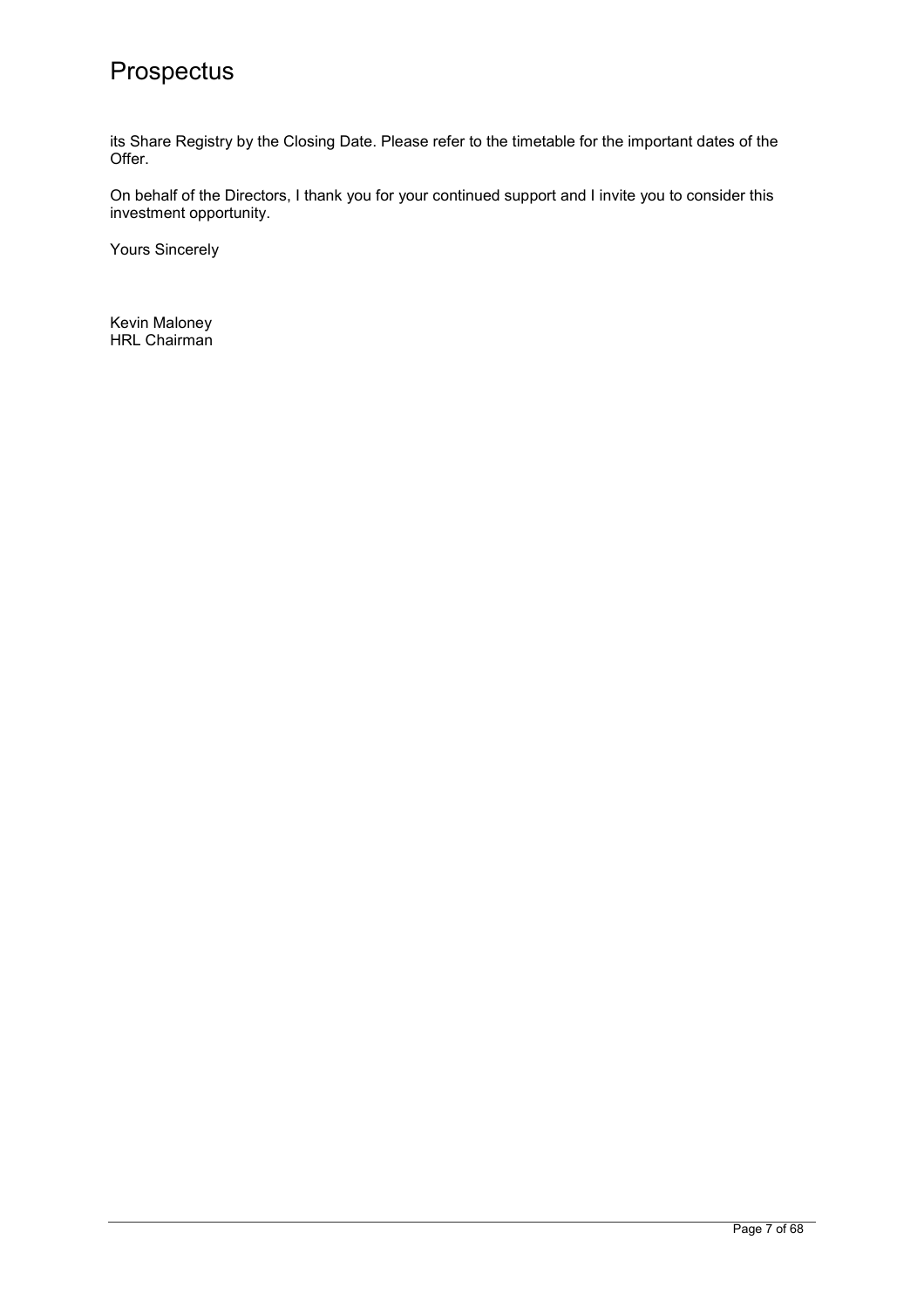its Share Registry by the Closing Date. Please refer to the timetable for the important dates of the Offer.

On behalf of the Directors, I thank you for your continued support and I invite you to consider this investment opportunity.

Yours Sincerely

Kevin Maloney HRL Chairman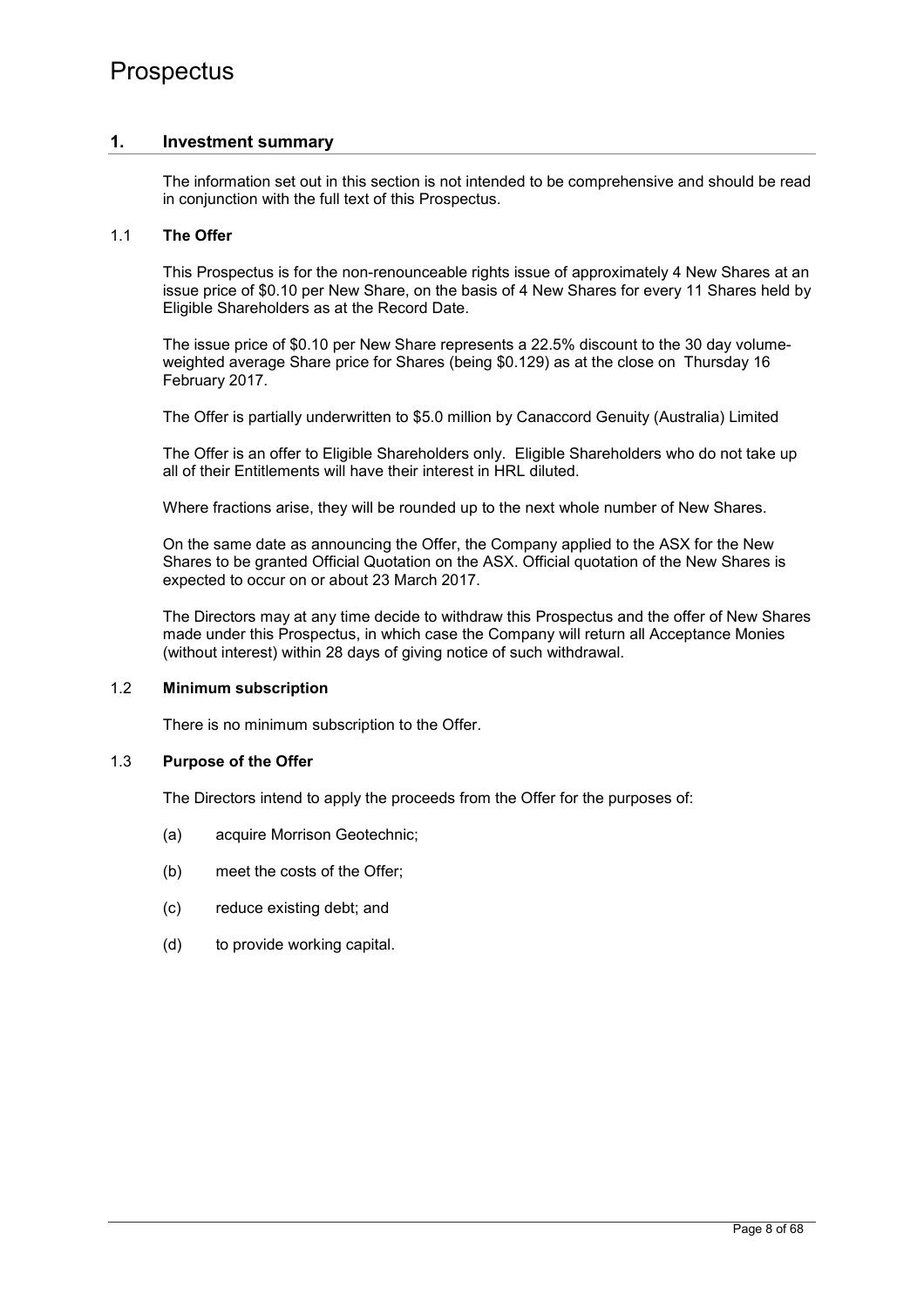## **1. Investment summary**

The information set out in this section is not intended to be comprehensive and should be read in conjunction with the full text of this Prospectus.

### 1.1 **The Offer**

This Prospectus is for the non-renounceable rights issue of approximately 4 New Shares at an issue price of \$0.10 per New Share, on the basis of 4 New Shares for every 11 Shares held by Eligible Shareholders as at the Record Date.

The issue price of \$0.10 per New Share represents a 22.5% discount to the 30 day volumeweighted average Share price for Shares (being \$0.129) as at the close on Thursday 16 February 2017.

The Offer is partially underwritten to \$5.0 million by Canaccord Genuity (Australia) Limited

The Offer is an offer to Eligible Shareholders only. Eligible Shareholders who do not take up all of their Entitlements will have their interest in HRL diluted.

Where fractions arise, they will be rounded up to the next whole number of New Shares.

On the same date as announcing the Offer, the Company applied to the ASX for the New Shares to be granted Official Quotation on the ASX. Official quotation of the New Shares is expected to occur on or about 23 March 2017.

The Directors may at any time decide to withdraw this Prospectus and the offer of New Shares made under this Prospectus, in which case the Company will return all Acceptance Monies (without interest) within 28 days of giving notice of such withdrawal.

## 1.2 **Minimum subscription**

There is no minimum subscription to the Offer.

#### 1.3 **Purpose of the Offer**

The Directors intend to apply the proceeds from the Offer for the purposes of:

- (a) acquire Morrison Geotechnic;
- (b) meet the costs of the Offer;
- (c) reduce existing debt; and
- (d) to provide working capital.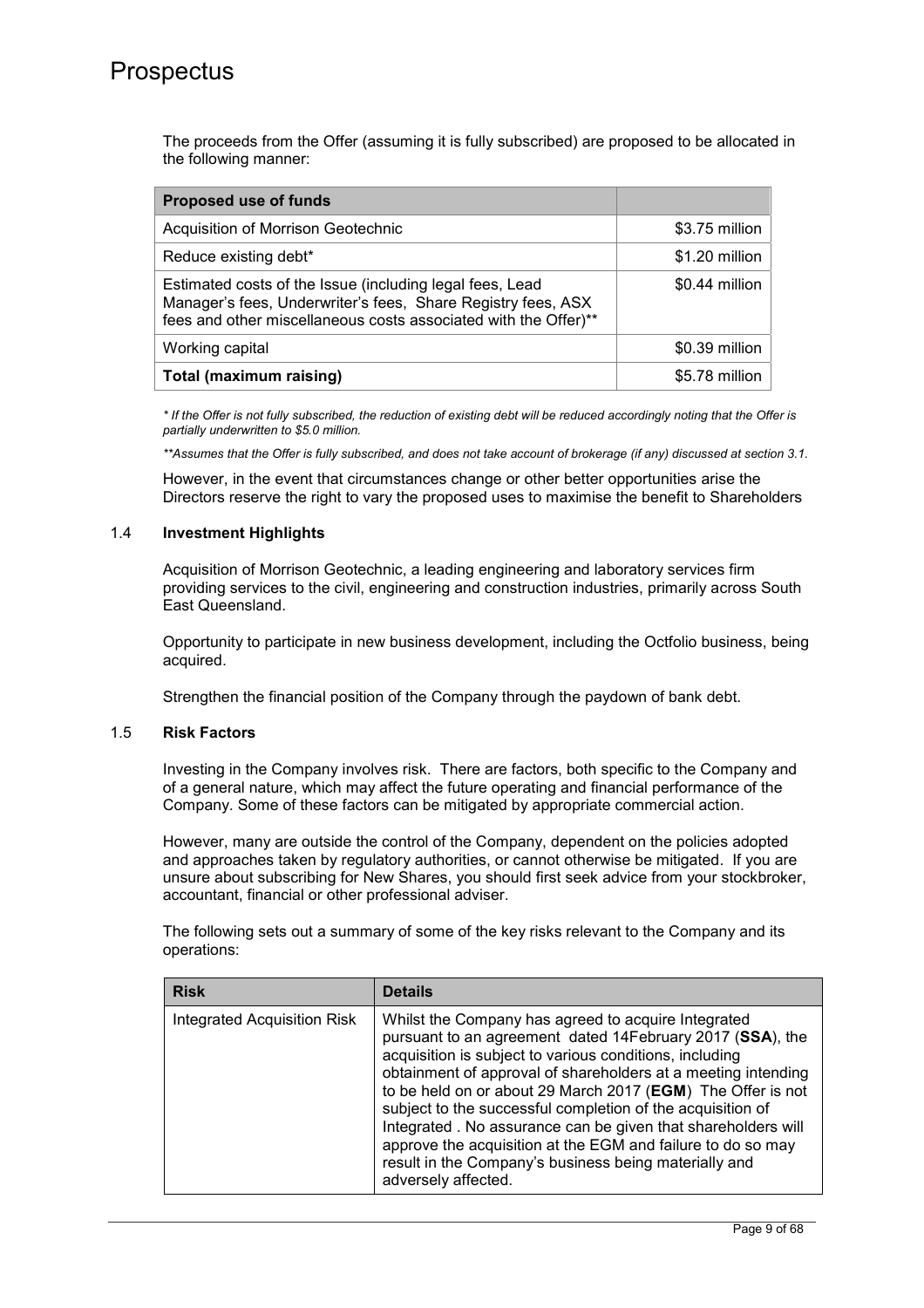The proceeds from the Offer (assuming it is fully subscribed) are proposed to be allocated in the following manner:

| <b>Proposed use of funds</b>                                                                                                                                                                |                |
|---------------------------------------------------------------------------------------------------------------------------------------------------------------------------------------------|----------------|
| Acquisition of Morrison Geotechnic                                                                                                                                                          | \$3.75 million |
| Reduce existing debt*                                                                                                                                                                       | \$1.20 million |
| Estimated costs of the Issue (including legal fees, Lead<br>Manager's fees, Underwriter's fees, Share Registry fees, ASX<br>fees and other miscellaneous costs associated with the Offer)** | \$0.44 million |
| Working capital                                                                                                                                                                             | \$0.39 million |
| Total (maximum raising)                                                                                                                                                                     | \$5.78 million |

*\* If the Offer is not fully subscribed, the reduction of existing debt will be reduced accordingly noting that the Offer is partially underwritten to \$5.0 million.* 

*\*\*Assumes that the Offer is fully subscribed, and does not take account of brokerage (if any) discussed at section 3.1.* 

However, in the event that circumstances change or other better opportunities arise the Directors reserve the right to vary the proposed uses to maximise the benefit to Shareholders

### 1.4 **Investment Highlights**

Acquisition of Morrison Geotechnic, a leading engineering and laboratory services firm providing services to the civil, engineering and construction industries, primarily across South East Queensland.

Opportunity to participate in new business development, including the Octfolio business, being acquired.

Strengthen the financial position of the Company through the paydown of bank debt.

#### 1.5 **Risk Factors**

Investing in the Company involves risk. There are factors, both specific to the Company and of a general nature, which may affect the future operating and financial performance of the Company. Some of these factors can be mitigated by appropriate commercial action.

However, many are outside the control of the Company, dependent on the policies adopted and approaches taken by regulatory authorities, or cannot otherwise be mitigated. If you are unsure about subscribing for New Shares, you should first seek advice from your stockbroker, accountant, financial or other professional adviser.

The following sets out a summary of some of the key risks relevant to the Company and its operations:

| <b>Risk</b>                        | <b>Details</b>                                                                                                                                                                                                                                                                                                                                                                                                                                                                                                                                                                            |
|------------------------------------|-------------------------------------------------------------------------------------------------------------------------------------------------------------------------------------------------------------------------------------------------------------------------------------------------------------------------------------------------------------------------------------------------------------------------------------------------------------------------------------------------------------------------------------------------------------------------------------------|
| <b>Integrated Acquisition Risk</b> | Whilst the Company has agreed to acquire Integrated<br>pursuant to an agreement dated 14February 2017 (SSA), the<br>acquisition is subject to various conditions, including<br>obtainment of approval of shareholders at a meeting intending<br>to be held on or about 29 March 2017 (EGM) The Offer is not<br>subject to the successful completion of the acquisition of<br>Integrated . No assurance can be given that shareholders will<br>approve the acquisition at the EGM and failure to do so may<br>result in the Company's business being materially and<br>adversely affected. |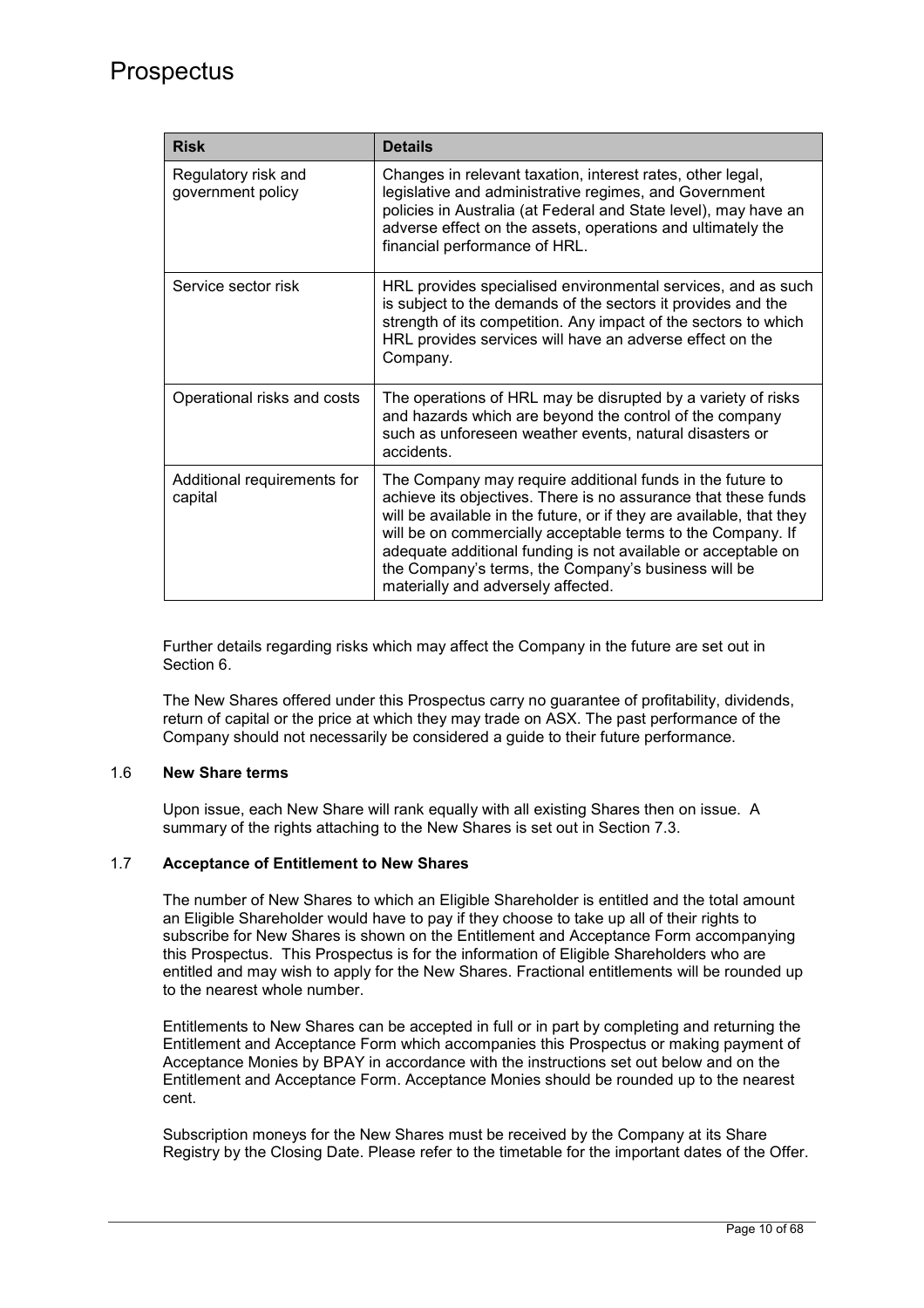| <b>Risk</b>                              | <b>Details</b>                                                                                                                                                                                                                                                                                                                                                                                                                   |
|------------------------------------------|----------------------------------------------------------------------------------------------------------------------------------------------------------------------------------------------------------------------------------------------------------------------------------------------------------------------------------------------------------------------------------------------------------------------------------|
| Regulatory risk and<br>government policy | Changes in relevant taxation, interest rates, other legal,<br>legislative and administrative regimes, and Government<br>policies in Australia (at Federal and State level), may have an<br>adverse effect on the assets, operations and ultimately the<br>financial performance of HRL.                                                                                                                                          |
| Service sector risk                      | HRL provides specialised environmental services, and as such<br>is subject to the demands of the sectors it provides and the<br>strength of its competition. Any impact of the sectors to which<br>HRL provides services will have an adverse effect on the<br>Company.                                                                                                                                                          |
| Operational risks and costs              | The operations of HRL may be disrupted by a variety of risks<br>and hazards which are beyond the control of the company<br>such as unforeseen weather events, natural disasters or<br>accidents.                                                                                                                                                                                                                                 |
| Additional requirements for<br>capital   | The Company may require additional funds in the future to<br>achieve its objectives. There is no assurance that these funds<br>will be available in the future, or if they are available, that they<br>will be on commercially acceptable terms to the Company. If<br>adequate additional funding is not available or acceptable on<br>the Company's terms, the Company's business will be<br>materially and adversely affected. |

Further details regarding risks which may affect the Company in the future are set out in Section 6.

The New Shares offered under this Prospectus carry no guarantee of profitability, dividends, return of capital or the price at which they may trade on ASX. The past performance of the Company should not necessarily be considered a guide to their future performance.

## 1.6 **New Share terms**

Upon issue, each New Share will rank equally with all existing Shares then on issue. A summary of the rights attaching to the New Shares is set out in Section 7.3.

### 1.7 **Acceptance of Entitlement to New Shares**

The number of New Shares to which an Eligible Shareholder is entitled and the total amount an Eligible Shareholder would have to pay if they choose to take up all of their rights to subscribe for New Shares is shown on the Entitlement and Acceptance Form accompanying this Prospectus. This Prospectus is for the information of Eligible Shareholders who are entitled and may wish to apply for the New Shares. Fractional entitlements will be rounded up to the nearest whole number.

Entitlements to New Shares can be accepted in full or in part by completing and returning the Entitlement and Acceptance Form which accompanies this Prospectus or making payment of Acceptance Monies by BPAY in accordance with the instructions set out below and on the Entitlement and Acceptance Form. Acceptance Monies should be rounded up to the nearest cent.

Subscription moneys for the New Shares must be received by the Company at its Share Registry by the Closing Date. Please refer to the timetable for the important dates of the Offer.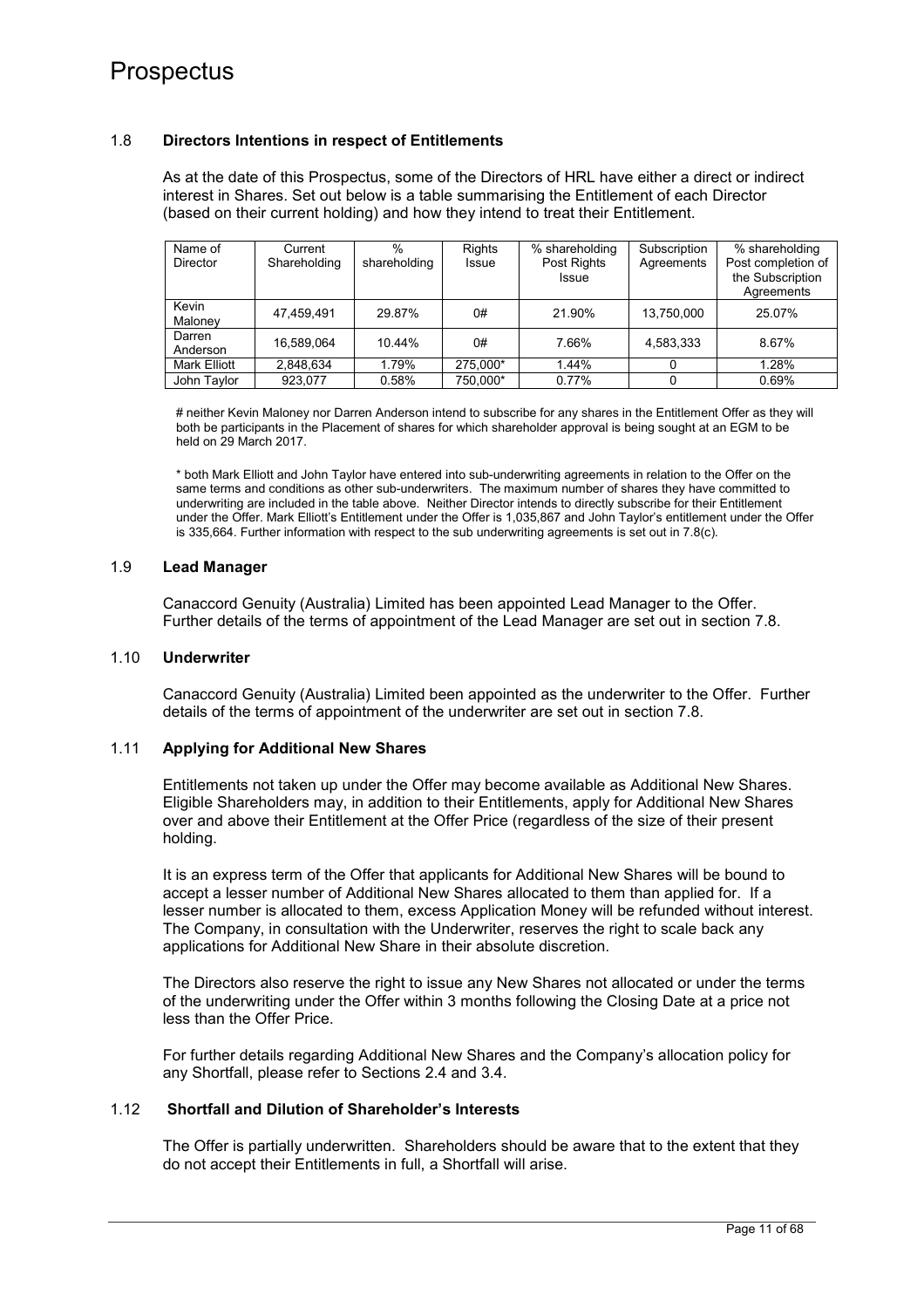#### 1.8 **Directors Intentions in respect of Entitlements**

As at the date of this Prospectus, some of the Directors of HRL have either a direct or indirect interest in Shares. Set out below is a table summarising the Entitlement of each Director (based on their current holding) and how they intend to treat their Entitlement.

| Name of<br><b>Director</b> | Current<br>Shareholding | %<br>shareholding | Rights<br><b>Issue</b> | % shareholding<br>Post Rights<br><b>Issue</b> | Subscription<br>Agreements | % shareholding<br>Post completion of<br>the Subscription<br>Agreements |
|----------------------------|-------------------------|-------------------|------------------------|-----------------------------------------------|----------------------------|------------------------------------------------------------------------|
| Kevin<br>Maloney           | 47.459.491              | 29.87%            | 0#                     | 21.90%                                        | 13,750,000                 | 25.07%                                                                 |
| Darren<br>Anderson         | 16.589.064              | 10.44%            | 0#                     | 7.66%                                         | 4,583,333                  | 8.67%                                                                  |
| <b>Mark Elliott</b>        | 2.848.634               | 1.79%             | 275.000*               | 1.44%                                         | O                          | 1.28%                                                                  |
| John Taylor                | 923.077                 | 0.58%             | 750.000*               | 0.77%                                         |                            | 0.69%                                                                  |

# neither Kevin Maloney nor Darren Anderson intend to subscribe for any shares in the Entitlement Offer as they will both be participants in the Placement of shares for which shareholder approval is being sought at an EGM to be held on 29 March 2017.

\* both Mark Elliott and John Taylor have entered into sub-underwriting agreements in relation to the Offer on the same terms and conditions as other sub-underwriters. The maximum number of shares they have committed to underwriting are included in the table above. Neither Director intends to directly subscribe for their Entitlement under the Offer. Mark Elliott's Entitlement under the Offer is 1,035,867 and John Taylor's entitlement under the Offer is 335,664. Further information with respect to the sub underwriting agreements is set out in 7.8(c).

#### 1.9 **Lead Manager**

Canaccord Genuity (Australia) Limited has been appointed Lead Manager to the Offer. Further details of the terms of appointment of the Lead Manager are set out in section 7.8.

### 1.10 **Underwriter**

Canaccord Genuity (Australia) Limited been appointed as the underwriter to the Offer. Further details of the terms of appointment of the underwriter are set out in section 7.8.

#### 1.11 **Applying for Additional New Shares**

Entitlements not taken up under the Offer may become available as Additional New Shares. Eligible Shareholders may, in addition to their Entitlements, apply for Additional New Shares over and above their Entitlement at the Offer Price (regardless of the size of their present holding.

It is an express term of the Offer that applicants for Additional New Shares will be bound to accept a lesser number of Additional New Shares allocated to them than applied for. If a lesser number is allocated to them, excess Application Money will be refunded without interest. The Company, in consultation with the Underwriter, reserves the right to scale back any applications for Additional New Share in their absolute discretion.

The Directors also reserve the right to issue any New Shares not allocated or under the terms of the underwriting under the Offer within 3 months following the Closing Date at a price not less than the Offer Price.

For further details regarding Additional New Shares and the Company's allocation policy for any Shortfall, please refer to Sections 2.4 and 3.4.

#### 1.12 **Shortfall and Dilution of Shareholder's Interests**

The Offer is partially underwritten. Shareholders should be aware that to the extent that they do not accept their Entitlements in full, a Shortfall will arise.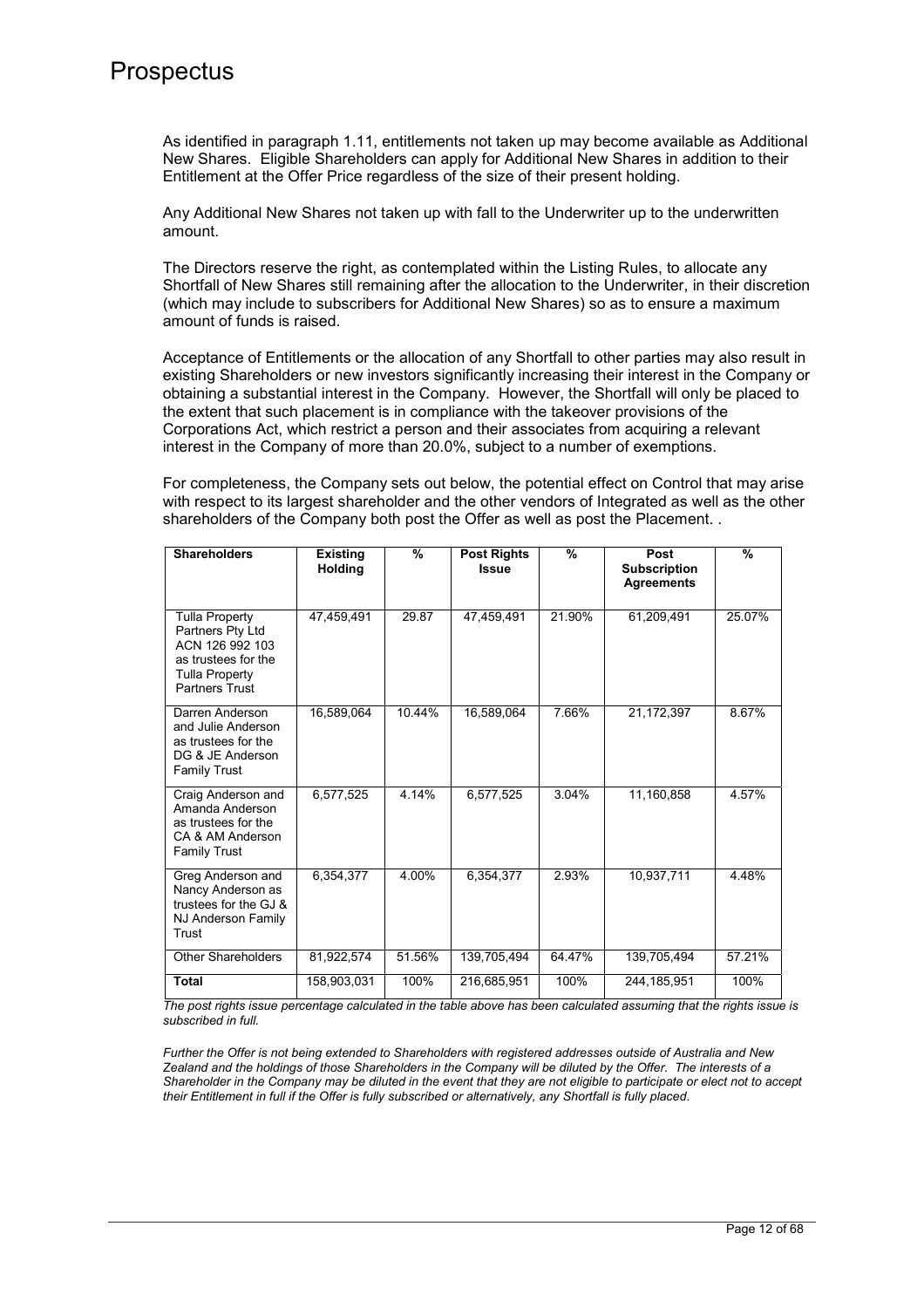As identified in paragraph 1.11, entitlements not taken up may become available as Additional New Shares. Eligible Shareholders can apply for Additional New Shares in addition to their Entitlement at the Offer Price regardless of the size of their present holding.

Any Additional New Shares not taken up with fall to the Underwriter up to the underwritten amount.

The Directors reserve the right, as contemplated within the Listing Rules, to allocate any Shortfall of New Shares still remaining after the allocation to the Underwriter, in their discretion (which may include to subscribers for Additional New Shares) so as to ensure a maximum amount of funds is raised.

Acceptance of Entitlements or the allocation of any Shortfall to other parties may also result in existing Shareholders or new investors significantly increasing their interest in the Company or obtaining a substantial interest in the Company. However, the Shortfall will only be placed to the extent that such placement is in compliance with the takeover provisions of the Corporations Act, which restrict a person and their associates from acquiring a relevant interest in the Company of more than 20.0%, subject to a number of exemptions.

For completeness, the Company sets out below, the potential effect on Control that may arise with respect to its largest shareholder and the other vendors of Integrated as well as the other shareholders of the Company both post the Offer as well as post the Placement. .

| <b>Shareholders</b>                                                                                          | <b>Existing</b><br><b>Holding</b> | %      | <b>Post Rights</b><br><b>Issue</b> | %      | Post<br><b>Subscription</b><br><b>Agreements</b> | $\frac{9}{6}$ |
|--------------------------------------------------------------------------------------------------------------|-----------------------------------|--------|------------------------------------|--------|--------------------------------------------------|---------------|
| <b>Tulla Property</b>                                                                                        | 47,459,491                        | 29.87  | 47,459,491                         | 21.90% | 61,209,491                                       | 25.07%        |
| Partners Pty Ltd<br>ACN 126 992 103<br>as trustees for the<br><b>Tulla Property</b><br><b>Partners Trust</b> |                                   |        |                                    |        |                                                  |               |
| Darren Anderson<br>and Julie Anderson<br>as trustees for the<br>DG & JE Anderson<br>Family Trust             | 16.589.064                        | 10.44% | 16,589,064                         | 7.66%  | 21,172,397                                       | 8.67%         |
| Craig Anderson and<br>Amanda Anderson<br>as trustees for the<br>CA & AM Anderson<br><b>Family Trust</b>      | 6,577,525                         | 4.14%  | 6,577,525                          | 3.04%  | 11.160.858                                       | 4.57%         |
| Greg Anderson and<br>Nancy Anderson as<br>trustees for the GJ &<br>NJ Anderson Family<br>Trust               | 6.354.377                         | 4.00%  | 6,354,377                          | 2.93%  | 10,937,711                                       | 4.48%         |
| Other Shareholders                                                                                           | 81,922,574                        | 51.56% | 139,705,494                        | 64.47% | 139,705,494                                      | 57.21%        |
| <b>Total</b>                                                                                                 | 158,903,031                       | 100%   | 216,685,951                        | 100%   | 244, 185, 951                                    | 100%          |

*The post rights issue percentage calculated in the table above has been calculated assuming that the rights issue is subscribed in full.* 

*Further the Offer is not being extended to Shareholders with registered addresses outside of Australia and New Zealand and the holdings of those Shareholders in the Company will be diluted by the Offer. The interests of a Shareholder in the Company may be diluted in the event that they are not eligible to participate or elect not to accept their Entitlement in full if the Offer is fully subscribed or alternatively, any Shortfall is fully placed*.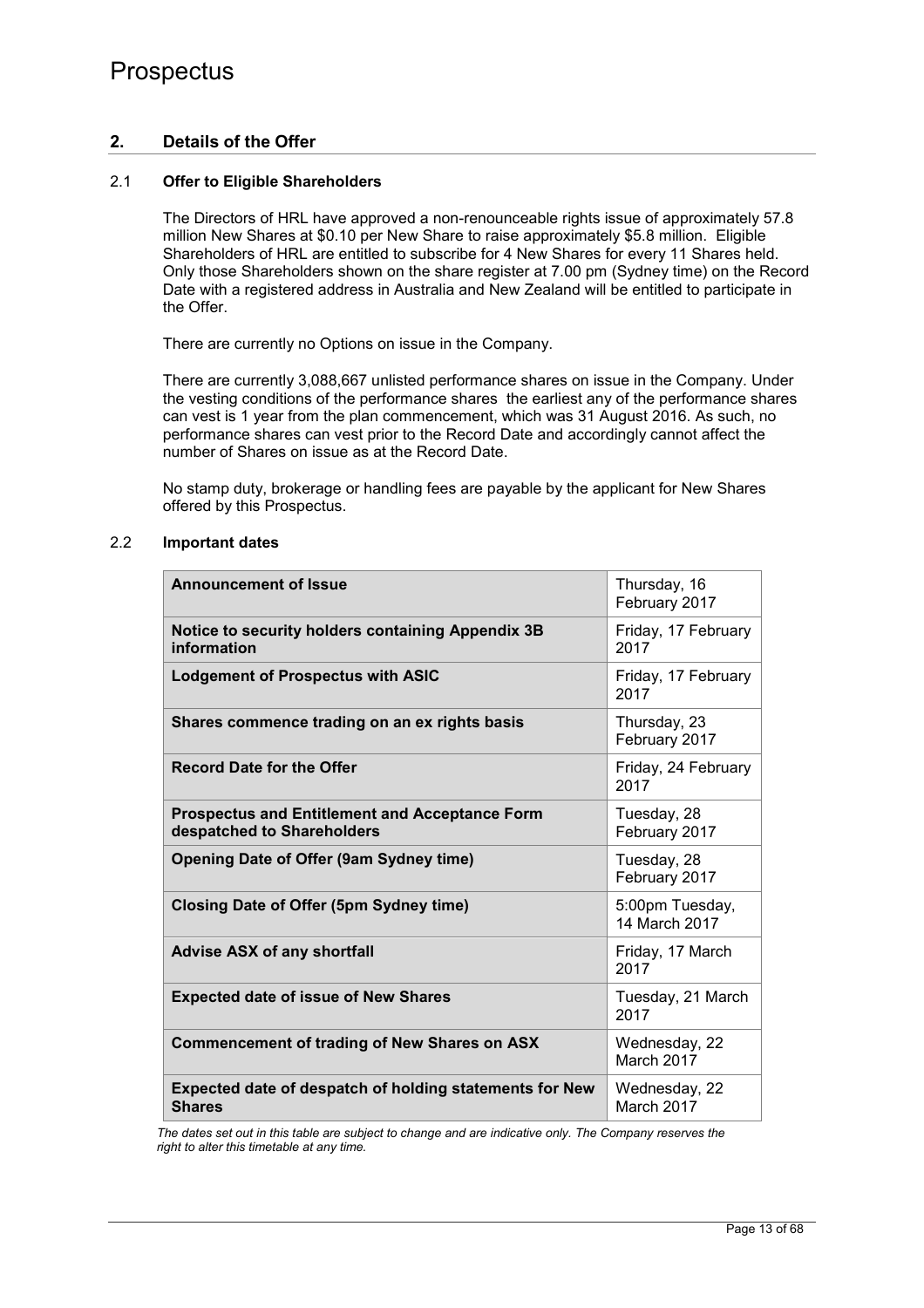## **2. Details of the Offer**

## 2.1 **Offer to Eligible Shareholders**

The Directors of HRL have approved a non-renounceable rights issue of approximately 57.8 million New Shares at \$0.10 per New Share to raise approximately \$5.8 million. Eligible Shareholders of HRL are entitled to subscribe for 4 New Shares for every 11 Shares held. Only those Shareholders shown on the share register at 7.00 pm (Sydney time) on the Record Date with a registered address in Australia and New Zealand will be entitled to participate in the Offer.

There are currently no Options on issue in the Company.

There are currently 3,088,667 unlisted performance shares on issue in the Company. Under the vesting conditions of the performance shares the earliest any of the performance shares can vest is 1 year from the plan commencement, which was 31 August 2016. As such, no performance shares can vest prior to the Record Date and accordingly cannot affect the number of Shares on issue as at the Record Date.

No stamp duty, brokerage or handling fees are payable by the applicant for New Shares offered by this Prospectus.

### 2.2 **Important dates**

| <b>Announcement of Issue</b>                                                        | Thursday, 16<br>February 2017    |
|-------------------------------------------------------------------------------------|----------------------------------|
| Notice to security holders containing Appendix 3B<br>information                    | Friday, 17 February<br>2017      |
| <b>Lodgement of Prospectus with ASIC</b>                                            | Friday, 17 February<br>2017      |
| Shares commence trading on an ex rights basis                                       | Thursday, 23<br>February 2017    |
| <b>Record Date for the Offer</b>                                                    | Friday, 24 February<br>2017      |
| <b>Prospectus and Entitlement and Acceptance Form</b><br>despatched to Shareholders | Tuesday, 28<br>February 2017     |
| <b>Opening Date of Offer (9am Sydney time)</b>                                      | Tuesday, 28<br>February 2017     |
| <b>Closing Date of Offer (5pm Sydney time)</b>                                      | 5:00pm Tuesday,<br>14 March 2017 |
| <b>Advise ASX of any shortfall</b>                                                  | Friday, 17 March<br>2017         |
| <b>Expected date of issue of New Shares</b>                                         | Tuesday, 21 March<br>2017        |
| <b>Commencement of trading of New Shares on ASX</b>                                 | Wednesday, 22<br>March 2017      |
| Expected date of despatch of holding statements for New<br><b>Shares</b>            | Wednesday, 22<br>March 2017      |

*The dates set out in this table are subject to change and are indicative only. The Company reserves the right to alter this timetable at any time.*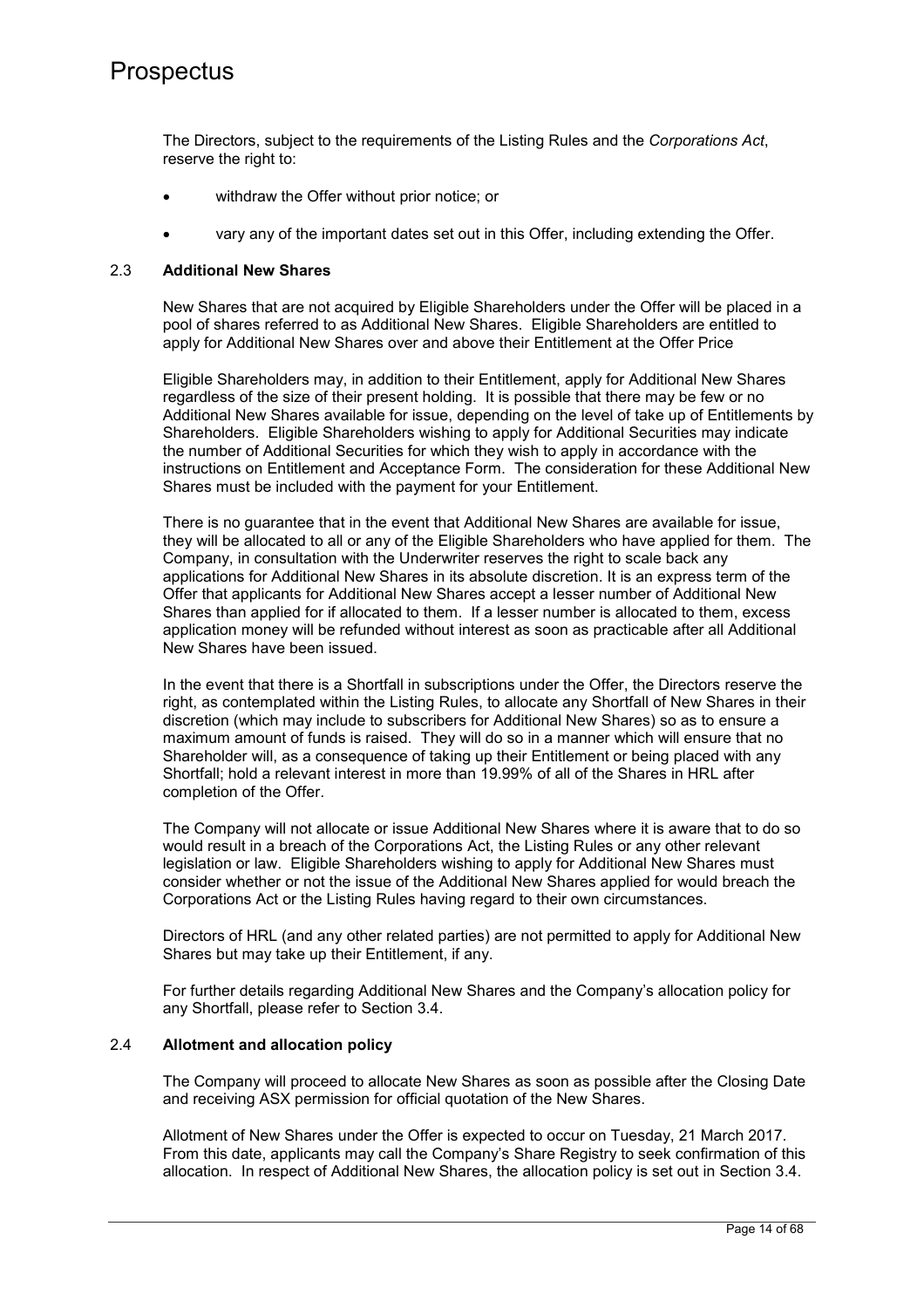The Directors, subject to the requirements of the Listing Rules and the *Corporations Act*, reserve the right to:

- withdraw the Offer without prior notice; or
- vary any of the important dates set out in this Offer, including extending the Offer.

#### 2.3 **Additional New Shares**

New Shares that are not acquired by Eligible Shareholders under the Offer will be placed in a pool of shares referred to as Additional New Shares. Eligible Shareholders are entitled to apply for Additional New Shares over and above their Entitlement at the Offer Price

Eligible Shareholders may, in addition to their Entitlement, apply for Additional New Shares regardless of the size of their present holding. It is possible that there may be few or no Additional New Shares available for issue, depending on the level of take up of Entitlements by Shareholders. Eligible Shareholders wishing to apply for Additional Securities may indicate the number of Additional Securities for which they wish to apply in accordance with the instructions on Entitlement and Acceptance Form. The consideration for these Additional New Shares must be included with the payment for your Entitlement.

There is no guarantee that in the event that Additional New Shares are available for issue, they will be allocated to all or any of the Eligible Shareholders who have applied for them. The Company, in consultation with the Underwriter reserves the right to scale back any applications for Additional New Shares in its absolute discretion. It is an express term of the Offer that applicants for Additional New Shares accept a lesser number of Additional New Shares than applied for if allocated to them. If a lesser number is allocated to them, excess application money will be refunded without interest as soon as practicable after all Additional New Shares have been issued.

In the event that there is a Shortfall in subscriptions under the Offer, the Directors reserve the right, as contemplated within the Listing Rules, to allocate any Shortfall of New Shares in their discretion (which may include to subscribers for Additional New Shares) so as to ensure a maximum amount of funds is raised. They will do so in a manner which will ensure that no Shareholder will, as a consequence of taking up their Entitlement or being placed with any Shortfall; hold a relevant interest in more than 19.99% of all of the Shares in HRL after completion of the Offer.

The Company will not allocate or issue Additional New Shares where it is aware that to do so would result in a breach of the Corporations Act, the Listing Rules or any other relevant legislation or law. Eligible Shareholders wishing to apply for Additional New Shares must consider whether or not the issue of the Additional New Shares applied for would breach the Corporations Act or the Listing Rules having regard to their own circumstances.

Directors of HRL (and any other related parties) are not permitted to apply for Additional New Shares but may take up their Entitlement, if any.

For further details regarding Additional New Shares and the Company's allocation policy for any Shortfall, please refer to Section 3.4.

## 2.4 **Allotment and allocation policy**

The Company will proceed to allocate New Shares as soon as possible after the Closing Date and receiving ASX permission for official quotation of the New Shares.

Allotment of New Shares under the Offer is expected to occur on Tuesday, 21 March 2017. From this date, applicants may call the Company's Share Registry to seek confirmation of this allocation. In respect of Additional New Shares, the allocation policy is set out in Section 3.4.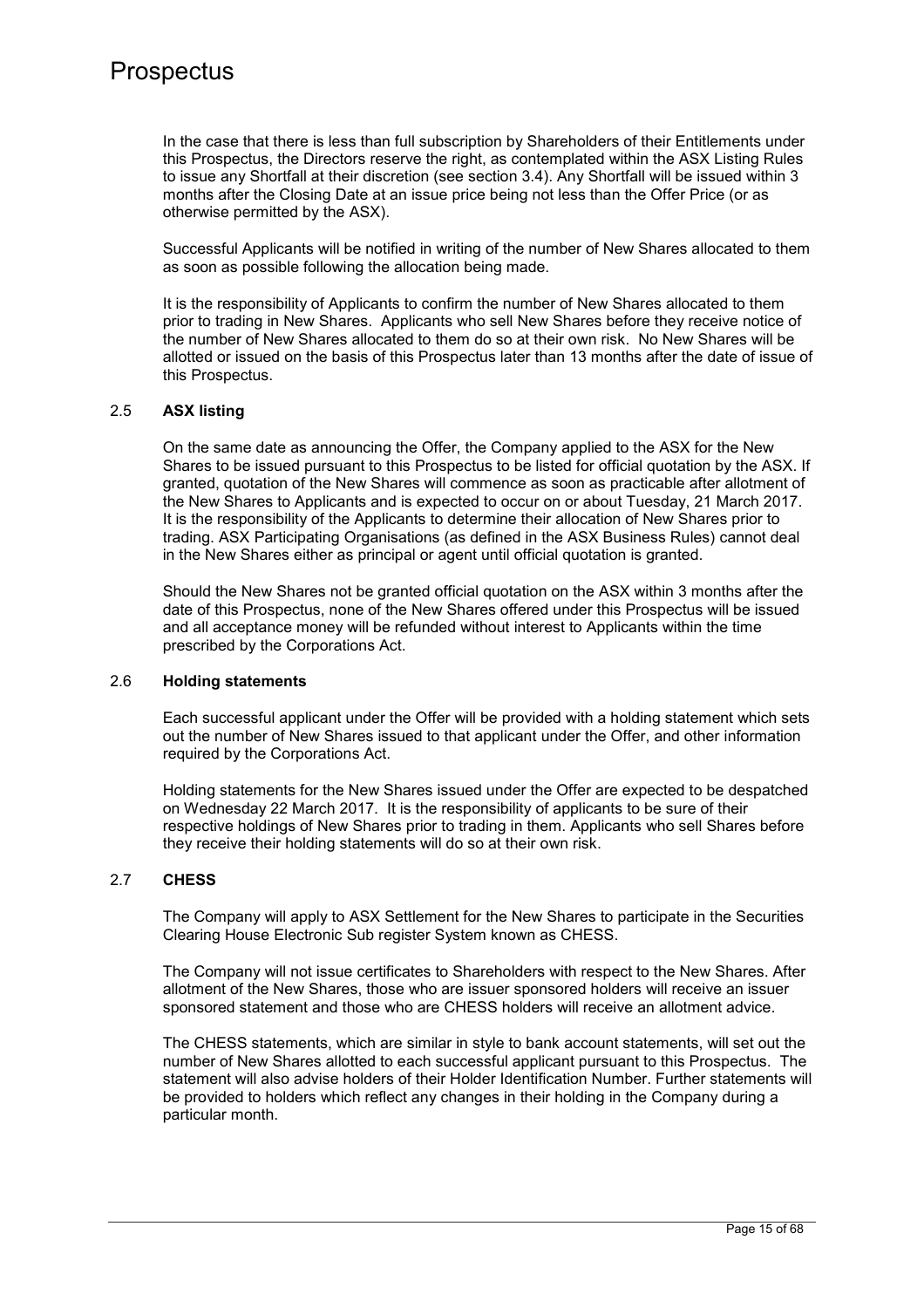In the case that there is less than full subscription by Shareholders of their Entitlements under this Prospectus, the Directors reserve the right, as contemplated within the ASX Listing Rules to issue any Shortfall at their discretion (see section 3.4). Any Shortfall will be issued within 3 months after the Closing Date at an issue price being not less than the Offer Price (or as otherwise permitted by the ASX).

Successful Applicants will be notified in writing of the number of New Shares allocated to them as soon as possible following the allocation being made.

It is the responsibility of Applicants to confirm the number of New Shares allocated to them prior to trading in New Shares. Applicants who sell New Shares before they receive notice of the number of New Shares allocated to them do so at their own risk. No New Shares will be allotted or issued on the basis of this Prospectus later than 13 months after the date of issue of this Prospectus.

## 2.5 **ASX listing**

On the same date as announcing the Offer, the Company applied to the ASX for the New Shares to be issued pursuant to this Prospectus to be listed for official quotation by the ASX. If granted, quotation of the New Shares will commence as soon as practicable after allotment of the New Shares to Applicants and is expected to occur on or about Tuesday, 21 March 2017. It is the responsibility of the Applicants to determine their allocation of New Shares prior to trading. ASX Participating Organisations (as defined in the ASX Business Rules) cannot deal in the New Shares either as principal or agent until official quotation is granted.

Should the New Shares not be granted official quotation on the ASX within 3 months after the date of this Prospectus, none of the New Shares offered under this Prospectus will be issued and all acceptance money will be refunded without interest to Applicants within the time prescribed by the Corporations Act.

#### 2.6 **Holding statements**

Each successful applicant under the Offer will be provided with a holding statement which sets out the number of New Shares issued to that applicant under the Offer, and other information required by the Corporations Act.

Holding statements for the New Shares issued under the Offer are expected to be despatched on Wednesday 22 March 2017. It is the responsibility of applicants to be sure of their respective holdings of New Shares prior to trading in them. Applicants who sell Shares before they receive their holding statements will do so at their own risk.

#### 2.7 **CHESS**

The Company will apply to ASX Settlement for the New Shares to participate in the Securities Clearing House Electronic Sub register System known as CHESS.

The Company will not issue certificates to Shareholders with respect to the New Shares. After allotment of the New Shares, those who are issuer sponsored holders will receive an issuer sponsored statement and those who are CHESS holders will receive an allotment advice.

The CHESS statements, which are similar in style to bank account statements, will set out the number of New Shares allotted to each successful applicant pursuant to this Prospectus. The statement will also advise holders of their Holder Identification Number. Further statements will be provided to holders which reflect any changes in their holding in the Company during a particular month.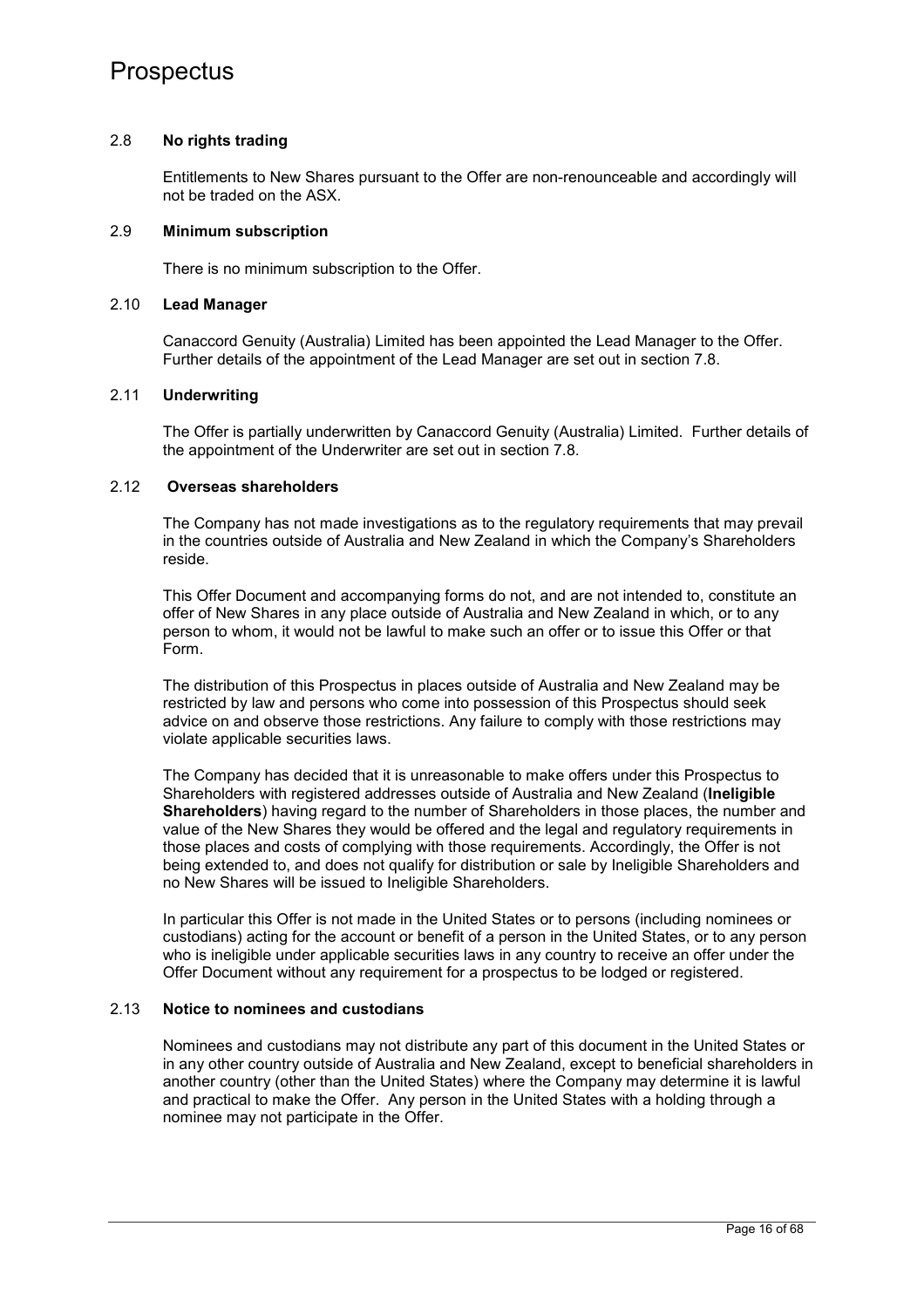### 2.8 **No rights trading**

Entitlements to New Shares pursuant to the Offer are non-renounceable and accordingly will not be traded on the ASX.

### 2.9 **Minimum subscription**

There is no minimum subscription to the Offer.

#### 2.10 **Lead Manager**

Canaccord Genuity (Australia) Limited has been appointed the Lead Manager to the Offer. Further details of the appointment of the Lead Manager are set out in section 7.8.

### 2.11 **Underwriting**

The Offer is partially underwritten by Canaccord Genuity (Australia) Limited. Further details of the appointment of the Underwriter are set out in section 7.8.

## 2.12 **Overseas shareholders**

The Company has not made investigations as to the regulatory requirements that may prevail in the countries outside of Australia and New Zealand in which the Company's Shareholders reside.

This Offer Document and accompanying forms do not, and are not intended to, constitute an offer of New Shares in any place outside of Australia and New Zealand in which, or to any person to whom, it would not be lawful to make such an offer or to issue this Offer or that Form.

The distribution of this Prospectus in places outside of Australia and New Zealand may be restricted by law and persons who come into possession of this Prospectus should seek advice on and observe those restrictions. Any failure to comply with those restrictions may violate applicable securities laws.

The Company has decided that it is unreasonable to make offers under this Prospectus to Shareholders with registered addresses outside of Australia and New Zealand (**Ineligible Shareholders**) having regard to the number of Shareholders in those places, the number and value of the New Shares they would be offered and the legal and regulatory requirements in those places and costs of complying with those requirements. Accordingly, the Offer is not being extended to, and does not qualify for distribution or sale by Ineligible Shareholders and no New Shares will be issued to Ineligible Shareholders.

In particular this Offer is not made in the United States or to persons (including nominees or custodians) acting for the account or benefit of a person in the United States, or to any person who is ineligible under applicable securities laws in any country to receive an offer under the Offer Document without any requirement for a prospectus to be lodged or registered.

#### 2.13 **Notice to nominees and custodians**

Nominees and custodians may not distribute any part of this document in the United States or in any other country outside of Australia and New Zealand, except to beneficial shareholders in another country (other than the United States) where the Company may determine it is lawful and practical to make the Offer. Any person in the United States with a holding through a nominee may not participate in the Offer.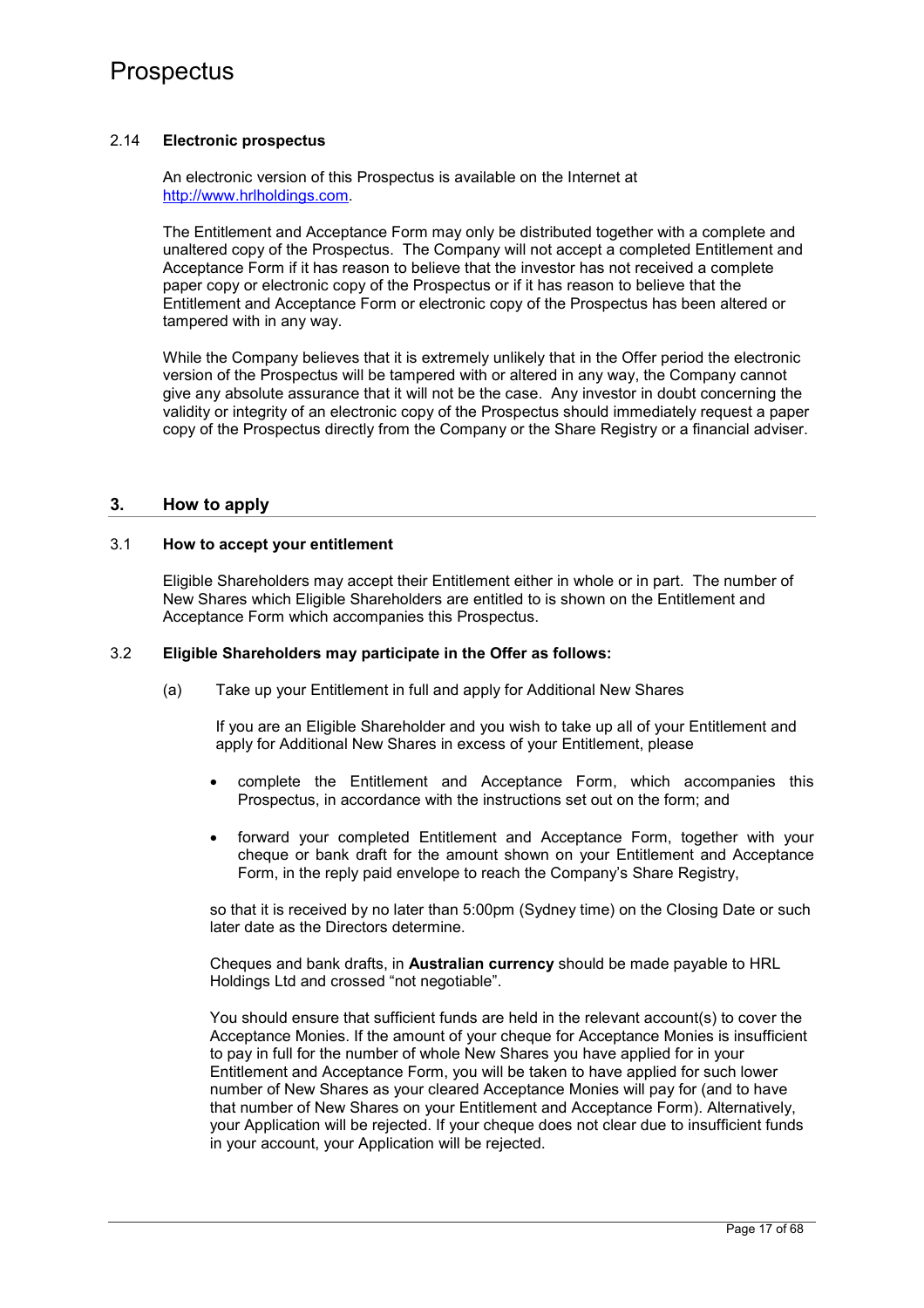## 2.14 **Electronic prospectus**

An electronic version of this Prospectus is available on the Internet at http://www.hrlholdings.com.

The Entitlement and Acceptance Form may only be distributed together with a complete and unaltered copy of the Prospectus. The Company will not accept a completed Entitlement and Acceptance Form if it has reason to believe that the investor has not received a complete paper copy or electronic copy of the Prospectus or if it has reason to believe that the Entitlement and Acceptance Form or electronic copy of the Prospectus has been altered or tampered with in any way.

While the Company believes that it is extremely unlikely that in the Offer period the electronic version of the Prospectus will be tampered with or altered in any way, the Company cannot give any absolute assurance that it will not be the case. Any investor in doubt concerning the validity or integrity of an electronic copy of the Prospectus should immediately request a paper copy of the Prospectus directly from the Company or the Share Registry or a financial adviser.

### **3. How to apply**

### 3.1 **How to accept your entitlement**

Eligible Shareholders may accept their Entitlement either in whole or in part. The number of New Shares which Eligible Shareholders are entitled to is shown on the Entitlement and Acceptance Form which accompanies this Prospectus.

### 3.2 **Eligible Shareholders may participate in the Offer as follows:**

(a) Take up your Entitlement in full and apply for Additional New Shares

If you are an Eligible Shareholder and you wish to take up all of your Entitlement and apply for Additional New Shares in excess of your Entitlement, please

- complete the Entitlement and Acceptance Form, which accompanies this Prospectus, in accordance with the instructions set out on the form; and
- forward your completed Entitlement and Acceptance Form, together with your cheque or bank draft for the amount shown on your Entitlement and Acceptance Form, in the reply paid envelope to reach the Company's Share Registry,

so that it is received by no later than 5:00pm (Sydney time) on the Closing Date or such later date as the Directors determine.

Cheques and bank drafts, in **Australian currency** should be made payable to HRL Holdings Ltd and crossed "not negotiable".

You should ensure that sufficient funds are held in the relevant account(s) to cover the Acceptance Monies. If the amount of your cheque for Acceptance Monies is insufficient to pay in full for the number of whole New Shares you have applied for in your Entitlement and Acceptance Form, you will be taken to have applied for such lower number of New Shares as your cleared Acceptance Monies will pay for (and to have that number of New Shares on your Entitlement and Acceptance Form). Alternatively, your Application will be rejected. If your cheque does not clear due to insufficient funds in your account, your Application will be rejected.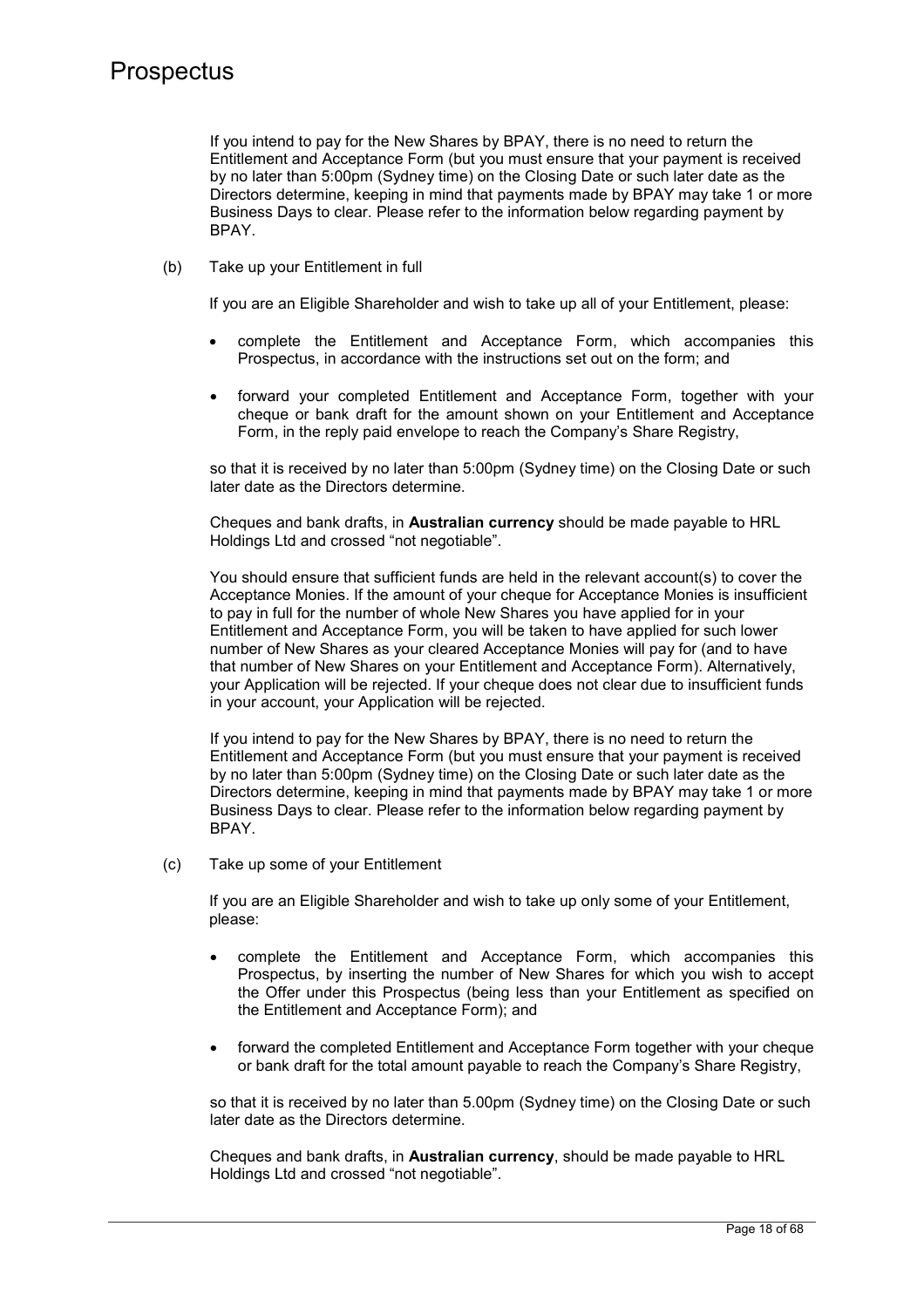If you intend to pay for the New Shares by BPAY, there is no need to return the Entitlement and Acceptance Form (but you must ensure that your payment is received by no later than 5:00pm (Sydney time) on the Closing Date or such later date as the Directors determine, keeping in mind that payments made by BPAY may take 1 or more Business Days to clear. Please refer to the information below regarding payment by BPAY.

(b) Take up your Entitlement in full

If you are an Eligible Shareholder and wish to take up all of your Entitlement, please:

- complete the Entitlement and Acceptance Form, which accompanies this Prospectus, in accordance with the instructions set out on the form; and
- forward your completed Entitlement and Acceptance Form, together with your cheque or bank draft for the amount shown on your Entitlement and Acceptance Form, in the reply paid envelope to reach the Company's Share Registry,

so that it is received by no later than 5:00pm (Sydney time) on the Closing Date or such later date as the Directors determine.

Cheques and bank drafts, in **Australian currency** should be made payable to HRL Holdings Ltd and crossed "not negotiable".

You should ensure that sufficient funds are held in the relevant account(s) to cover the Acceptance Monies. If the amount of your cheque for Acceptance Monies is insufficient to pay in full for the number of whole New Shares you have applied for in your Entitlement and Acceptance Form, you will be taken to have applied for such lower number of New Shares as your cleared Acceptance Monies will pay for (and to have that number of New Shares on your Entitlement and Acceptance Form). Alternatively, your Application will be rejected. If your cheque does not clear due to insufficient funds in your account, your Application will be rejected.

If you intend to pay for the New Shares by BPAY, there is no need to return the Entitlement and Acceptance Form (but you must ensure that your payment is received by no later than 5:00pm (Sydney time) on the Closing Date or such later date as the Directors determine, keeping in mind that payments made by BPAY may take 1 or more Business Days to clear. Please refer to the information below regarding payment by BPAY.

(c) Take up some of your Entitlement

If you are an Eligible Shareholder and wish to take up only some of your Entitlement, please:

- complete the Entitlement and Acceptance Form, which accompanies this Prospectus, by inserting the number of New Shares for which you wish to accept the Offer under this Prospectus (being less than your Entitlement as specified on the Entitlement and Acceptance Form); and
- forward the completed Entitlement and Acceptance Form together with your cheque or bank draft for the total amount payable to reach the Company's Share Registry,

so that it is received by no later than 5.00pm (Sydney time) on the Closing Date or such later date as the Directors determine.

Cheques and bank drafts, in **Australian currency**, should be made payable to HRL Holdings Ltd and crossed "not negotiable".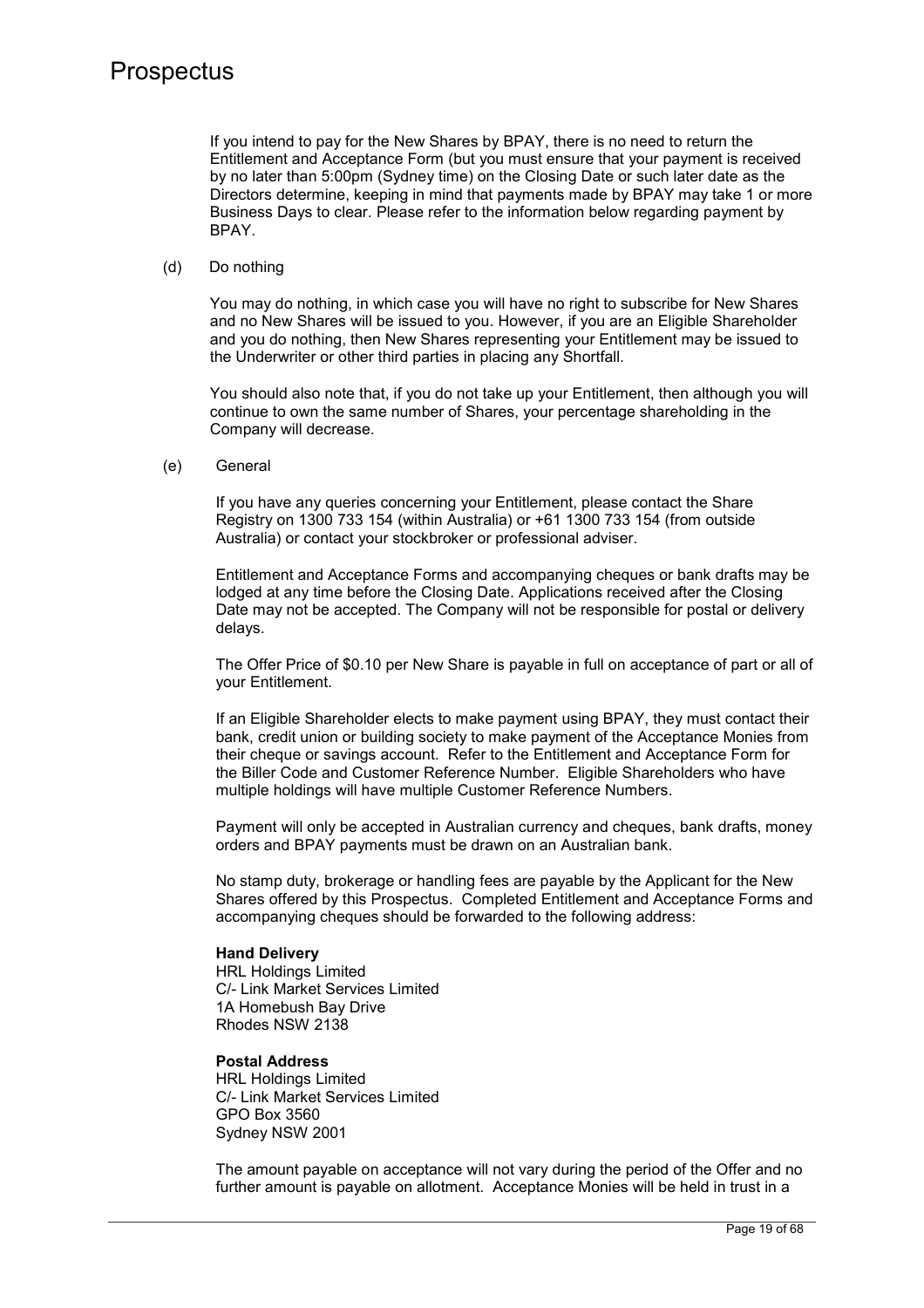If you intend to pay for the New Shares by BPAY, there is no need to return the Entitlement and Acceptance Form (but you must ensure that your payment is received by no later than 5:00pm (Sydney time) on the Closing Date or such later date as the Directors determine, keeping in mind that payments made by BPAY may take 1 or more Business Days to clear. Please refer to the information below regarding payment by BPAY.

#### (d) Do nothing

You may do nothing, in which case you will have no right to subscribe for New Shares and no New Shares will be issued to you. However, if you are an Eligible Shareholder and you do nothing, then New Shares representing your Entitlement may be issued to the Underwriter or other third parties in placing any Shortfall.

You should also note that, if you do not take up your Entitlement, then although you will continue to own the same number of Shares, your percentage shareholding in the Company will decrease.

(e) General

If you have any queries concerning your Entitlement, please contact the Share Registry on 1300 733 154 (within Australia) or +61 1300 733 154 (from outside Australia) or contact your stockbroker or professional adviser.

Entitlement and Acceptance Forms and accompanying cheques or bank drafts may be lodged at any time before the Closing Date. Applications received after the Closing Date may not be accepted. The Company will not be responsible for postal or delivery delays.

The Offer Price of \$0.10 per New Share is payable in full on acceptance of part or all of your Entitlement.

If an Eligible Shareholder elects to make payment using BPAY, they must contact their bank, credit union or building society to make payment of the Acceptance Monies from their cheque or savings account. Refer to the Entitlement and Acceptance Form for the Biller Code and Customer Reference Number. Eligible Shareholders who have multiple holdings will have multiple Customer Reference Numbers.

Payment will only be accepted in Australian currency and cheques, bank drafts, money orders and BPAY payments must be drawn on an Australian bank.

No stamp duty, brokerage or handling fees are payable by the Applicant for the New Shares offered by this Prospectus. Completed Entitlement and Acceptance Forms and accompanying cheques should be forwarded to the following address:

#### **Hand Delivery**

HRL Holdings Limited C/- Link Market Services Limited 1A Homebush Bay Drive Rhodes NSW 2138

## **Postal Address**

HRL Holdings Limited C/- Link Market Services Limited GPO Box 3560 Sydney NSW 2001

The amount payable on acceptance will not vary during the period of the Offer and no further amount is payable on allotment. Acceptance Monies will be held in trust in a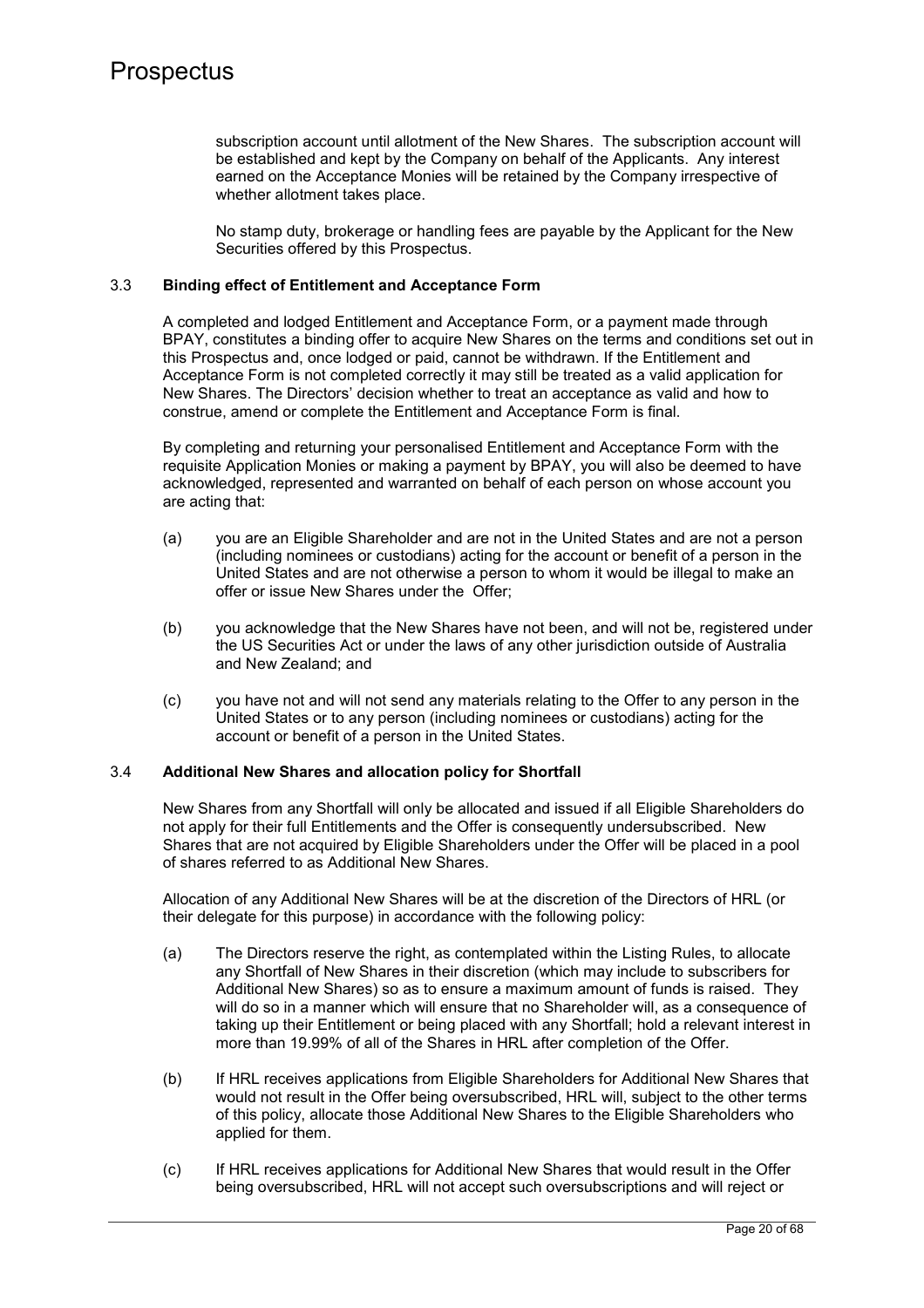subscription account until allotment of the New Shares. The subscription account will be established and kept by the Company on behalf of the Applicants. Any interest earned on the Acceptance Monies will be retained by the Company irrespective of whether allotment takes place.

No stamp duty, brokerage or handling fees are payable by the Applicant for the New Securities offered by this Prospectus.

## 3.3 **Binding effect of Entitlement and Acceptance Form**

A completed and lodged Entitlement and Acceptance Form, or a payment made through BPAY, constitutes a binding offer to acquire New Shares on the terms and conditions set out in this Prospectus and, once lodged or paid, cannot be withdrawn. If the Entitlement and Acceptance Form is not completed correctly it may still be treated as a valid application for New Shares. The Directors' decision whether to treat an acceptance as valid and how to construe, amend or complete the Entitlement and Acceptance Form is final.

By completing and returning your personalised Entitlement and Acceptance Form with the requisite Application Monies or making a payment by BPAY, you will also be deemed to have acknowledged, represented and warranted on behalf of each person on whose account you are acting that:

- (a) you are an Eligible Shareholder and are not in the United States and are not a person (including nominees or custodians) acting for the account or benefit of a person in the United States and are not otherwise a person to whom it would be illegal to make an offer or issue New Shares under the Offer;
- (b) you acknowledge that the New Shares have not been, and will not be, registered under the US Securities Act or under the laws of any other jurisdiction outside of Australia and New Zealand; and
- (c) you have not and will not send any materials relating to the Offer to any person in the United States or to any person (including nominees or custodians) acting for the account or benefit of a person in the United States.

### 3.4 **Additional New Shares and allocation policy for Shortfall**

New Shares from any Shortfall will only be allocated and issued if all Eligible Shareholders do not apply for their full Entitlements and the Offer is consequently undersubscribed. New Shares that are not acquired by Eligible Shareholders under the Offer will be placed in a pool of shares referred to as Additional New Shares.

Allocation of any Additional New Shares will be at the discretion of the Directors of HRL (or their delegate for this purpose) in accordance with the following policy:

- (a) The Directors reserve the right, as contemplated within the Listing Rules, to allocate any Shortfall of New Shares in their discretion (which may include to subscribers for Additional New Shares) so as to ensure a maximum amount of funds is raised. They will do so in a manner which will ensure that no Shareholder will, as a consequence of taking up their Entitlement or being placed with any Shortfall; hold a relevant interest in more than 19.99% of all of the Shares in HRL after completion of the Offer.
- (b) If HRL receives applications from Eligible Shareholders for Additional New Shares that would not result in the Offer being oversubscribed, HRL will, subject to the other terms of this policy, allocate those Additional New Shares to the Eligible Shareholders who applied for them.
- (c) If HRL receives applications for Additional New Shares that would result in the Offer being oversubscribed, HRL will not accept such oversubscriptions and will reject or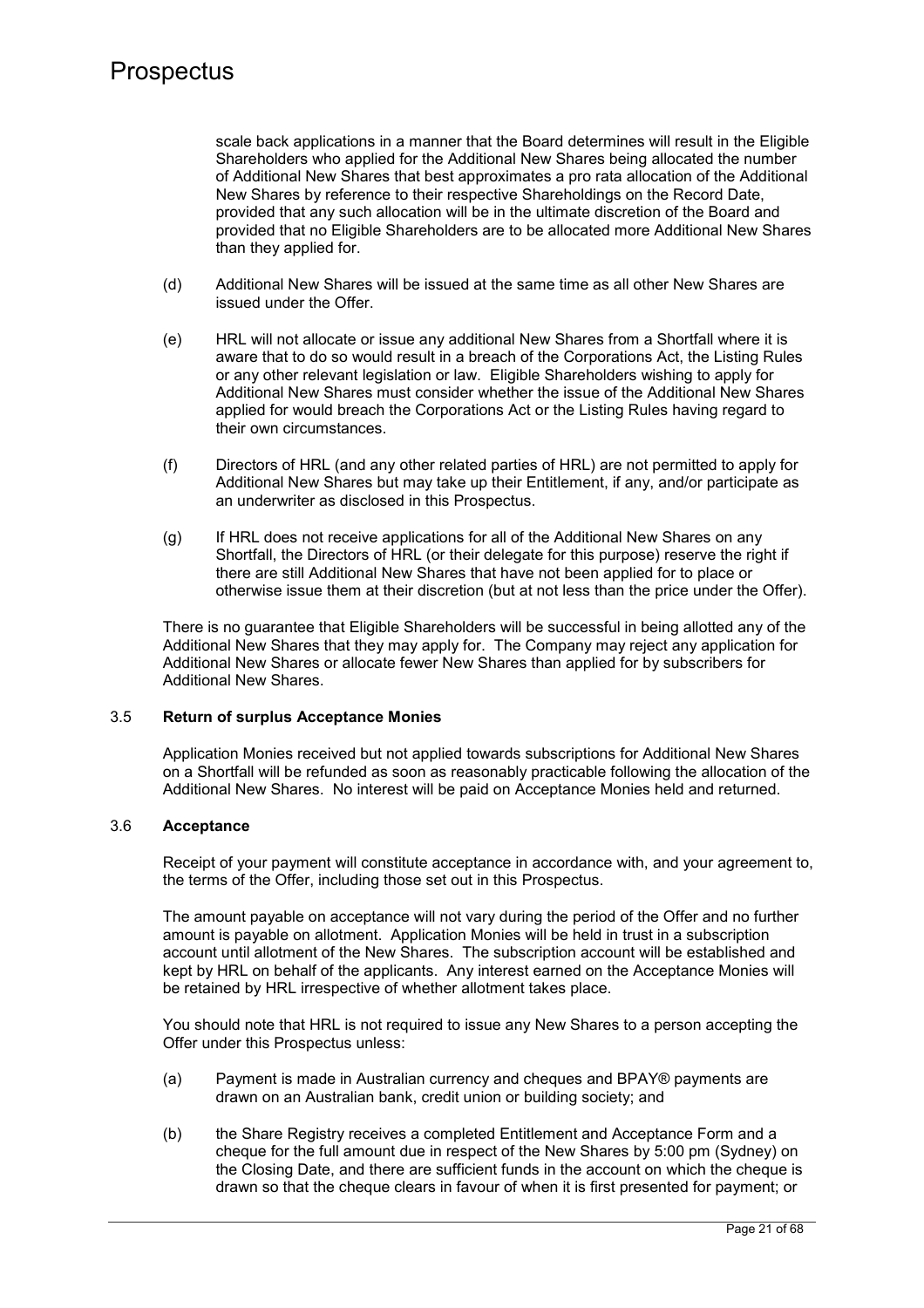scale back applications in a manner that the Board determines will result in the Eligible Shareholders who applied for the Additional New Shares being allocated the number of Additional New Shares that best approximates a pro rata allocation of the Additional New Shares by reference to their respective Shareholdings on the Record Date, provided that any such allocation will be in the ultimate discretion of the Board and provided that no Eligible Shareholders are to be allocated more Additional New Shares than they applied for.

- (d) Additional New Shares will be issued at the same time as all other New Shares are issued under the Offer.
- (e) HRL will not allocate or issue any additional New Shares from a Shortfall where it is aware that to do so would result in a breach of the Corporations Act, the Listing Rules or any other relevant legislation or law. Eligible Shareholders wishing to apply for Additional New Shares must consider whether the issue of the Additional New Shares applied for would breach the Corporations Act or the Listing Rules having regard to their own circumstances.
- (f) Directors of HRL (and any other related parties of HRL) are not permitted to apply for Additional New Shares but may take up their Entitlement, if any, and/or participate as an underwriter as disclosed in this Prospectus.
- (g) If HRL does not receive applications for all of the Additional New Shares on any Shortfall, the Directors of HRL (or their delegate for this purpose) reserve the right if there are still Additional New Shares that have not been applied for to place or otherwise issue them at their discretion (but at not less than the price under the Offer).

There is no guarantee that Eligible Shareholders will be successful in being allotted any of the Additional New Shares that they may apply for. The Company may reject any application for Additional New Shares or allocate fewer New Shares than applied for by subscribers for Additional New Shares.

## 3.5 **Return of surplus Acceptance Monies**

Application Monies received but not applied towards subscriptions for Additional New Shares on a Shortfall will be refunded as soon as reasonably practicable following the allocation of the Additional New Shares. No interest will be paid on Acceptance Monies held and returned.

## 3.6 **Acceptance**

Receipt of your payment will constitute acceptance in accordance with, and your agreement to, the terms of the Offer, including those set out in this Prospectus.

The amount payable on acceptance will not vary during the period of the Offer and no further amount is payable on allotment. Application Monies will be held in trust in a subscription account until allotment of the New Shares. The subscription account will be established and kept by HRL on behalf of the applicants. Any interest earned on the Acceptance Monies will be retained by HRL irrespective of whether allotment takes place.

You should note that HRL is not required to issue any New Shares to a person accepting the Offer under this Prospectus unless:

- (a) Payment is made in Australian currency and cheques and BPAY® payments are drawn on an Australian bank, credit union or building society; and
- (b) the Share Registry receives a completed Entitlement and Acceptance Form and a cheque for the full amount due in respect of the New Shares by 5:00 pm (Sydney) on the Closing Date, and there are sufficient funds in the account on which the cheque is drawn so that the cheque clears in favour of when it is first presented for payment; or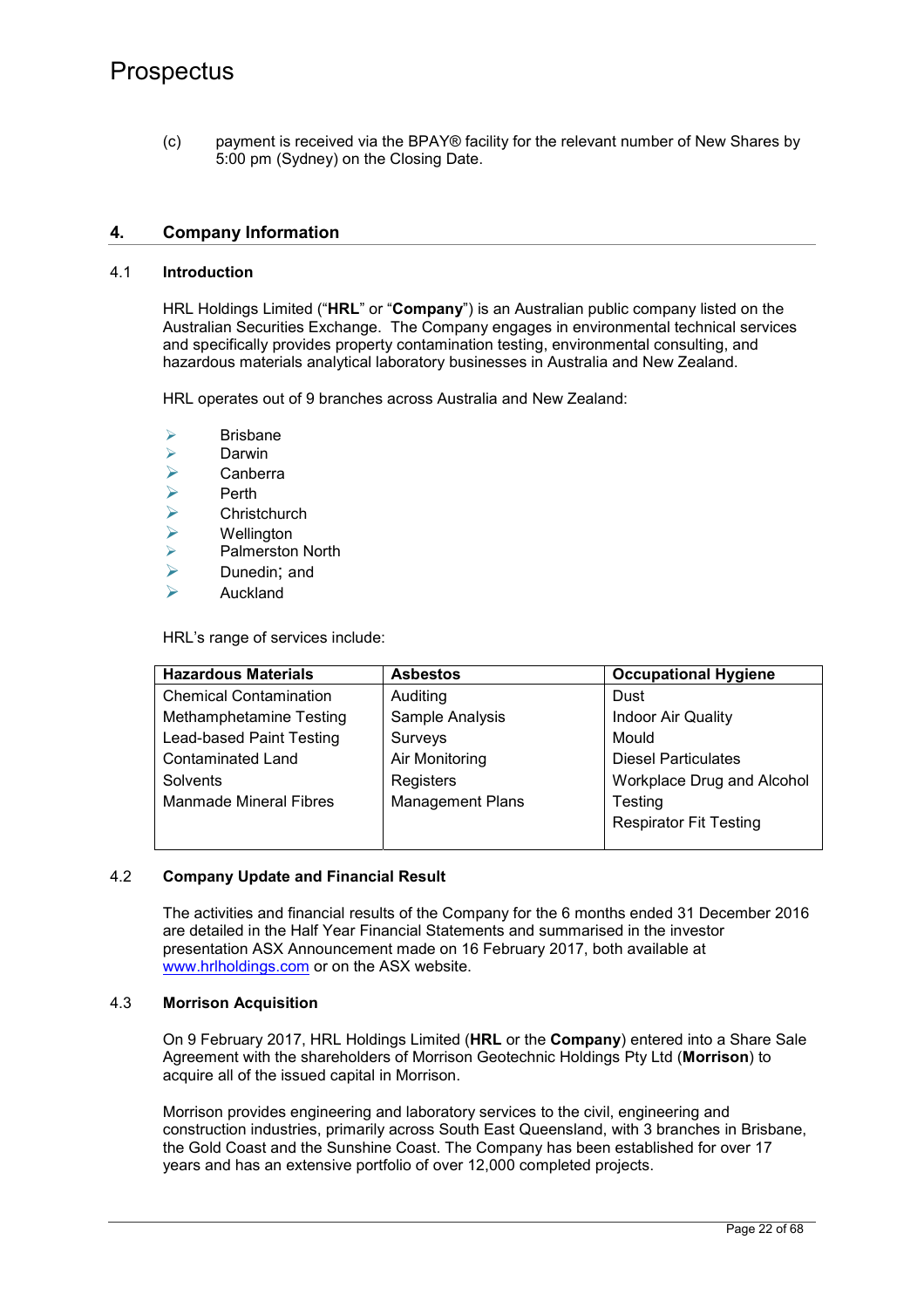(c) payment is received via the BPAY® facility for the relevant number of New Shares by 5:00 pm (Sydney) on the Closing Date.

## **4. Company Information**

### 4.1 **Introduction**

HRL Holdings Limited ("**HRL**" or "**Company**") is an Australian public company listed on the Australian Securities Exchange. The Company engages in environmental technical services and specifically provides property contamination testing, environmental consulting, and hazardous materials analytical laboratory businesses in Australia and New Zealand.

HRL operates out of 9 branches across Australia and New Zealand:

- $\triangleright$  Brisbane
- → Darwin<br>→ Canber
- $\triangleright$  Canberra
- 
- Perth<br>
Perth
- **Wellington**
- → Christchurch<br>→ Wellington<br>→ Palmerston N Palmerston North
- $\triangleright$  Dunedin; and
- $\triangleright$  Auckland

HRL's range of services include:

| <b>Hazardous Materials</b>     | <b>Asbestos</b>         | <b>Occupational Hygiene</b>   |
|--------------------------------|-------------------------|-------------------------------|
| <b>Chemical Contamination</b>  | Auditing                | Dust                          |
| <b>Methamphetamine Testing</b> | Sample Analysis         | <b>Indoor Air Quality</b>     |
| Lead-based Paint Testing       | Surveys                 | Mould                         |
| <b>Contaminated Land</b>       | Air Monitoring          | <b>Diesel Particulates</b>    |
| Solvents                       | Registers               | Workplace Drug and Alcohol    |
| <b>Manmade Mineral Fibres</b>  | <b>Management Plans</b> | <b>Testing</b>                |
|                                |                         | <b>Respirator Fit Testing</b> |
|                                |                         |                               |

## 4.2 **Company Update and Financial Result**

The activities and financial results of the Company for the 6 months ended 31 December 2016 are detailed in the Half Year Financial Statements and summarised in the investor presentation ASX Announcement made on 16 February 2017, both available at www.hrlholdings.com or on the ASX website.

#### 4.3 **Morrison Acquisition**

On 9 February 2017, HRL Holdings Limited (**HRL** or the **Company**) entered into a Share Sale Agreement with the shareholders of Morrison Geotechnic Holdings Pty Ltd (**Morrison**) to acquire all of the issued capital in Morrison.

Morrison provides engineering and laboratory services to the civil, engineering and construction industries, primarily across South East Queensland, with 3 branches in Brisbane, the Gold Coast and the Sunshine Coast. The Company has been established for over 17 years and has an extensive portfolio of over 12,000 completed projects.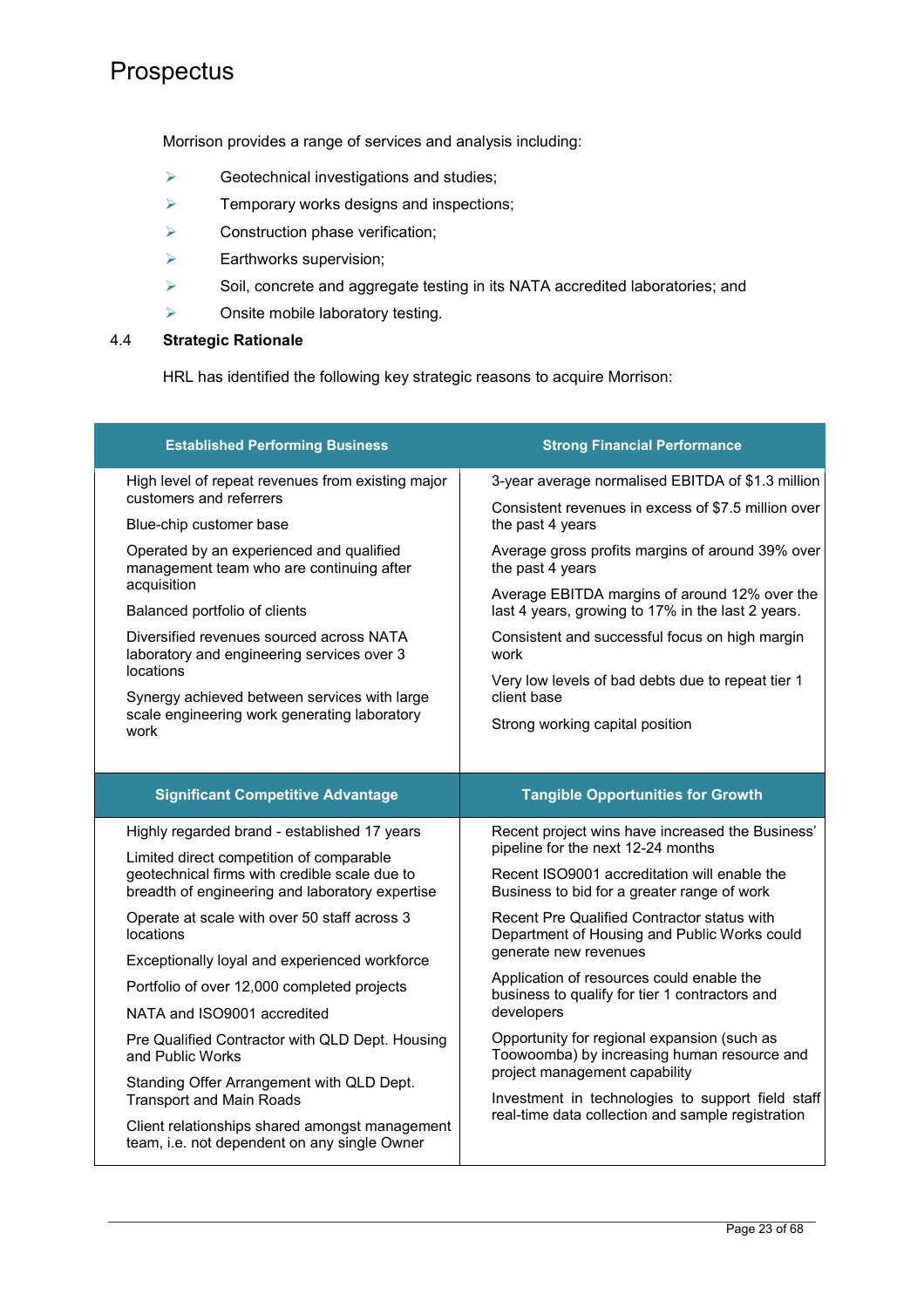Morrison provides a range of services and analysis including:

- $\triangleright$  Geotechnical investigations and studies;
- $\triangleright$  Temporary works designs and inspections;
- $\triangleright$  Construction phase verification;
- $\triangleright$  Earthworks supervision;
- Soil, concrete and aggregate testing in its NATA accredited laboratories; and
- Onsite mobile laboratory testing.

### 4.4 **Strategic Rationale**

HRL has identified the following key strategic reasons to acquire Morrison:

| <b>Established Performing Business</b>                                                                                                       | <b>Strong Financial Performance</b>                                                                                         |
|----------------------------------------------------------------------------------------------------------------------------------------------|-----------------------------------------------------------------------------------------------------------------------------|
| High level of repeat revenues from existing major                                                                                            | 3-year average normalised EBITDA of \$1.3 million                                                                           |
| customers and referrers<br>Blue-chip customer base                                                                                           | Consistent revenues in excess of \$7.5 million over<br>the past 4 years                                                     |
| Operated by an experienced and qualified<br>management team who are continuing after<br>acquisition                                          | Average gross profits margins of around 39% over<br>the past 4 years                                                        |
| Balanced portfolio of clients                                                                                                                | Average EBITDA margins of around 12% over the<br>last 4 years, growing to 17% in the last 2 years.                          |
| Diversified revenues sourced across NATA<br>laboratory and engineering services over 3                                                       | Consistent and successful focus on high margin<br>work                                                                      |
| locations<br>Synergy achieved between services with large                                                                                    | Very low levels of bad debts due to repeat tier 1<br>client base                                                            |
| scale engineering work generating laboratory<br>work                                                                                         | Strong working capital position                                                                                             |
|                                                                                                                                              |                                                                                                                             |
| <b>Significant Competitive Advantage</b>                                                                                                     | <b>Tangible Opportunities for Growth</b>                                                                                    |
| Highly regarded brand - established 17 years                                                                                                 | Recent project wins have increased the Business'<br>pipeline for the next 12-24 months                                      |
| Limited direct competition of comparable<br>geotechnical firms with credible scale due to<br>breadth of engineering and laboratory expertise | Recent ISO9001 accreditation will enable the<br>Business to bid for a greater range of work                                 |
| Operate at scale with over 50 staff across 3<br><b>locations</b>                                                                             | Recent Pre Qualified Contractor status with<br>Department of Housing and Public Works could                                 |
| Exceptionally loyal and experienced workforce                                                                                                | generate new revenues                                                                                                       |
| Portfolio of over 12,000 completed projects                                                                                                  | Application of resources could enable the<br>business to qualify for tier 1 contractors and                                 |
| NATA and ISO9001 accredited                                                                                                                  | developers                                                                                                                  |
| Pre Qualified Contractor with QLD Dept. Housing<br>and Public Works                                                                          | Opportunity for regional expansion (such as<br>Toowoomba) by increasing human resource and<br>project management capability |
| Standing Offer Arrangement with QLD Dept.<br><b>Transport and Main Roads</b>                                                                 | Investment in technologies to support field staff                                                                           |
| Client relationships shared amongst management<br>team, i.e. not dependent on any single Owner                                               | real-time data collection and sample registration                                                                           |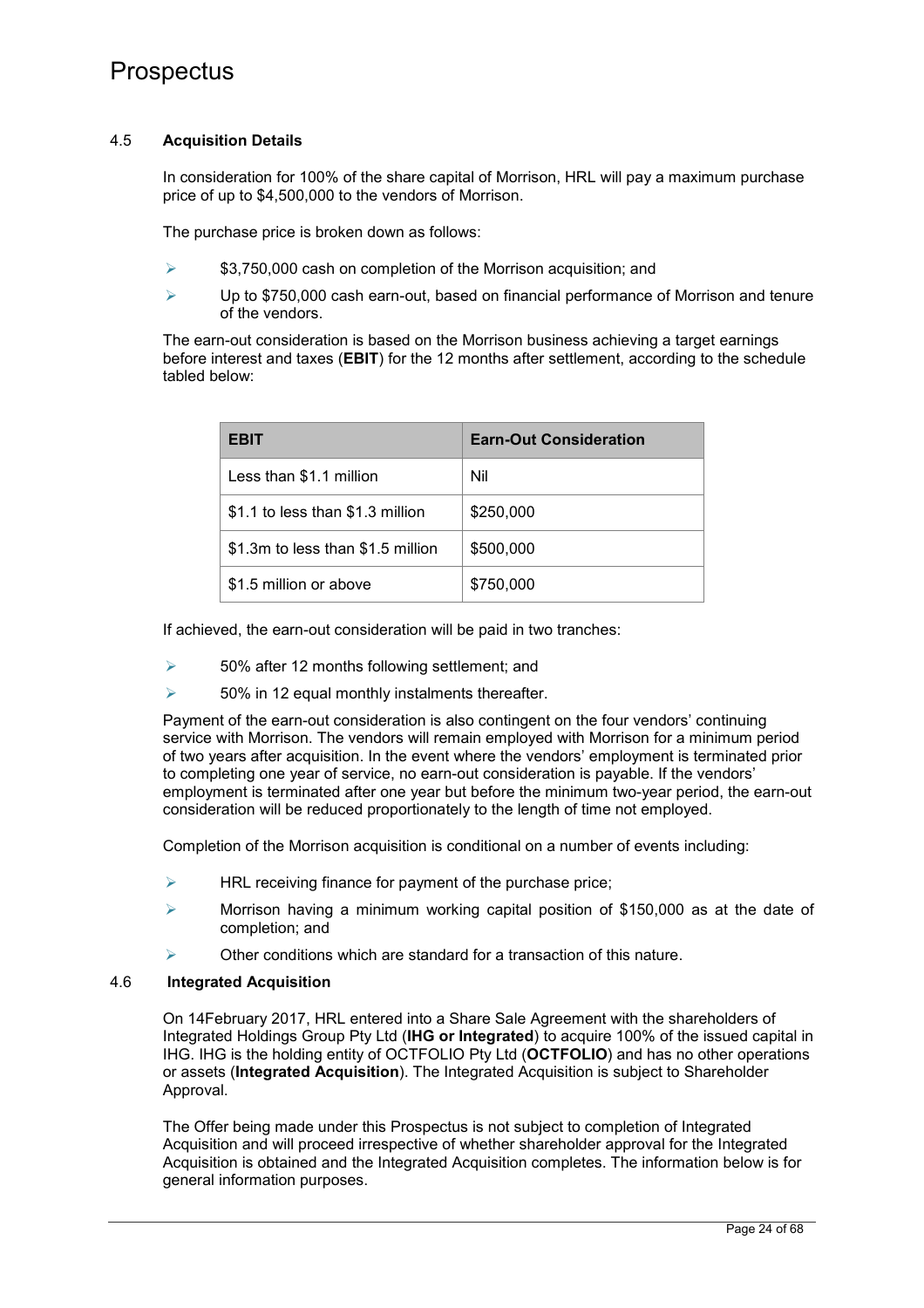### 4.5 **Acquisition Details**

In consideration for 100% of the share capital of Morrison, HRL will pay a maximum purchase price of up to \$4,500,000 to the vendors of Morrison.

The purchase price is broken down as follows:

- $\geq$  \$3,750,000 cash on completion of the Morrison acquisition; and
- Up to \$750,000 cash earn-out, based on financial performance of Morrison and tenure of the vendors.

The earn-out consideration is based on the Morrison business achieving a target earnings before interest and taxes (**EBIT**) for the 12 months after settlement, according to the schedule tabled below:

| EBIT                              | <b>Earn-Out Consideration</b> |
|-----------------------------------|-------------------------------|
| Less than \$1.1 million           | Nil                           |
| \$1.1 to less than \$1.3 million  | \$250,000                     |
| \$1.3m to less than \$1.5 million | \$500,000                     |
| \$1.5 million or above            | \$750,000                     |

If achieved, the earn-out consideration will be paid in two tranches:

- $\geq$  50% after 12 months following settlement; and
- $\geq$  50% in 12 equal monthly instalments thereafter.

Payment of the earn-out consideration is also contingent on the four vendors' continuing service with Morrison. The vendors will remain employed with Morrison for a minimum period of two years after acquisition. In the event where the vendors' employment is terminated prior to completing one year of service, no earn-out consideration is payable. If the vendors' employment is terminated after one year but before the minimum two-year period, the earn-out consideration will be reduced proportionately to the length of time not employed.

Completion of the Morrison acquisition is conditional on a number of events including:

- $\triangleright$  HRL receiving finance for payment of the purchase price;
- $\triangleright$  Morrison having a minimum working capital position of \$150,000 as at the date of completion; and
- $\triangleright$  Other conditions which are standard for a transaction of this nature.

## 4.6 **Integrated Acquisition**

On 14February 2017, HRL entered into a Share Sale Agreement with the shareholders of Integrated Holdings Group Pty Ltd (**IHG or Integrated**) to acquire 100% of the issued capital in IHG. IHG is the holding entity of OCTFOLIO Pty Ltd (**OCTFOLIO**) and has no other operations or assets (**Integrated Acquisition**). The Integrated Acquisition is subject to Shareholder Approval.

The Offer being made under this Prospectus is not subject to completion of Integrated Acquisition and will proceed irrespective of whether shareholder approval for the Integrated Acquisition is obtained and the Integrated Acquisition completes. The information below is for general information purposes.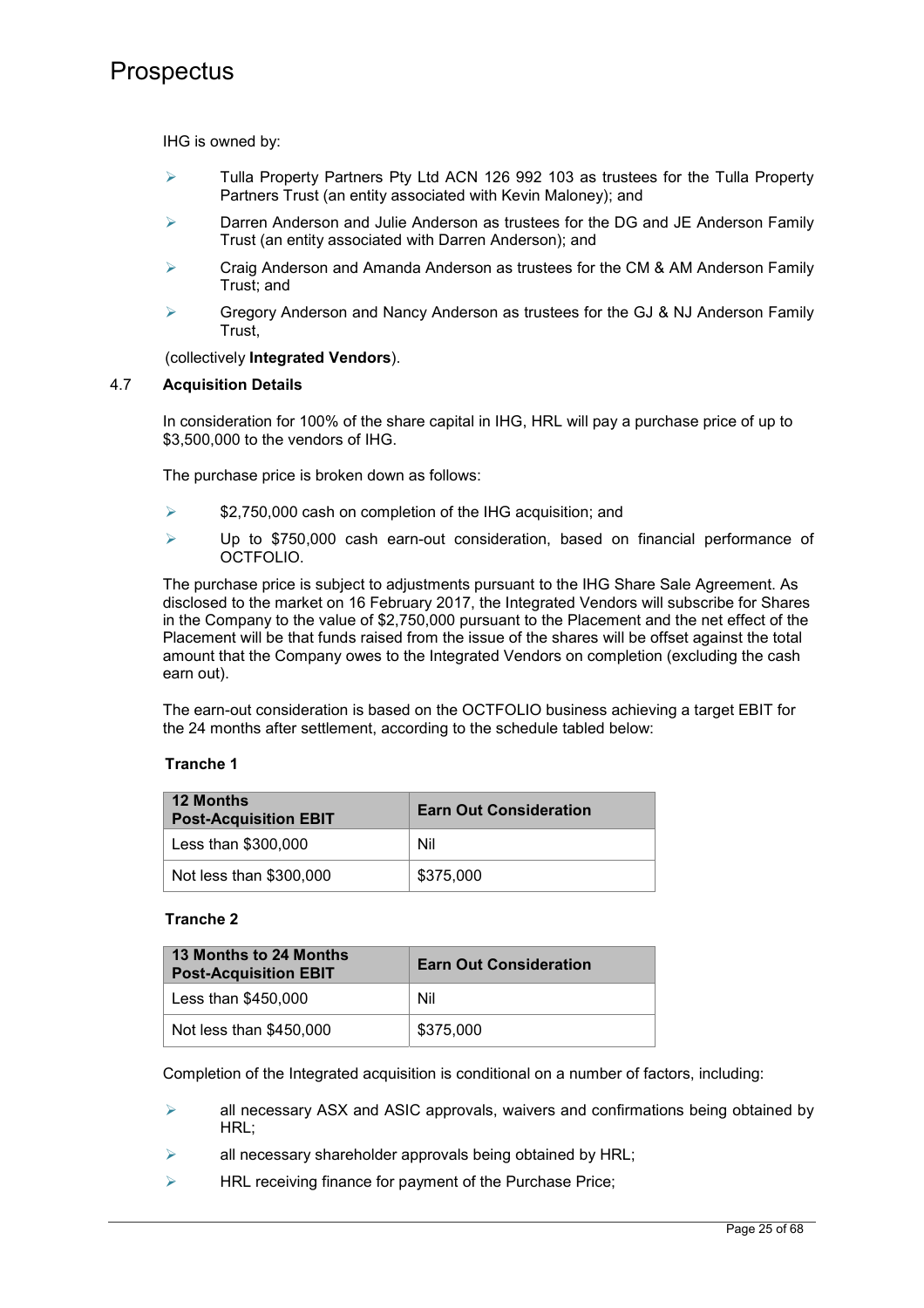IHG is owned by:

- $\triangleright$  Tulla Property Partners Pty Ltd ACN 126 992 103 as trustees for the Tulla Property Partners Trust (an entity associated with Kevin Maloney); and
- $\triangleright$  Darren Anderson and Julie Anderson as trustees for the DG and JE Anderson Family Trust (an entity associated with Darren Anderson); and
- $\triangleright$  Craig Anderson and Amanda Anderson as trustees for the CM & AM Anderson Family Trust; and
- $\triangleright$  Gregory Anderson and Nancy Anderson as trustees for the GJ & NJ Anderson Family Trust,

(collectively **Integrated Vendors**).

### 4.7 **Acquisition Details**

In consideration for 100% of the share capital in IHG, HRL will pay a purchase price of up to \$3,500,000 to the vendors of IHG.

The purchase price is broken down as follows:

- $\geq$  \$2,750,000 cash on completion of the IHG acquisition; and
- $\triangleright$  Up to \$750,000 cash earn-out consideration, based on financial performance of OCTFOLIO.

The purchase price is subject to adjustments pursuant to the IHG Share Sale Agreement. As disclosed to the market on 16 February 2017, the Integrated Vendors will subscribe for Shares in the Company to the value of \$2,750,000 pursuant to the Placement and the net effect of the Placement will be that funds raised from the issue of the shares will be offset against the total amount that the Company owes to the Integrated Vendors on completion (excluding the cash earn out).

The earn-out consideration is based on the OCTFOLIO business achieving a target EBIT for the 24 months after settlement, according to the schedule tabled below:

#### **Tranche 1**

| <b>12 Months</b><br><b>Post-Acquisition EBIT</b> | <b>Earn Out Consideration</b> |
|--------------------------------------------------|-------------------------------|
| Less than \$300,000                              | Nil                           |
| Not less than \$300,000                          | \$375,000                     |

## **Tranche 2**

| 13 Months to 24 Months<br><b>Post-Acquisition EBIT</b> | <b>Earn Out Consideration</b> |
|--------------------------------------------------------|-------------------------------|
| Less than \$450,000                                    | Nil                           |
| Not less than \$450,000                                | \$375,000                     |

Completion of the Integrated acquisition is conditional on a number of factors, including:

- $\triangleright$  all necessary ASX and ASIC approvals, waivers and confirmations being obtained by HRL;
- all necessary shareholder approvals being obtained by HRL;
- $\triangleright$  HRL receiving finance for payment of the Purchase Price;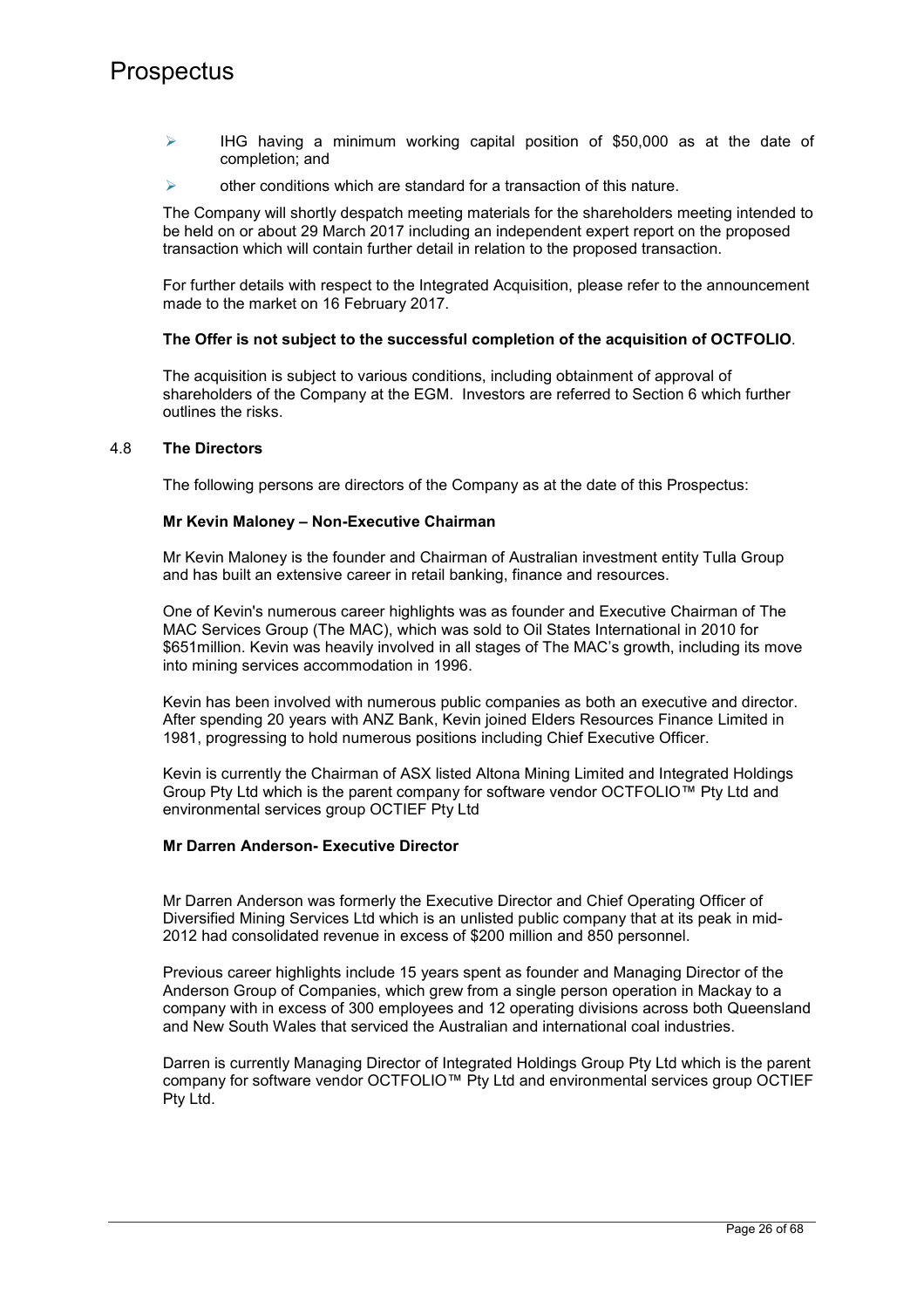- $\triangleright$  IHG having a minimum working capital position of \$50,000 as at the date of completion; and
- $\triangleright$  other conditions which are standard for a transaction of this nature.

The Company will shortly despatch meeting materials for the shareholders meeting intended to be held on or about 29 March 2017 including an independent expert report on the proposed transaction which will contain further detail in relation to the proposed transaction.

For further details with respect to the Integrated Acquisition, please refer to the announcement made to the market on 16 February 2017.

### **The Offer is not subject to the successful completion of the acquisition of OCTFOLIO**.

The acquisition is subject to various conditions, including obtainment of approval of shareholders of the Company at the EGM. Investors are referred to Section 6 which further outlines the risks.

#### 4.8 **The Directors**

The following persons are directors of the Company as at the date of this Prospectus:

#### **Mr Kevin Maloney – Non-Executive Chairman**

Mr Kevin Maloney is the founder and Chairman of Australian investment entity Tulla Group and has built an extensive career in retail banking, finance and resources.

One of Kevin's numerous career highlights was as founder and Executive Chairman of The MAC Services Group (The MAC), which was sold to Oil States International in 2010 for \$651million. Kevin was heavily involved in all stages of The MAC's growth, including its move into mining services accommodation in 1996.

Kevin has been involved with numerous public companies as both an executive and director. After spending 20 years with ANZ Bank, Kevin joined Elders Resources Finance Limited in 1981, progressing to hold numerous positions including Chief Executive Officer.

Kevin is currently the Chairman of ASX listed Altona Mining Limited and Integrated Holdings Group Pty Ltd which is the parent company for software vendor OCTFOLIO™ Pty Ltd and environmental services group OCTIEF Pty Ltd

#### **Mr Darren Anderson- Executive Director**

Mr Darren Anderson was formerly the Executive Director and Chief Operating Officer of Diversified Mining Services Ltd which is an unlisted public company that at its peak in mid-2012 had consolidated revenue in excess of \$200 million and 850 personnel.

Previous career highlights include 15 years spent as founder and Managing Director of the Anderson Group of Companies, which grew from a single person operation in Mackay to a company with in excess of 300 employees and 12 operating divisions across both Queensland and New South Wales that serviced the Australian and international coal industries.

Darren is currently Managing Director of Integrated Holdings Group Pty Ltd which is the parent company for software vendor OCTFOLIO™ Pty Ltd and environmental services group OCTIEF Pty Ltd.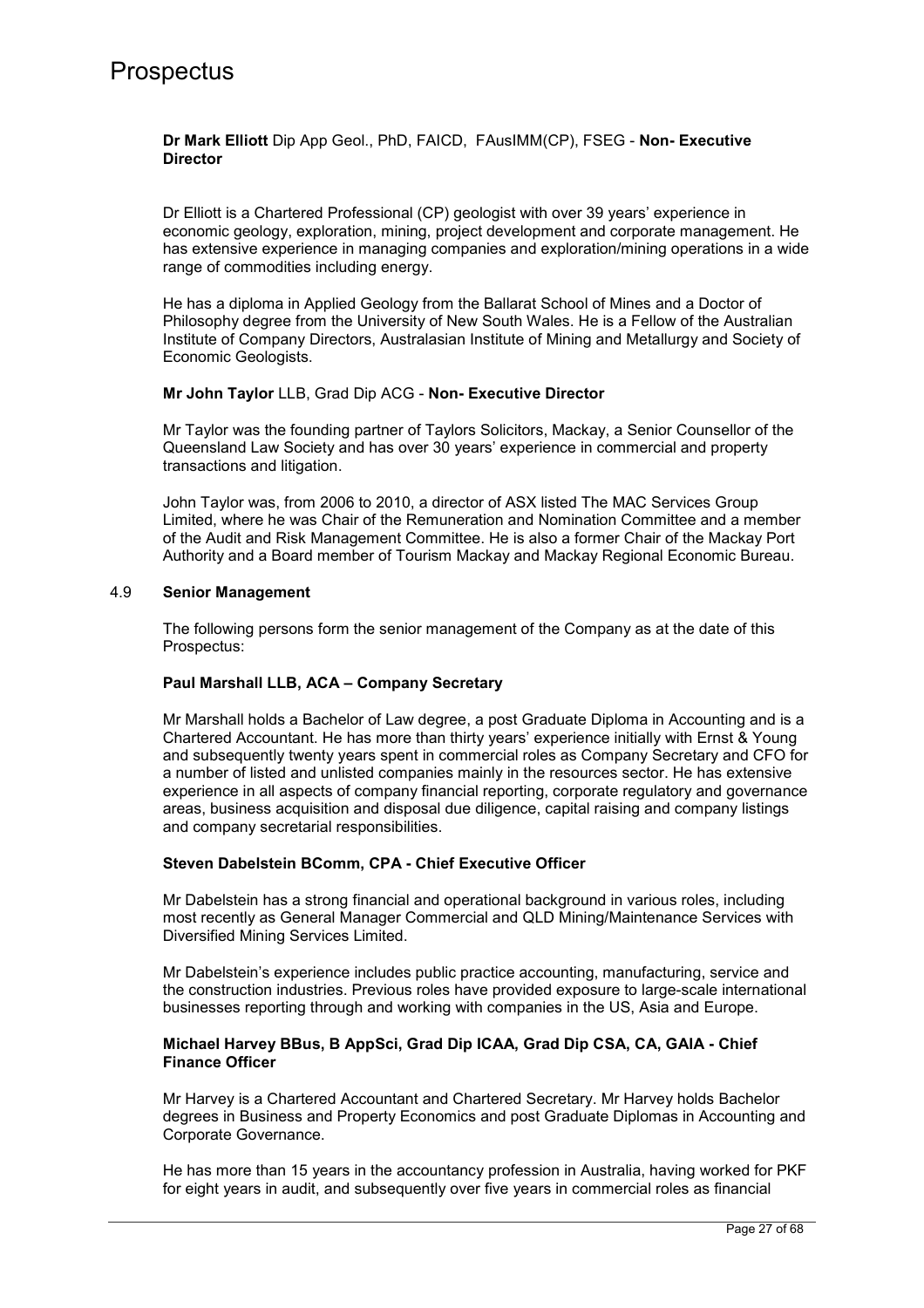### **Dr Mark Elliott** Dip App Geol., PhD, FAICD, FAusIMM(CP), FSEG - **Non- Executive Director**

Dr Elliott is a Chartered Professional (CP) geologist with over 39 years' experience in economic geology, exploration, mining, project development and corporate management. He has extensive experience in managing companies and exploration/mining operations in a wide range of commodities including energy.

He has a diploma in Applied Geology from the Ballarat School of Mines and a Doctor of Philosophy degree from the University of New South Wales. He is a Fellow of the Australian Institute of Company Directors, Australasian Institute of Mining and Metallurgy and Society of Economic Geologists.

### **Mr John Taylor** LLB, Grad Dip ACG - **Non- Executive Director**

Mr Taylor was the founding partner of Taylors Solicitors, Mackay, a Senior Counsellor of the Queensland Law Society and has over 30 years' experience in commercial and property transactions and litigation.

John Taylor was, from 2006 to 2010, a director of ASX listed The MAC Services Group Limited, where he was Chair of the Remuneration and Nomination Committee and a member of the Audit and Risk Management Committee. He is also a former Chair of the Mackay Port Authority and a Board member of Tourism Mackay and Mackay Regional Economic Bureau.

### 4.9 **Senior Management**

The following persons form the senior management of the Company as at the date of this Prospectus:

## **Paul Marshall LLB, ACA – Company Secretary**

Mr Marshall holds a Bachelor of Law degree, a post Graduate Diploma in Accounting and is a Chartered Accountant. He has more than thirty years' experience initially with Ernst & Young and subsequently twenty years spent in commercial roles as Company Secretary and CFO for a number of listed and unlisted companies mainly in the resources sector. He has extensive experience in all aspects of company financial reporting, corporate regulatory and governance areas, business acquisition and disposal due diligence, capital raising and company listings and company secretarial responsibilities.

#### **Steven Dabelstein BComm, CPA - Chief Executive Officer**

Mr Dabelstein has a strong financial and operational background in various roles, including most recently as General Manager Commercial and QLD Mining/Maintenance Services with Diversified Mining Services Limited.

Mr Dabelstein's experience includes public practice accounting, manufacturing, service and the construction industries. Previous roles have provided exposure to large-scale international businesses reporting through and working with companies in the US, Asia and Europe.

### **Michael Harvey BBus, B AppSci, Grad Dip ICAA, Grad Dip CSA, CA, GAIA - Chief Finance Officer**

Mr Harvey is a Chartered Accountant and Chartered Secretary. Mr Harvey holds Bachelor degrees in Business and Property Economics and post Graduate Diplomas in Accounting and Corporate Governance.

He has more than 15 years in the accountancy profession in Australia, having worked for PKF for eight years in audit, and subsequently over five years in commercial roles as financial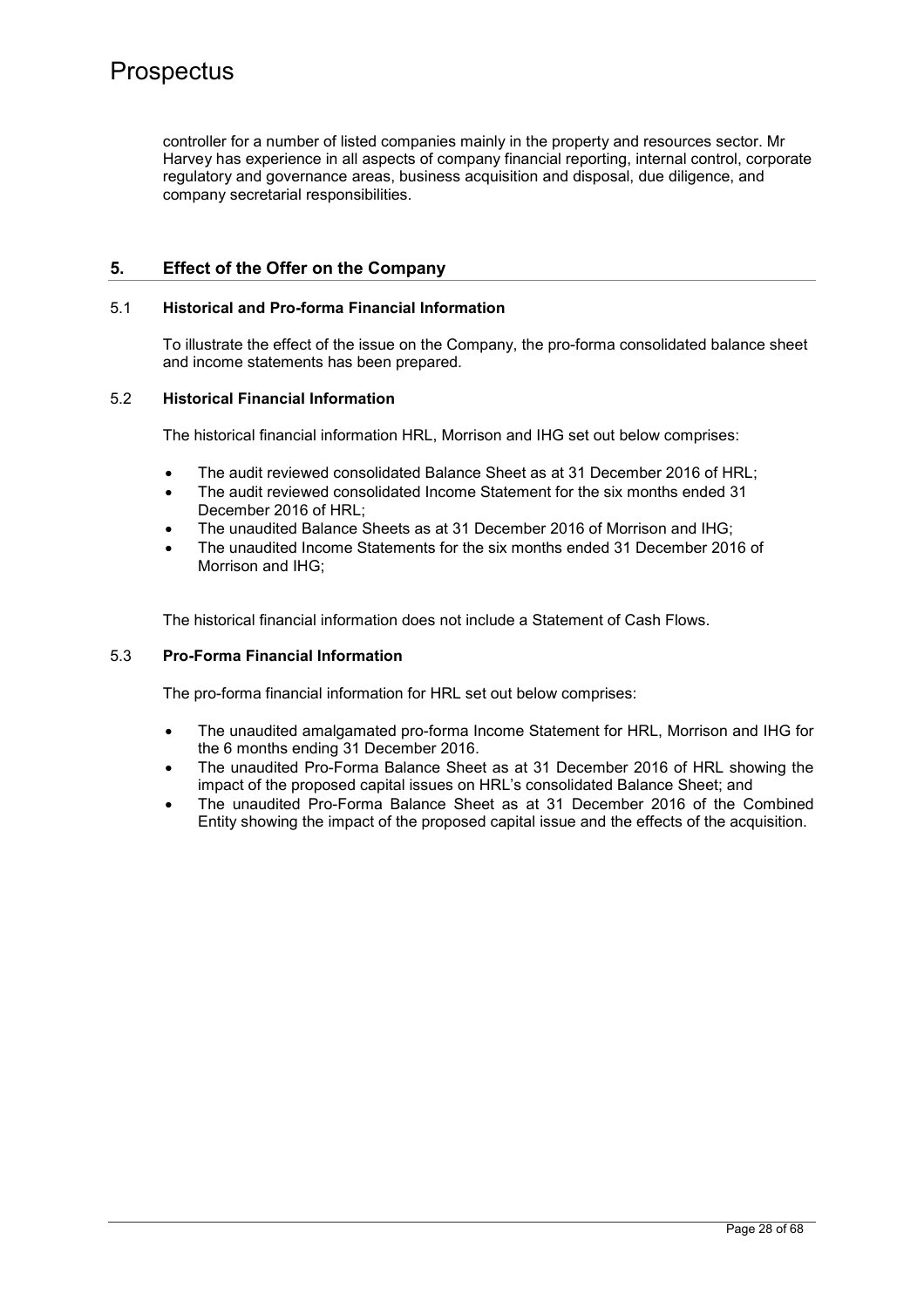controller for a number of listed companies mainly in the property and resources sector. Mr Harvey has experience in all aspects of company financial reporting, internal control, corporate regulatory and governance areas, business acquisition and disposal, due diligence, and company secretarial responsibilities.

## **5. Effect of the Offer on the Company**

### 5.1 **Historical and Pro-forma Financial Information**

To illustrate the effect of the issue on the Company, the pro-forma consolidated balance sheet and income statements has been prepared.

### 5.2 **Historical Financial Information**

The historical financial information HRL, Morrison and IHG set out below comprises:

- The audit reviewed consolidated Balance Sheet as at 31 December 2016 of HRL;
- The audit reviewed consolidated Income Statement for the six months ended 31 December 2016 of HRL;
- The unaudited Balance Sheets as at 31 December 2016 of Morrison and IHG;
- The unaudited Income Statements for the six months ended 31 December 2016 of Morrison and IHG;

The historical financial information does not include a Statement of Cash Flows.

## 5.3 **Pro-Forma Financial Information**

The pro-forma financial information for HRL set out below comprises:

- The unaudited amalgamated pro-forma Income Statement for HRL, Morrison and IHG for the 6 months ending 31 December 2016.
- The unaudited Pro-Forma Balance Sheet as at 31 December 2016 of HRL showing the impact of the proposed capital issues on HRL's consolidated Balance Sheet; and
- The unaudited Pro-Forma Balance Sheet as at 31 December 2016 of the Combined Entity showing the impact of the proposed capital issue and the effects of the acquisition.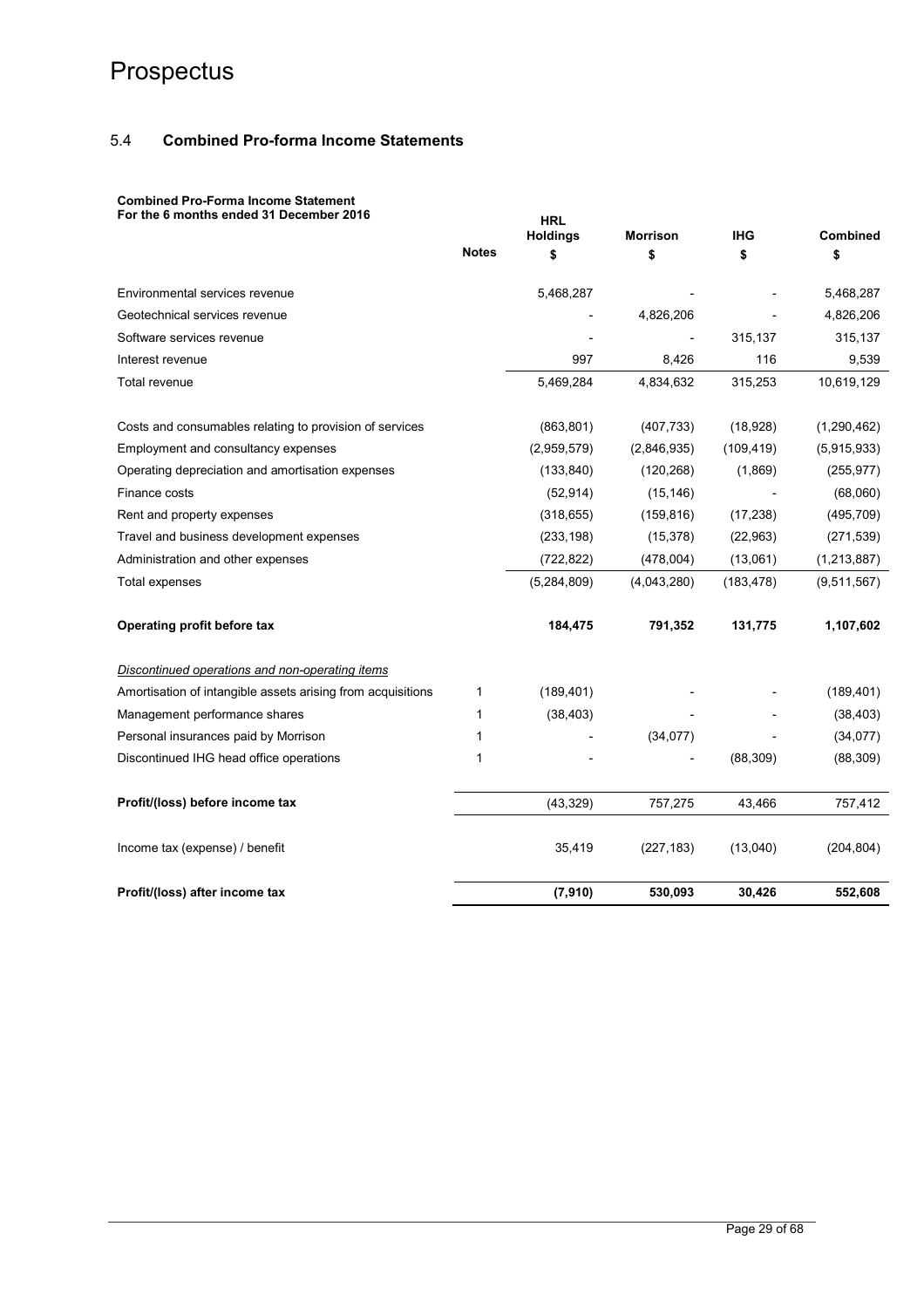## 5.4 **Combined Pro-forma Income Statements**

## **Combined Pro-Forma Income Statement**

| For the 6 months ended 31 December 2016                     |              | <b>HRL</b><br><b>Holdings</b> | <b>Morrison</b> | <b>IHG</b> | <b>Combined</b> |
|-------------------------------------------------------------|--------------|-------------------------------|-----------------|------------|-----------------|
|                                                             | <b>Notes</b> | \$                            | \$              | \$         | \$              |
| Environmental services revenue                              |              | 5,468,287                     |                 |            | 5,468,287       |
| Geotechnical services revenue                               |              |                               | 4,826,206       |            | 4,826,206       |
| Software services revenue                                   |              |                               |                 | 315,137    | 315,137         |
| Interest revenue                                            |              | 997                           | 8,426           | 116        | 9,539           |
| Total revenue                                               |              | 5,469,284                     | 4,834,632       | 315,253    | 10,619,129      |
| Costs and consumables relating to provision of services     |              | (863, 801)                    | (407, 733)      | (18,928)   | (1, 290, 462)   |
| Employment and consultancy expenses                         |              | (2,959,579)                   | (2,846,935)     | (109, 419) | (5,915,933)     |
| Operating depreciation and amortisation expenses            |              | (133, 840)                    | (120, 268)      | (1,869)    | (255, 977)      |
| Finance costs                                               |              | (52, 914)                     | (15, 146)       |            | (68,060)        |
| Rent and property expenses                                  |              | (318, 655)                    | (159, 816)      | (17, 238)  | (495, 709)      |
| Travel and business development expenses                    |              | (233, 198)                    | (15, 378)       | (22, 963)  | (271, 539)      |
| Administration and other expenses                           |              | (722, 822)                    | (478,004)       | (13,061)   | (1, 213, 887)   |
| <b>Total expenses</b>                                       |              | (5,284,809)                   | (4,043,280)     | (183, 478) | (9,511,567)     |
| Operating profit before tax                                 |              | 184,475                       | 791,352         | 131,775    | 1,107,602       |
| Discontinued operations and non-operating items             |              |                               |                 |            |                 |
| Amortisation of intangible assets arising from acquisitions | 1            | (189, 401)                    |                 |            | (189, 401)      |
| Management performance shares                               | 1            | (38, 403)                     |                 |            | (38, 403)       |
| Personal insurances paid by Morrison                        | 1            |                               | (34, 077)       |            | (34, 077)       |
| Discontinued IHG head office operations                     | 1            |                               |                 | (88, 309)  | (88, 309)       |
| Profit/(loss) before income tax                             |              | (43, 329)                     | 757,275         | 43,466     | 757,412         |
| Income tax (expense) / benefit                              |              | 35,419                        | (227, 183)      | (13,040)   | (204, 804)      |
| Profit/(loss) after income tax                              |              | (7, 910)                      | 530,093         | 30,426     | 552,608         |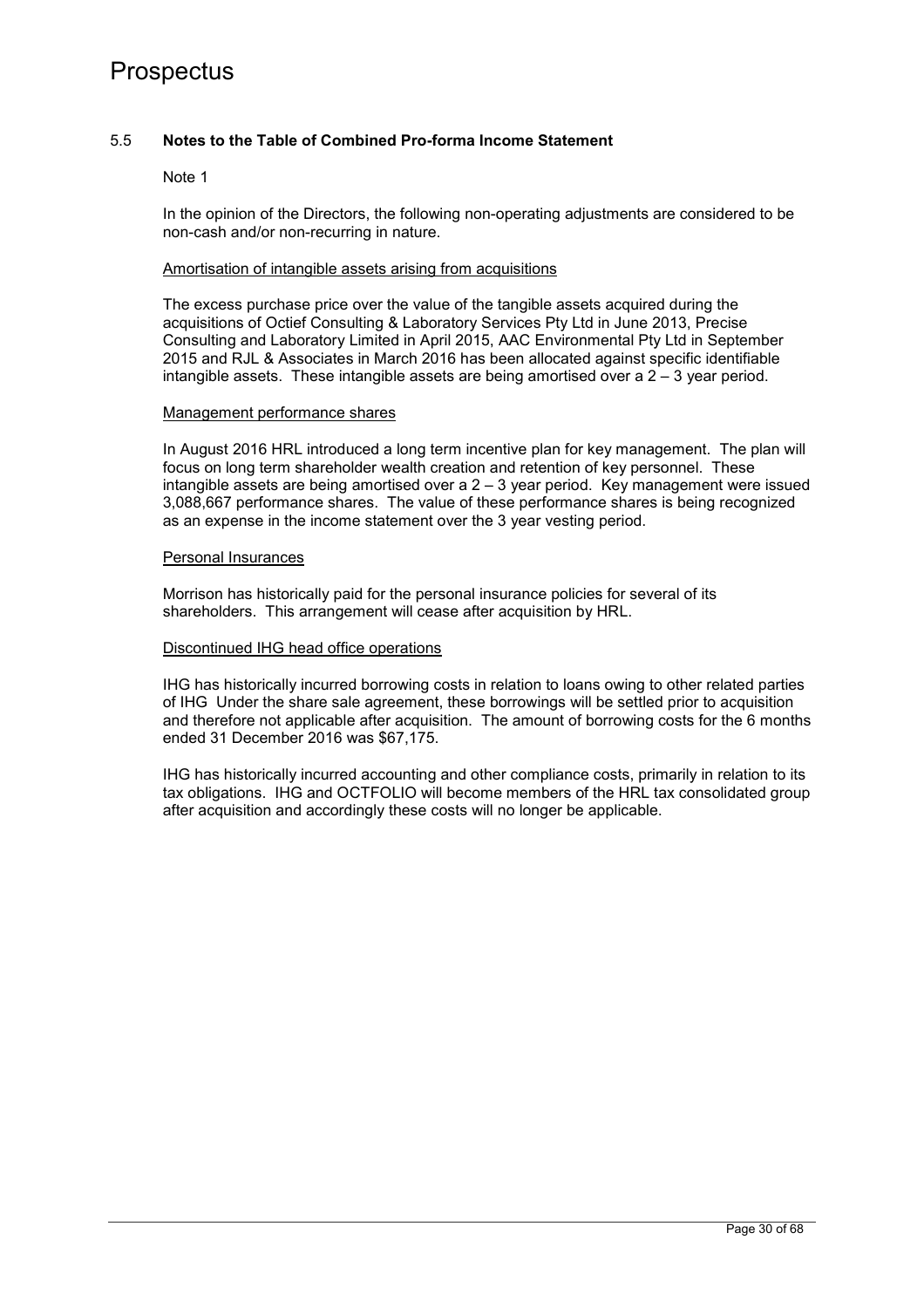## 5.5 **Notes to the Table of Combined Pro-forma Income Statement**

#### Note 1

In the opinion of the Directors, the following non-operating adjustments are considered to be non-cash and/or non-recurring in nature.

#### Amortisation of intangible assets arising from acquisitions

The excess purchase price over the value of the tangible assets acquired during the acquisitions of Octief Consulting & Laboratory Services Pty Ltd in June 2013, Precise Consulting and Laboratory Limited in April 2015, AAC Environmental Pty Ltd in September 2015 and RJL & Associates in March 2016 has been allocated against specific identifiable intangible assets. These intangible assets are being amortised over a  $2 - 3$  year period.

#### Management performance shares

In August 2016 HRL introduced a long term incentive plan for key management. The plan will focus on long term shareholder wealth creation and retention of key personnel. These intangible assets are being amortised over a  $2 - 3$  year period. Key management were issued 3,088,667 performance shares. The value of these performance shares is being recognized as an expense in the income statement over the 3 year vesting period.

#### Personal Insurances

Morrison has historically paid for the personal insurance policies for several of its shareholders. This arrangement will cease after acquisition by HRL.

#### Discontinued IHG head office operations

IHG has historically incurred borrowing costs in relation to loans owing to other related parties of IHG Under the share sale agreement, these borrowings will be settled prior to acquisition and therefore not applicable after acquisition. The amount of borrowing costs for the 6 months ended 31 December 2016 was \$67,175.

IHG has historically incurred accounting and other compliance costs, primarily in relation to its tax obligations. IHG and OCTFOLIO will become members of the HRL tax consolidated group after acquisition and accordingly these costs will no longer be applicable.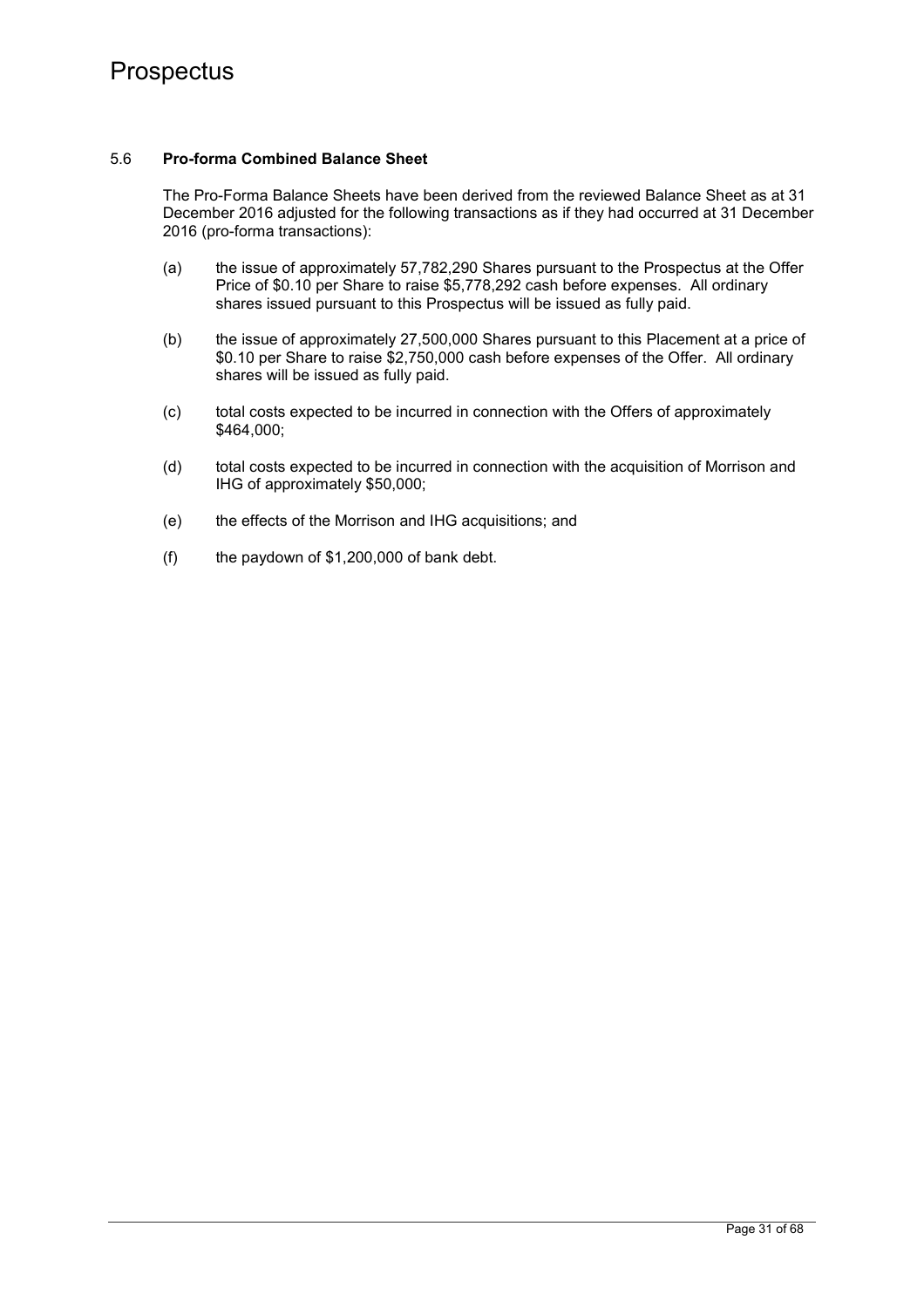## 5.6 **Pro-forma Combined Balance Sheet**

The Pro-Forma Balance Sheets have been derived from the reviewed Balance Sheet as at 31 December 2016 adjusted for the following transactions as if they had occurred at 31 December 2016 (pro-forma transactions):

- (a) the issue of approximately 57,782,290 Shares pursuant to the Prospectus at the Offer Price of \$0.10 per Share to raise \$5,778,292 cash before expenses. All ordinary shares issued pursuant to this Prospectus will be issued as fully paid.
- (b) the issue of approximately 27,500,000 Shares pursuant to this Placement at a price of \$0.10 per Share to raise \$2,750,000 cash before expenses of the Offer. All ordinary shares will be issued as fully paid.
- (c) total costs expected to be incurred in connection with the Offers of approximately \$464,000;
- (d) total costs expected to be incurred in connection with the acquisition of Morrison and IHG of approximately \$50,000;
- (e) the effects of the Morrison and IHG acquisitions; and
- (f) the paydown of \$1,200,000 of bank debt.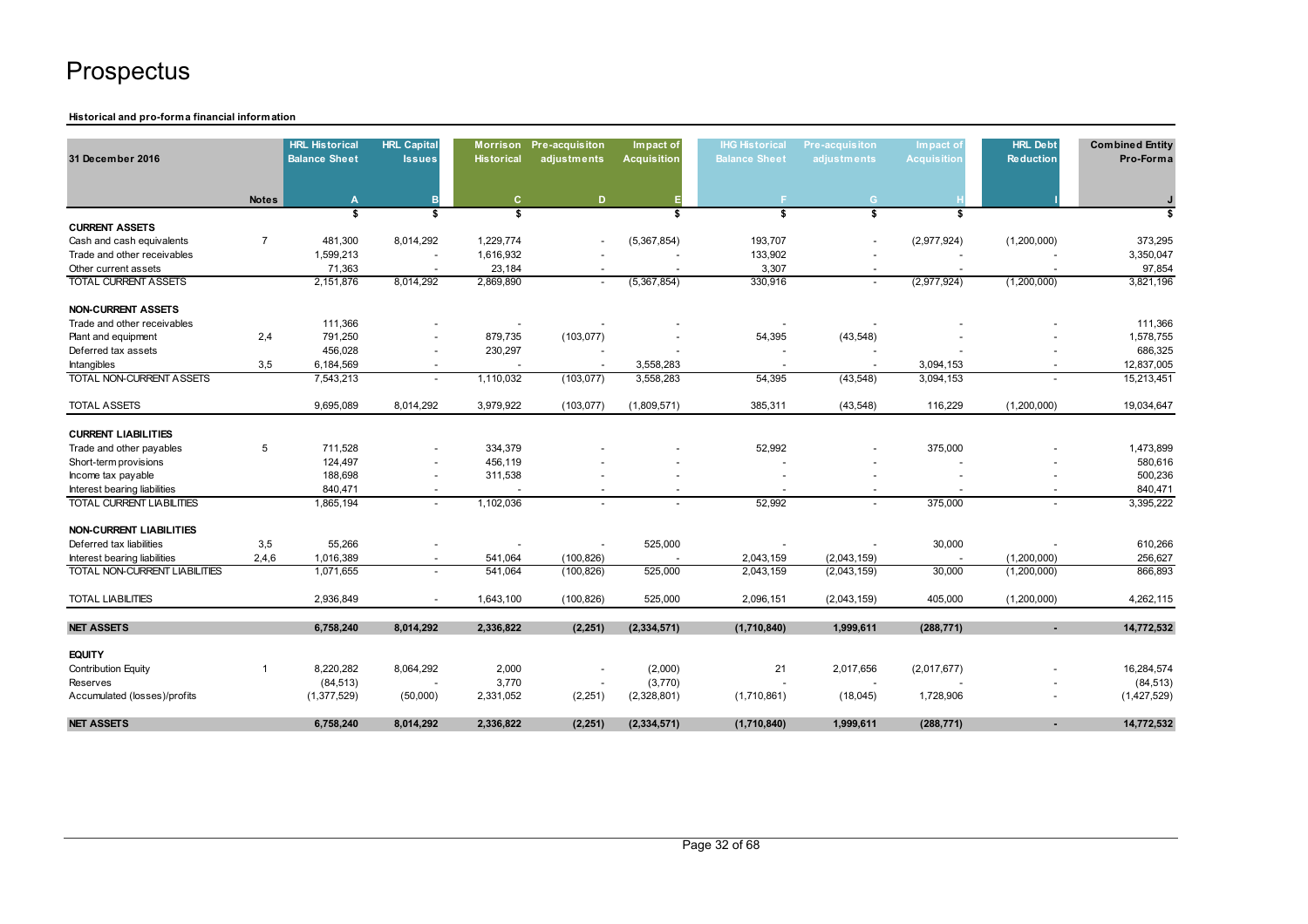#### **Historical and pro-forma financial information**

| 31 December 2016                     |                | <b>HRL Historical</b><br><b>Balance Sheet</b> | <b>HRL Capital</b><br><b>Issues</b> | <b>Historical</b> | Morrison Pre-acquisiton<br>adjustments | Impact of<br><b>Acquisition</b> | <b>IHG Historical</b><br><b>Balance Sheet</b> | Pre-acquisiton<br>adjustments | Impact of<br><b>Acquisition</b> | <b>HRL Debt</b><br><b>Reduction</b> | <b>Combined Entity</b><br>Pro-Forma |
|--------------------------------------|----------------|-----------------------------------------------|-------------------------------------|-------------------|----------------------------------------|---------------------------------|-----------------------------------------------|-------------------------------|---------------------------------|-------------------------------------|-------------------------------------|
|                                      | <b>Notes</b>   | $\mathbf{A}$                                  | в                                   | C.                | D                                      | Е                               |                                               | G.                            |                                 |                                     |                                     |
|                                      |                | \$                                            | \$                                  | \$                |                                        | \$                              | \$                                            | \$                            | \$                              |                                     | s                                   |
| <b>CURRENT ASSETS</b>                |                |                                               |                                     |                   |                                        |                                 |                                               |                               |                                 |                                     |                                     |
| Cash and cash equivalents            | $\overline{7}$ | 481,300                                       | 8,014,292                           | 1,229,774         |                                        | (5,367,854)                     | 193,707                                       |                               | (2,977,924)                     | (1,200,000)                         | 373,295                             |
| Trade and other receivables          |                | 1,599,213                                     |                                     | 1,616,932         |                                        |                                 | 133,902                                       |                               |                                 |                                     | 3,350,047                           |
| Other current assets                 |                | 71,363                                        |                                     | 23,184            |                                        |                                 | 3,307                                         |                               |                                 |                                     | 97,854                              |
| <b>TOTAL CURRENT ASSETS</b>          |                | 2,151,876                                     | 8,014,292                           | 2,869,890         |                                        | (5,367,854)                     | 330,916                                       | $\sim$                        | (2,977,924)                     | (1,200,000)                         | 3,821,196                           |
| <b>NON-CURRENT ASSETS</b>            |                |                                               |                                     |                   |                                        |                                 |                                               |                               |                                 |                                     |                                     |
| Trade and other receivables          |                | 111,366                                       |                                     |                   |                                        |                                 |                                               |                               |                                 |                                     | 111,366                             |
| Plant and equipment                  | 2,4            | 791,250                                       |                                     | 879,735           | (103, 077)                             |                                 | 54,395                                        | (43, 548)                     |                                 |                                     | 1,578,755                           |
| Deferred tax assets                  |                | 456,028                                       | $\overline{\phantom{a}}$            | 230,297           |                                        |                                 |                                               |                               |                                 |                                     | 686,325                             |
| Intangibles                          | 3,5            | 6,184,569                                     |                                     |                   |                                        | 3,558,283                       |                                               |                               | 3,094,153                       |                                     | 12,837,005                          |
| TOTAL NON-CURRENT ASSETS             |                | 7,543,213                                     | $\overline{\phantom{a}}$            | 1,110,032         | (103, 077)                             | 3,558,283                       | 54,395                                        | (43, 548)                     | 3,094,153                       |                                     | 15,213,451                          |
| <b>TOTAL ASSETS</b>                  |                | 9,695,089                                     | 8,014,292                           | 3,979,922         | (103, 077)                             | (1,809,571)                     | 385,311                                       | (43, 548)                     | 116,229                         | (1,200,000)                         | 19,034,647                          |
| <b>CURRENT LIABILITIES</b>           |                |                                               |                                     |                   |                                        |                                 |                                               |                               |                                 |                                     |                                     |
| Trade and other payables             | 5              | 711,528                                       |                                     | 334,379           |                                        |                                 | 52,992                                        |                               | 375,000                         |                                     | 1,473,899                           |
| Short-term provisions                |                | 124,497                                       |                                     | 456,119           |                                        |                                 |                                               |                               |                                 |                                     | 580,616                             |
| Income tax payable                   |                | 188,698                                       |                                     | 311,538           |                                        |                                 |                                               |                               |                                 |                                     | 500,236                             |
| Interest bearing liabilities         |                | 840,471                                       |                                     |                   |                                        |                                 |                                               |                               |                                 |                                     | 840,471                             |
| <b>TOTAL CURRENT LIABILITIES</b>     |                | 1,865,194                                     | $\overline{a}$                      | 1,102,036         |                                        | $\sim$                          | 52,992                                        | $\sim$                        | 375,000                         | $\overline{a}$                      | 3,395,222                           |
| <b>NON-CURRENT LIABILITIES</b>       |                |                                               |                                     |                   |                                        |                                 |                                               |                               |                                 |                                     |                                     |
| Deferred tax liabilities             | 3,5            | 55,266                                        |                                     |                   |                                        | 525,000                         |                                               |                               | 30,000                          |                                     | 610,266                             |
| Interest bearing liabilities         | 2,4,6          | 1,016,389                                     | $\overline{\phantom{a}}$            | 541,064           | (100, 826)                             |                                 | 2,043,159                                     | (2,043,159)                   |                                 | (1,200,000)                         | 256,627                             |
| <b>TOTAL NON-CURRENT LIABILITIES</b> |                | 1,071,655                                     |                                     | 541,064           | (100, 826)                             | 525,000                         | 2,043,159                                     | (2,043,159)                   | 30,000                          | (1,200,000)                         | 866,893                             |
| <b>TOTAL LIABILITIES</b>             |                | 2.936.849                                     | $\blacksquare$                      | 1.643.100         | (100, 826)                             | 525,000                         | 2,096,151                                     | (2,043,159)                   | 405.000                         | (1,200,000)                         | 4,262,115                           |
| <b>NET ASSETS</b>                    |                | 6,758,240                                     | 8,014,292                           | 2,336,822         | (2, 251)                               | (2, 334, 571)                   | (1,710,840)                                   | 1,999,611                     | (288, 771)                      |                                     | 14,772,532                          |
| <b>EQUITY</b>                        |                |                                               |                                     |                   |                                        |                                 |                                               |                               |                                 |                                     |                                     |
| Contribution Equity                  | $\mathbf{1}$   | 8,220,282                                     | 8,064,292                           | 2,000             |                                        | (2,000)                         | 21                                            | 2,017,656                     | (2,017,677)                     |                                     | 16,284,574                          |
| Reserves                             |                | (84, 513)                                     |                                     | 3,770             |                                        | (3,770)                         |                                               |                               |                                 |                                     | (84, 513)                           |
| Accumulated (losses)/profits         |                | (1,377,529)                                   | (50,000)                            | 2,331,052         | (2, 251)                               | (2,328,801)                     | (1,710,861)                                   | (18,045)                      | 1,728,906                       |                                     | (1,427,529)                         |
| <b>NET ASSETS</b>                    |                | 6,758,240                                     | 8.014.292                           | 2,336,822         | (2, 251)                               | (2, 334, 571)                   | (1,710,840)                                   | 1,999,611                     | (288, 771)                      | ۰                                   | 14,772,532                          |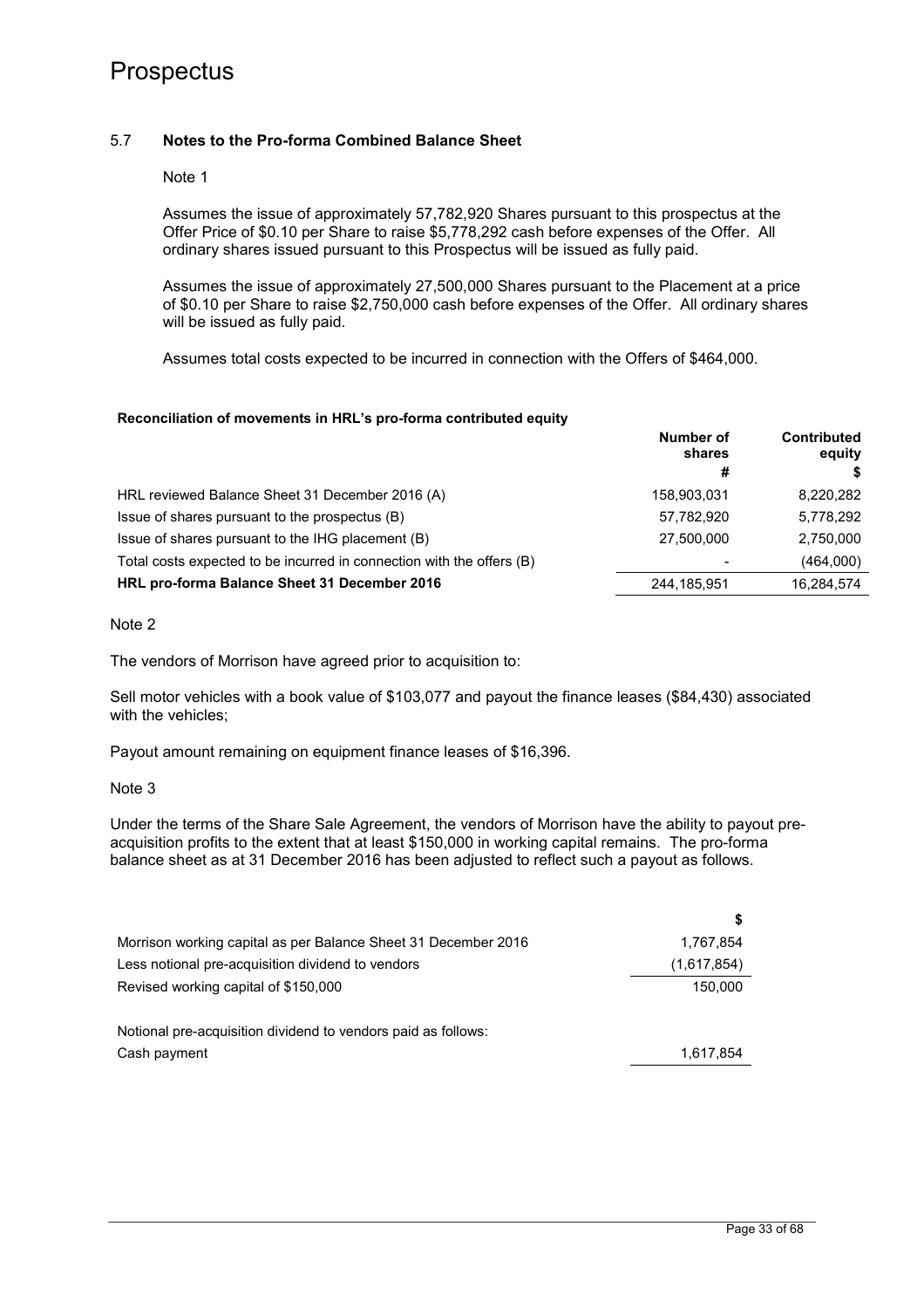## 5.7 **Notes to the Pro-forma Combined Balance Sheet**

Note 1

Assumes the issue of approximately 57,782,920 Shares pursuant to this prospectus at the Offer Price of \$0.10 per Share to raise \$5,778,292 cash before expenses of the Offer. All ordinary shares issued pursuant to this Prospectus will be issued as fully paid.

Assumes the issue of approximately 27,500,000 Shares pursuant to the Placement at a price of \$0.10 per Share to raise \$2,750,000 cash before expenses of the Offer. All ordinary shares will be issued as fully paid.

Assumes total costs expected to be incurred in connection with the Offers of \$464,000.

#### **Reconciliation of movements in HRL's pro-forma contributed equity**

|                                                                       | Number of<br>shares      | <b>Contributed</b><br>equity |  |
|-----------------------------------------------------------------------|--------------------------|------------------------------|--|
|                                                                       | #                        |                              |  |
| HRL reviewed Balance Sheet 31 December 2016 (A)                       | 158,903,031              | 8,220,282                    |  |
| Issue of shares pursuant to the prospectus (B)                        | 57,782,920               | 5,778,292                    |  |
| Issue of shares pursuant to the IHG placement (B)                     | 27.500.000               | 2,750,000                    |  |
| Total costs expected to be incurred in connection with the offers (B) | $\overline{\phantom{0}}$ | (464,000)                    |  |
| HRL pro-forma Balance Sheet 31 December 2016                          | 244,185,951              | 16,284,574                   |  |

Note 2

The vendors of Morrison have agreed prior to acquisition to:

Sell motor vehicles with a book value of \$103,077 and payout the finance leases (\$84,430) associated with the vehicles:

Payout amount remaining on equipment finance leases of \$16,396.

Note 3

Under the terms of the Share Sale Agreement, the vendors of Morrison have the ability to payout preacquisition profits to the extent that at least \$150,000 in working capital remains. The pro-forma balance sheet as at 31 December 2016 has been adjusted to reflect such a payout as follows.

|                                                                | \$          |
|----------------------------------------------------------------|-------------|
| Morrison working capital as per Balance Sheet 31 December 2016 | 1,767,854   |
| Less notional pre-acquisition dividend to vendors              | (1,617,854) |
| Revised working capital of \$150,000                           | 150.000     |
| Notional pre-acquisition dividend to vendors paid as follows:  |             |
| Cash payment                                                   | 1,617,854   |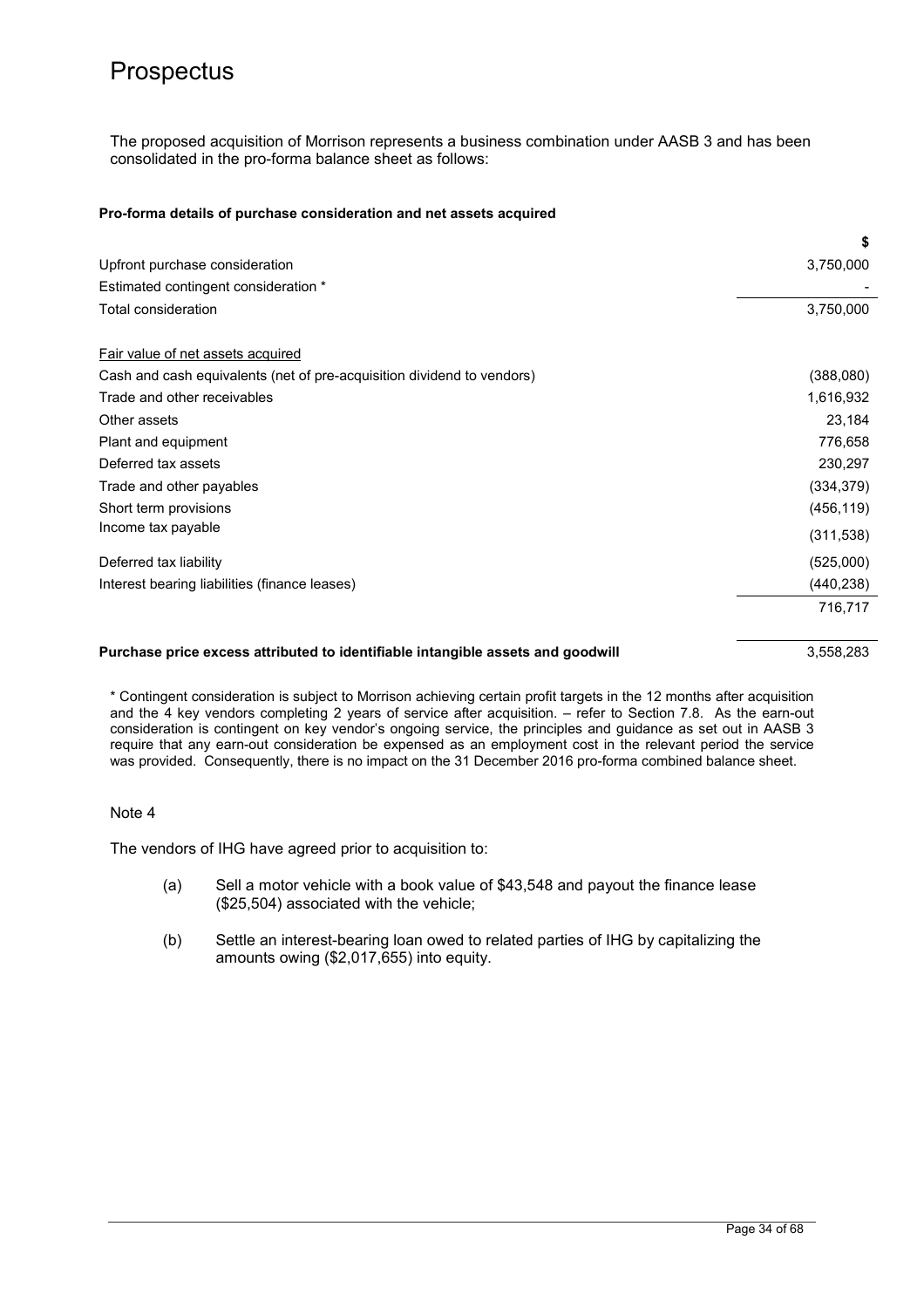The proposed acquisition of Morrison represents a business combination under AASB 3 and has been consolidated in the pro-forma balance sheet as follows:

#### **Pro-forma details of purchase consideration and net assets acquired**

|                                                                                 | \$         |
|---------------------------------------------------------------------------------|------------|
| Upfront purchase consideration                                                  | 3,750,000  |
| Estimated contingent consideration *                                            |            |
| Total consideration                                                             | 3,750,000  |
| Fair value of net assets acquired                                               |            |
| Cash and cash equivalents (net of pre-acquisition dividend to vendors)          | (388,080)  |
| Trade and other receivables                                                     | 1,616,932  |
| Other assets                                                                    | 23,184     |
| Plant and equipment                                                             | 776,658    |
| Deferred tax assets                                                             | 230,297    |
| Trade and other payables                                                        | (334, 379) |
| Short term provisions                                                           | (456, 119) |
| Income tax payable                                                              | (311, 538) |
| Deferred tax liability                                                          | (525,000)  |
| Interest bearing liabilities (finance leases)                                   | (440, 238) |
|                                                                                 | 716,717    |
| Purchase price excess attributed to identifiable intangible assets and goodwill | 3,558,283  |

\* Contingent consideration is subject to Morrison achieving certain profit targets in the 12 months after acquisition and the 4 key vendors completing 2 years of service after acquisition. – refer to Section 7.8. As the earn-out consideration is contingent on key vendor's ongoing service, the principles and guidance as set out in AASB 3 require that any earn-out consideration be expensed as an employment cost in the relevant period the service was provided. Consequently, there is no impact on the 31 December 2016 pro-forma combined balance sheet.

#### Note 4

The vendors of IHG have agreed prior to acquisition to:

- (a) Sell a motor vehicle with a book value of \$43,548 and payout the finance lease (\$25,504) associated with the vehicle;
- (b) Settle an interest-bearing loan owed to related parties of IHG by capitalizing the amounts owing (\$2,017,655) into equity.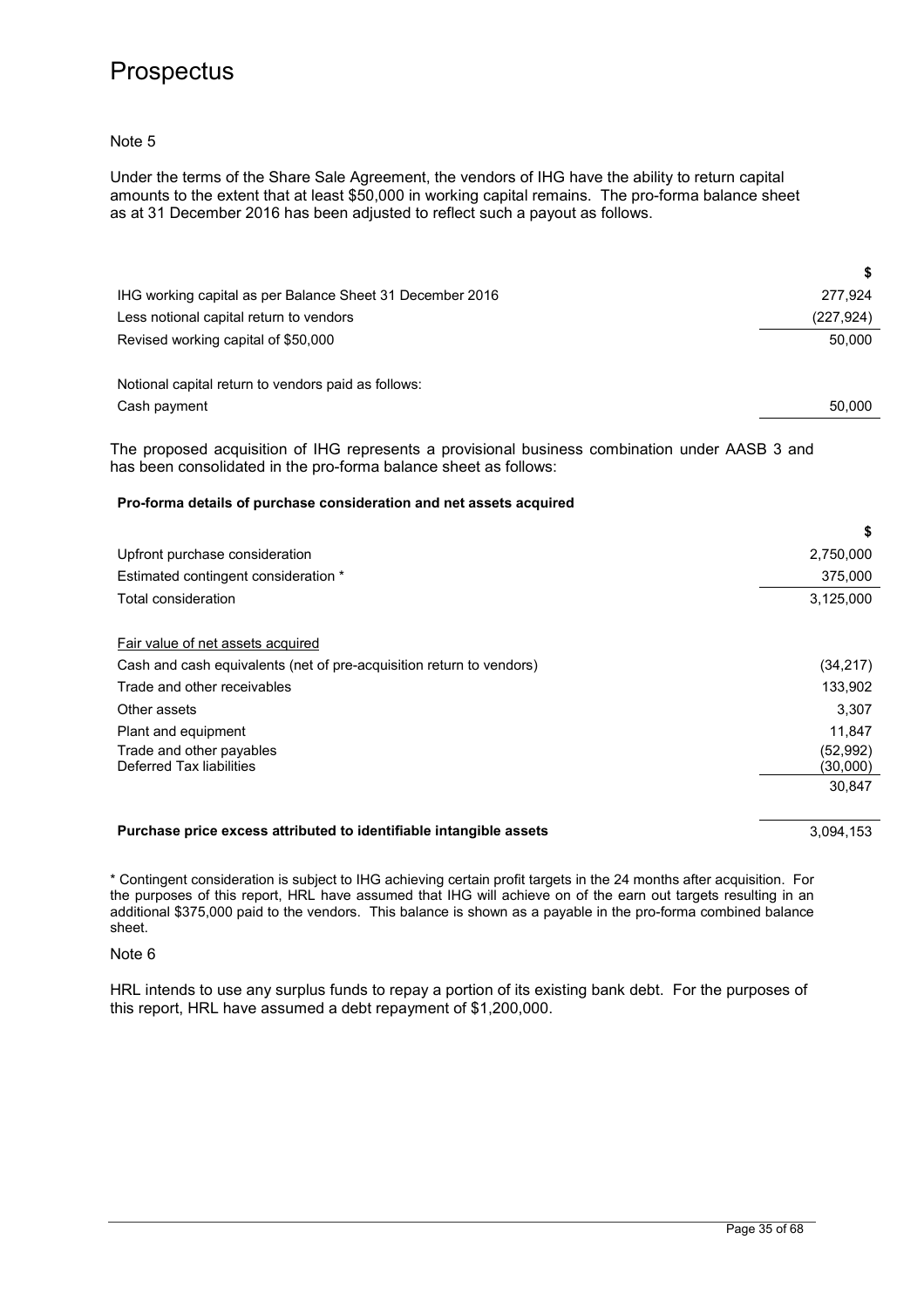Note 5

Under the terms of the Share Sale Agreement, the vendors of IHG have the ability to return capital amounts to the extent that at least \$50,000 in working capital remains. The pro-forma balance sheet as at 31 December 2016 has been adjusted to reflect such a payout as follows.

| IHG working capital as per Balance Sheet 31 December 2016 | 277,924    |
|-----------------------------------------------------------|------------|
| Less notional capital return to vendors                   | (227, 924) |
| Revised working capital of \$50,000                       | 50,000     |
|                                                           |            |
| Notional capital return to vendors paid as follows:       |            |
| Cash payment                                              | 50,000     |

The proposed acquisition of IHG represents a provisional business combination under AASB 3 and has been consolidated in the pro-forma balance sheet as follows:

#### **Pro-forma details of purchase consideration and net assets acquired**

| Upfront purchase consideration                                       | 2,750,000 |
|----------------------------------------------------------------------|-----------|
| Estimated contingent consideration *                                 | 375,000   |
| Total consideration                                                  | 3,125,000 |
|                                                                      |           |
| Fair value of net assets acquired                                    |           |
| Cash and cash equivalents (net of pre-acquisition return to vendors) | (34, 217) |
| Trade and other receivables                                          | 133,902   |
| Other assets                                                         | 3,307     |
| Plant and equipment                                                  | 11,847    |
| Trade and other payables                                             | (52, 992) |
| Deferred Tax liabilities                                             | (30,000)  |
|                                                                      | 30,847    |
| Purchase price excess attributed to identifiable intangible assets   | 3.094.153 |

\* Contingent consideration is subject to IHG achieving certain profit targets in the 24 months after acquisition. For the purposes of this report, HRL have assumed that IHG will achieve on of the earn out targets resulting in an additional \$375,000 paid to the vendors. This balance is shown as a payable in the pro-forma combined balance

sheet. Note 6

HRL intends to use any surplus funds to repay a portion of its existing bank debt. For the purposes of this report, HRL have assumed a debt repayment of \$1,200,000.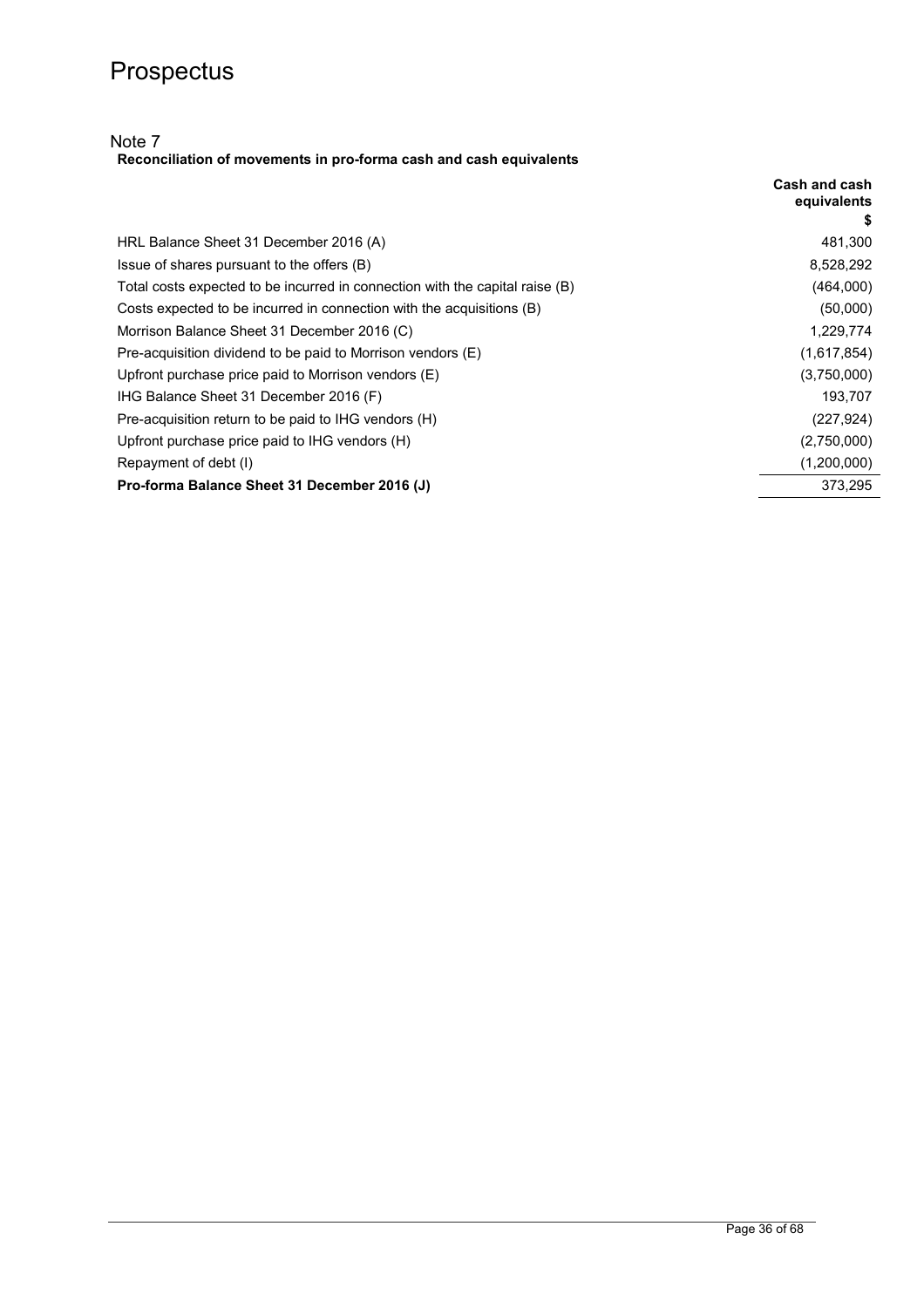## Note 7

**Reconciliation of movements in pro-forma cash and cash equivalents** 

|                                                                              | Cash and cash<br>equivalents<br>\$ |
|------------------------------------------------------------------------------|------------------------------------|
| HRL Balance Sheet 31 December 2016 (A)                                       | 481,300                            |
| Issue of shares pursuant to the offers (B)                                   | 8,528,292                          |
| Total costs expected to be incurred in connection with the capital raise (B) | (464,000)                          |
| Costs expected to be incurred in connection with the acquisitions (B)        | (50,000)                           |
| Morrison Balance Sheet 31 December 2016 (C)                                  | 1,229,774                          |
| Pre-acquisition dividend to be paid to Morrison vendors (E)                  | (1,617,854)                        |
| Upfront purchase price paid to Morrison vendors (E)                          | (3,750,000)                        |
| IHG Balance Sheet 31 December 2016 (F)                                       | 193,707                            |
| Pre-acquisition return to be paid to IHG vendors (H)                         | (227, 924)                         |
| Upfront purchase price paid to IHG vendors (H)                               | (2,750,000)                        |
| Repayment of debt (I)                                                        | (1,200,000)                        |
| Pro-forma Balance Sheet 31 December 2016 (J)                                 | 373,295                            |
|                                                                              |                                    |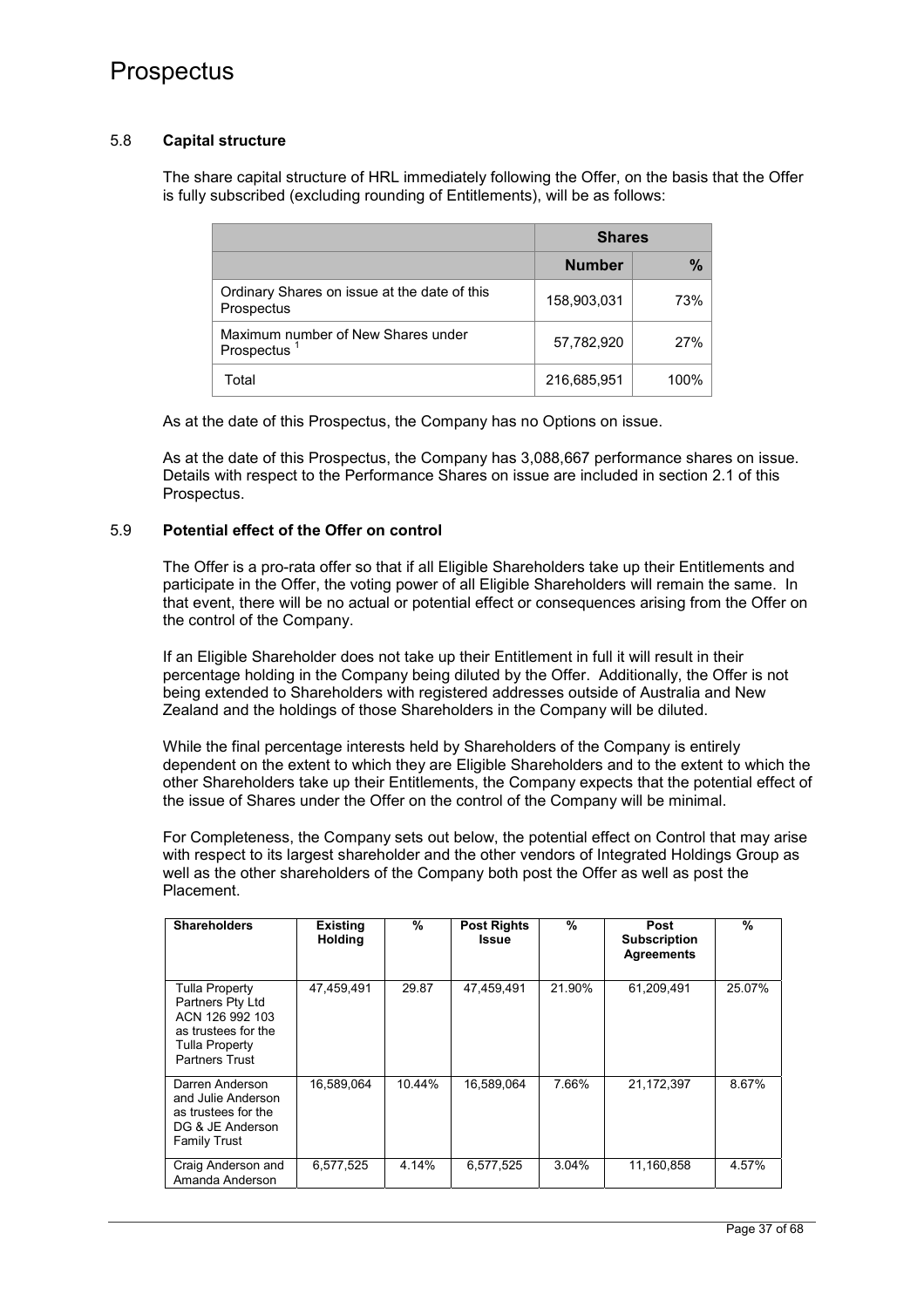## 5.8 **Capital structure**

The share capital structure of HRL immediately following the Offer, on the basis that the Offer is fully subscribed (excluding rounding of Entitlements), will be as follows:

|                                                            | <b>Shares</b> |      |  |
|------------------------------------------------------------|---------------|------|--|
|                                                            | <b>Number</b> | $\%$ |  |
| Ordinary Shares on issue at the date of this<br>Prospectus | 158,903,031   | 73%  |  |
| Maximum number of New Shares under<br>Prospectus           | 57,782,920    | 27%  |  |
| Total                                                      | 216,685,951   | 100% |  |

As at the date of this Prospectus, the Company has no Options on issue.

As at the date of this Prospectus, the Company has 3,088,667 performance shares on issue. Details with respect to the Performance Shares on issue are included in section 2.1 of this Prospectus.

## 5.9 **Potential effect of the Offer on control**

The Offer is a pro-rata offer so that if all Eligible Shareholders take up their Entitlements and participate in the Offer, the voting power of all Eligible Shareholders will remain the same. In that event, there will be no actual or potential effect or consequences arising from the Offer on the control of the Company.

If an Eligible Shareholder does not take up their Entitlement in full it will result in their percentage holding in the Company being diluted by the Offer. Additionally, the Offer is not being extended to Shareholders with registered addresses outside of Australia and New Zealand and the holdings of those Shareholders in the Company will be diluted.

While the final percentage interests held by Shareholders of the Company is entirely dependent on the extent to which they are Eligible Shareholders and to the extent to which the other Shareholders take up their Entitlements, the Company expects that the potential effect of the issue of Shares under the Offer on the control of the Company will be minimal.

For Completeness, the Company sets out below, the potential effect on Control that may arise with respect to its largest shareholder and the other vendors of Integrated Holdings Group as well as the other shareholders of the Company both post the Offer as well as post the Placement.

| <b>Shareholders</b>                                                                                                     | <b>Existing</b><br><b>Holding</b> | %      | <b>Post Rights</b><br>Issue | %      | Post<br><b>Subscription</b><br><b>Agreements</b> | $\frac{0}{0}$ |
|-------------------------------------------------------------------------------------------------------------------------|-----------------------------------|--------|-----------------------------|--------|--------------------------------------------------|---------------|
| Tulla Property<br>Partners Pty Ltd<br>ACN 126 992 103<br>as trustees for the<br>Tulla Property<br><b>Partners Trust</b> | 47,459,491                        | 29.87  | 47,459,491                  | 21.90% | 61,209,491                                       | 25.07%        |
| Darren Anderson<br>and Julie Anderson<br>as trustees for the<br>DG & JE Anderson<br><b>Family Trust</b>                 | 16,589,064                        | 10.44% | 16,589,064                  | 7.66%  | 21,172,397                                       | 8.67%         |
| Craig Anderson and<br>Amanda Anderson                                                                                   | 6,577,525                         | 4.14%  | 6,577,525                   | 3.04%  | 11,160,858                                       | 4.57%         |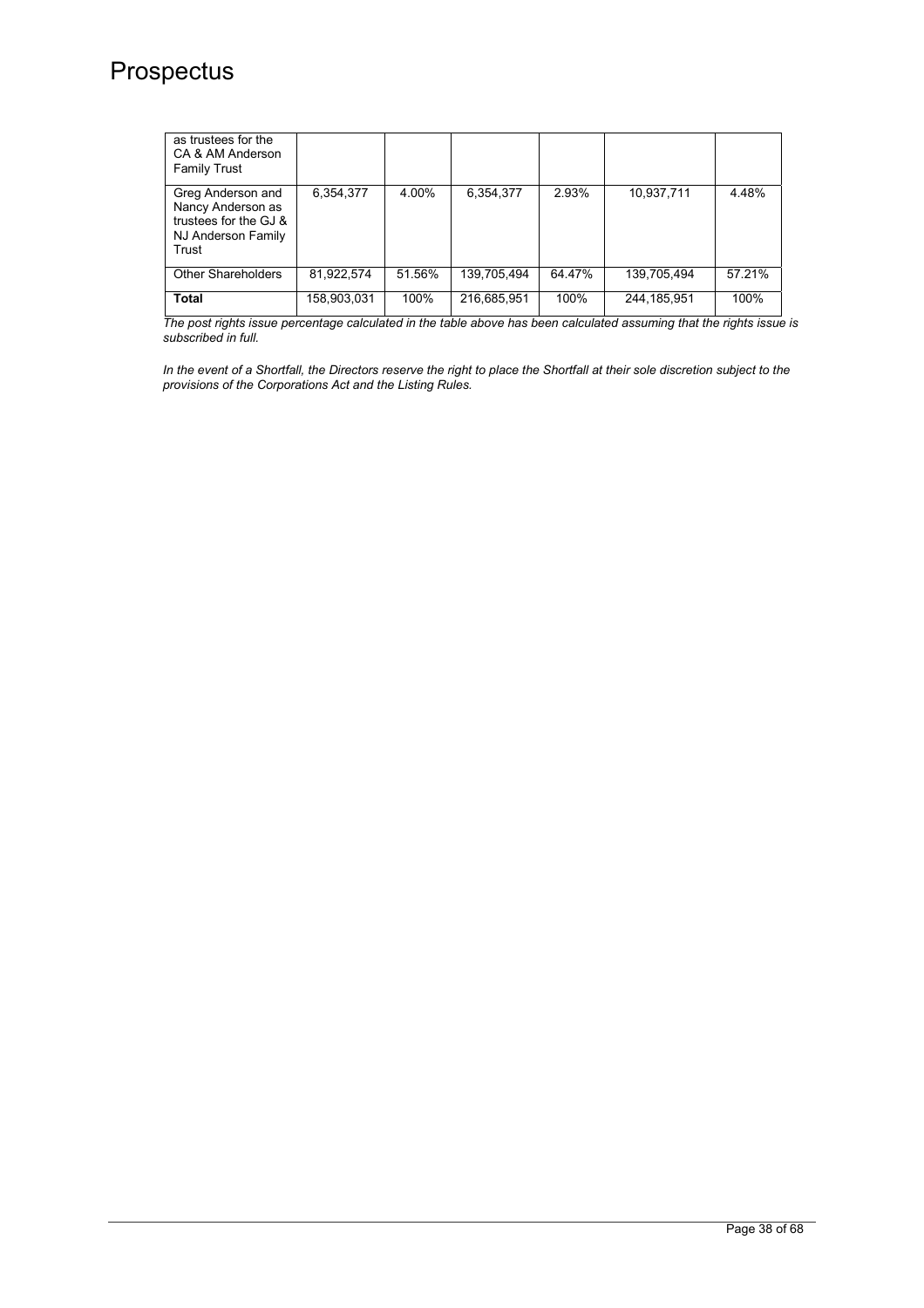| as trustees for the<br>CA & AM Anderson<br>Family Trust                                        |             |        |             |        |               |        |
|------------------------------------------------------------------------------------------------|-------------|--------|-------------|--------|---------------|--------|
| Greg Anderson and<br>Nancy Anderson as<br>trustees for the GJ &<br>NJ Anderson Family<br>Trust | 6,354,377   | 4.00%  | 6.354.377   | 2.93%  | 10.937.711    | 4.48%  |
| <b>Other Shareholders</b>                                                                      | 81,922,574  | 51.56% | 139,705,494 | 64.47% | 139,705,494   | 57.21% |
| <b>Total</b>                                                                                   | 158,903,031 | 100%   | 216,685,951 | 100%   | 244, 185, 951 | 100%   |

*The post rights issue percentage calculated in the table above has been calculated assuming that the rights issue is subscribed in full.* 

In the event of a Shortfall, the Directors reserve the right to place the Shortfall at their sole discretion subject to the *provisions of the Corporations Act and the Listing Rules.*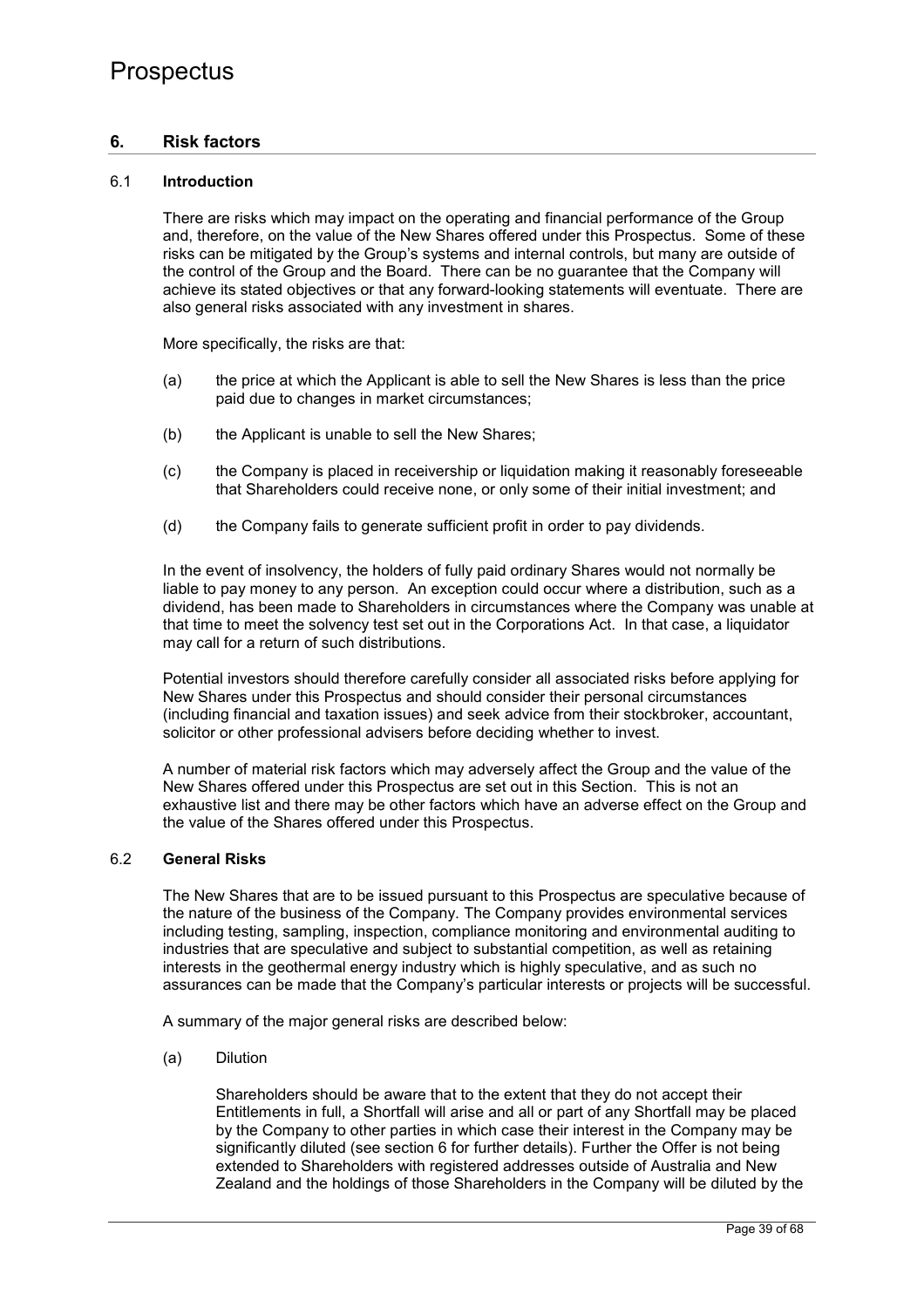## **6. Risk factors**

### 6.1 **Introduction**

There are risks which may impact on the operating and financial performance of the Group and, therefore, on the value of the New Shares offered under this Prospectus. Some of these risks can be mitigated by the Group's systems and internal controls, but many are outside of the control of the Group and the Board. There can be no guarantee that the Company will achieve its stated objectives or that any forward-looking statements will eventuate. There are also general risks associated with any investment in shares.

More specifically, the risks are that:

- (a) the price at which the Applicant is able to sell the New Shares is less than the price paid due to changes in market circumstances;
- (b) the Applicant is unable to sell the New Shares;
- (c) the Company is placed in receivership or liquidation making it reasonably foreseeable that Shareholders could receive none, or only some of their initial investment; and
- (d) the Company fails to generate sufficient profit in order to pay dividends.

In the event of insolvency, the holders of fully paid ordinary Shares would not normally be liable to pay money to any person. An exception could occur where a distribution, such as a dividend, has been made to Shareholders in circumstances where the Company was unable at that time to meet the solvency test set out in the Corporations Act. In that case, a liquidator may call for a return of such distributions.

Potential investors should therefore carefully consider all associated risks before applying for New Shares under this Prospectus and should consider their personal circumstances (including financial and taxation issues) and seek advice from their stockbroker, accountant, solicitor or other professional advisers before deciding whether to invest.

A number of material risk factors which may adversely affect the Group and the value of the New Shares offered under this Prospectus are set out in this Section. This is not an exhaustive list and there may be other factors which have an adverse effect on the Group and the value of the Shares offered under this Prospectus.

### 6.2 **General Risks**

The New Shares that are to be issued pursuant to this Prospectus are speculative because of the nature of the business of the Company. The Company provides environmental services including testing, sampling, inspection, compliance monitoring and environmental auditing to industries that are speculative and subject to substantial competition, as well as retaining interests in the geothermal energy industry which is highly speculative, and as such no assurances can be made that the Company's particular interests or projects will be successful.

A summary of the major general risks are described below:

(a) Dilution

Shareholders should be aware that to the extent that they do not accept their Entitlements in full, a Shortfall will arise and all or part of any Shortfall may be placed by the Company to other parties in which case their interest in the Company may be significantly diluted (see section 6 for further details). Further the Offer is not being extended to Shareholders with registered addresses outside of Australia and New Zealand and the holdings of those Shareholders in the Company will be diluted by the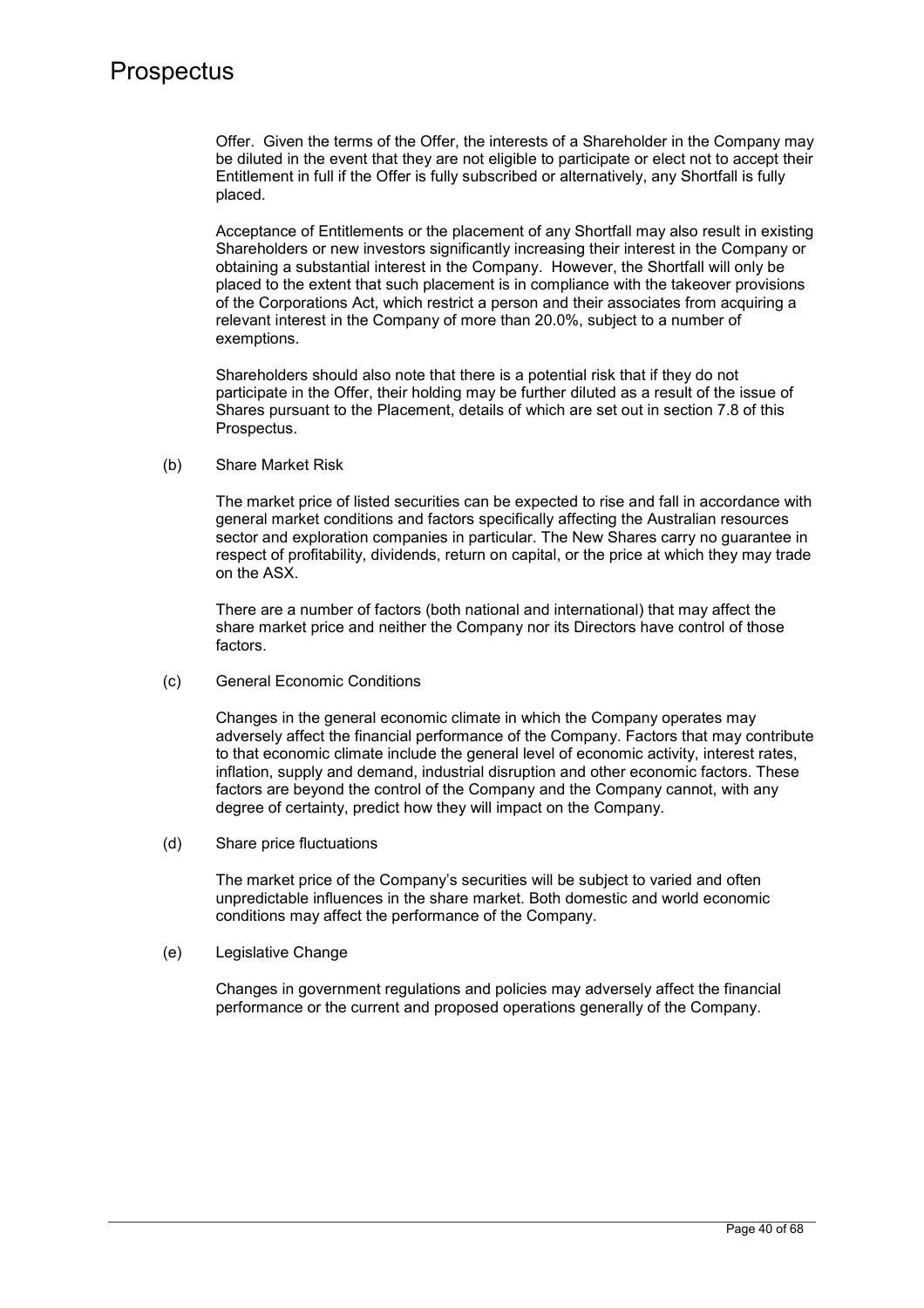Offer. Given the terms of the Offer, the interests of a Shareholder in the Company may be diluted in the event that they are not eligible to participate or elect not to accept their Entitlement in full if the Offer is fully subscribed or alternatively, any Shortfall is fully placed.

Acceptance of Entitlements or the placement of any Shortfall may also result in existing Shareholders or new investors significantly increasing their interest in the Company or obtaining a substantial interest in the Company. However, the Shortfall will only be placed to the extent that such placement is in compliance with the takeover provisions of the Corporations Act, which restrict a person and their associates from acquiring a relevant interest in the Company of more than 20.0%, subject to a number of exemptions.

Shareholders should also note that there is a potential risk that if they do not participate in the Offer, their holding may be further diluted as a result of the issue of Shares pursuant to the Placement, details of which are set out in section 7.8 of this Prospectus.

(b) Share Market Risk

The market price of listed securities can be expected to rise and fall in accordance with general market conditions and factors specifically affecting the Australian resources sector and exploration companies in particular. The New Shares carry no guarantee in respect of profitability, dividends, return on capital, or the price at which they may trade on the ASX.

There are a number of factors (both national and international) that may affect the share market price and neither the Company nor its Directors have control of those factors.

(c) General Economic Conditions

Changes in the general economic climate in which the Company operates may adversely affect the financial performance of the Company. Factors that may contribute to that economic climate include the general level of economic activity, interest rates, inflation, supply and demand, industrial disruption and other economic factors. These factors are beyond the control of the Company and the Company cannot, with any degree of certainty, predict how they will impact on the Company.

(d) Share price fluctuations

The market price of the Company's securities will be subject to varied and often unpredictable influences in the share market. Both domestic and world economic conditions may affect the performance of the Company.

(e) Legislative Change

Changes in government regulations and policies may adversely affect the financial performance or the current and proposed operations generally of the Company.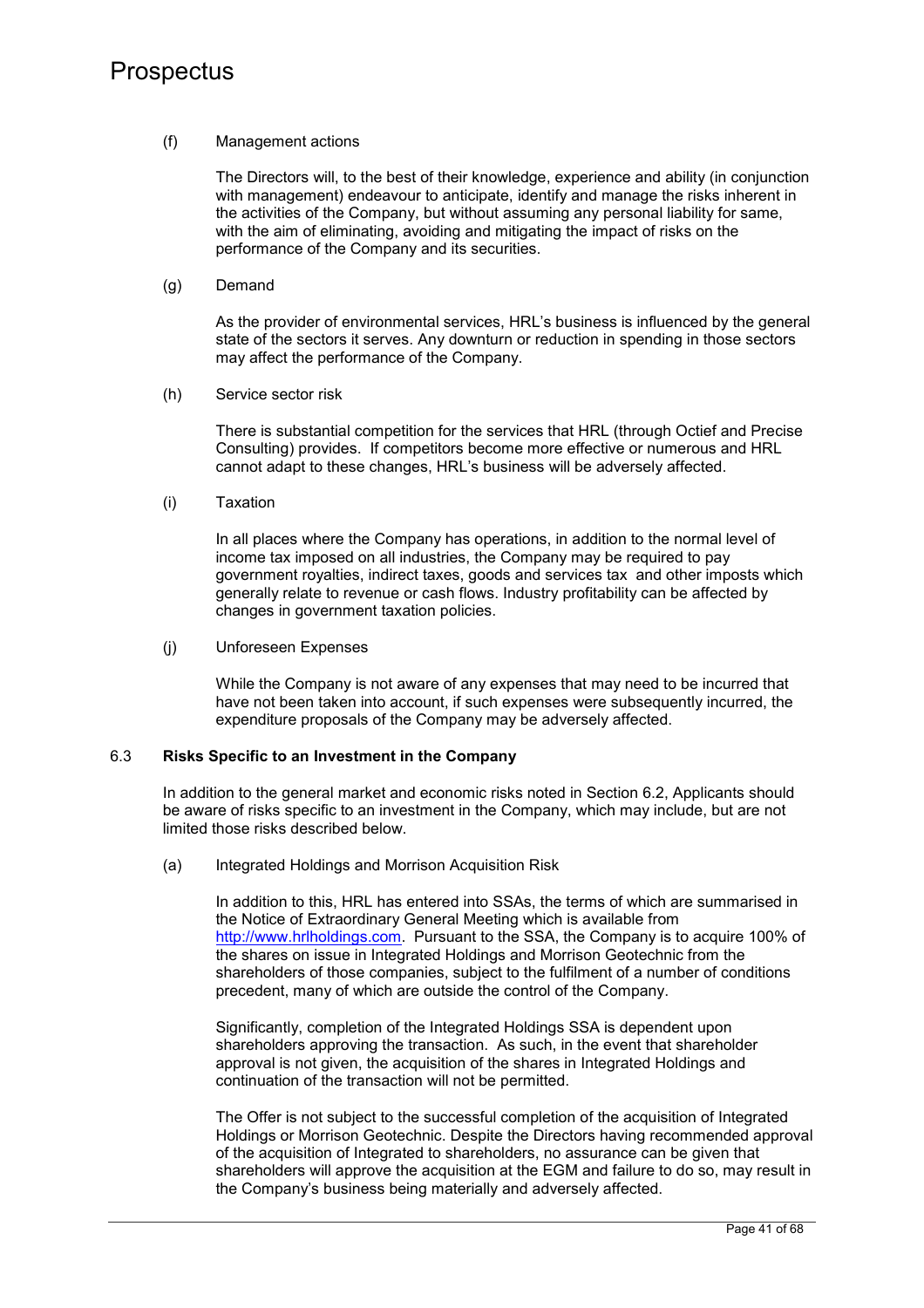### (f) Management actions

The Directors will, to the best of their knowledge, experience and ability (in conjunction with management) endeavour to anticipate, identify and manage the risks inherent in the activities of the Company, but without assuming any personal liability for same, with the aim of eliminating, avoiding and mitigating the impact of risks on the performance of the Company and its securities.

(g) Demand

As the provider of environmental services, HRL's business is influenced by the general state of the sectors it serves. Any downturn or reduction in spending in those sectors may affect the performance of the Company.

(h) Service sector risk

There is substantial competition for the services that HRL (through Octief and Precise Consulting) provides. If competitors become more effective or numerous and HRL cannot adapt to these changes, HRL's business will be adversely affected.

(i) Taxation

In all places where the Company has operations, in addition to the normal level of income tax imposed on all industries, the Company may be required to pay government royalties, indirect taxes, goods and services tax and other imposts which generally relate to revenue or cash flows. Industry profitability can be affected by changes in government taxation policies.

(j) Unforeseen Expenses

While the Company is not aware of any expenses that may need to be incurred that have not been taken into account, if such expenses were subsequently incurred, the expenditure proposals of the Company may be adversely affected.

## 6.3 **Risks Specific to an Investment in the Company**

In addition to the general market and economic risks noted in Section 6.2, Applicants should be aware of risks specific to an investment in the Company, which may include, but are not limited those risks described below.

(a) Integrated Holdings and Morrison Acquisition Risk

In addition to this, HRL has entered into SSAs, the terms of which are summarised in the Notice of Extraordinary General Meeting which is available from http://www.hrlholdings.com. Pursuant to the SSA, the Company is to acquire 100% of the shares on issue in Integrated Holdings and Morrison Geotechnic from the shareholders of those companies, subject to the fulfilment of a number of conditions precedent, many of which are outside the control of the Company.

Significantly, completion of the Integrated Holdings SSA is dependent upon shareholders approving the transaction. As such, in the event that shareholder approval is not given, the acquisition of the shares in Integrated Holdings and continuation of the transaction will not be permitted.

The Offer is not subject to the successful completion of the acquisition of Integrated Holdings or Morrison Geotechnic. Despite the Directors having recommended approval of the acquisition of Integrated to shareholders, no assurance can be given that shareholders will approve the acquisition at the EGM and failure to do so, may result in the Company's business being materially and adversely affected.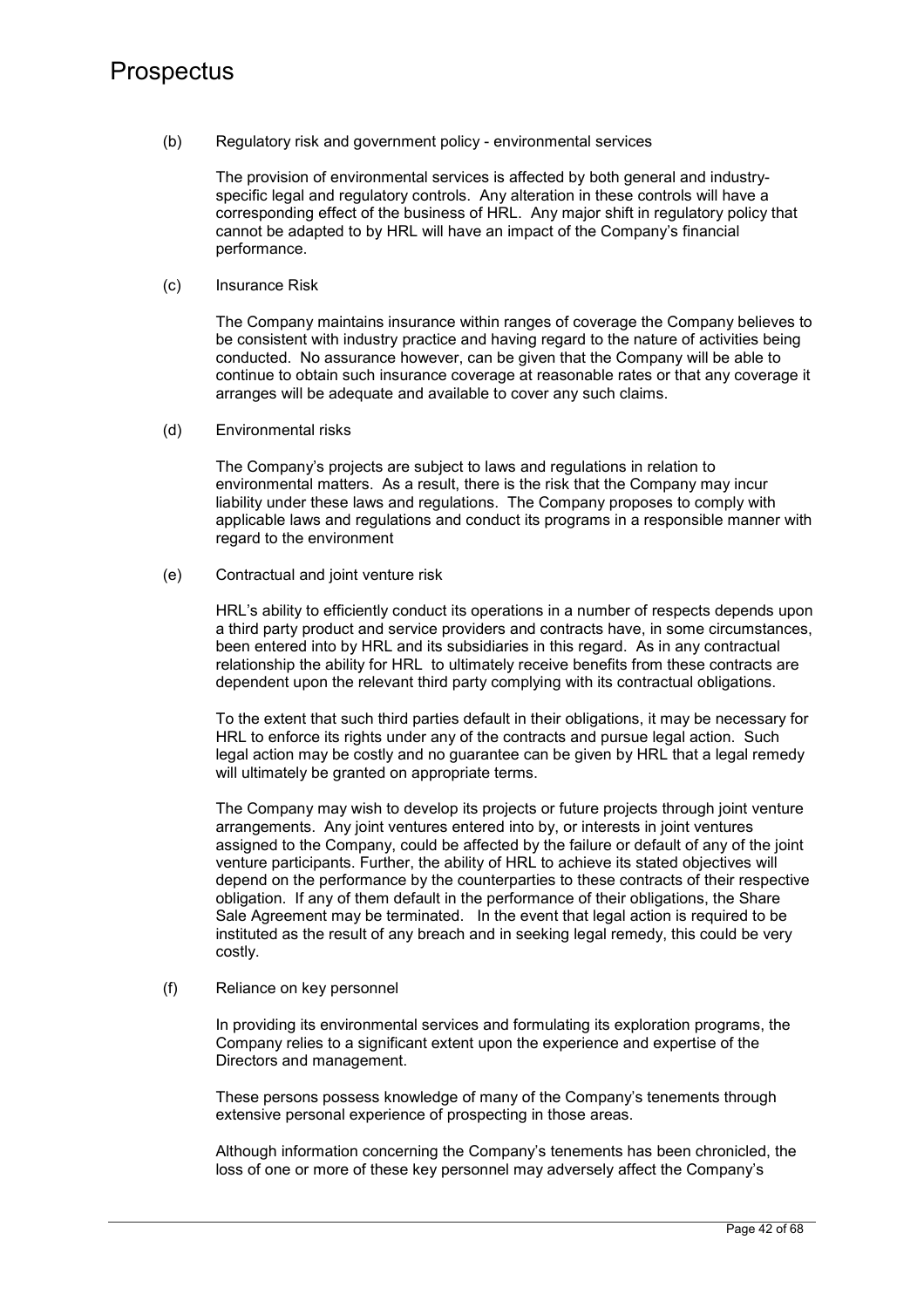(b) Regulatory risk and government policy - environmental services

The provision of environmental services is affected by both general and industryspecific legal and regulatory controls. Any alteration in these controls will have a corresponding effect of the business of HRL. Any major shift in regulatory policy that cannot be adapted to by HRL will have an impact of the Company's financial performance.

(c) Insurance Risk

The Company maintains insurance within ranges of coverage the Company believes to be consistent with industry practice and having regard to the nature of activities being conducted. No assurance however, can be given that the Company will be able to continue to obtain such insurance coverage at reasonable rates or that any coverage it arranges will be adequate and available to cover any such claims.

(d) Environmental risks

The Company's projects are subject to laws and regulations in relation to environmental matters. As a result, there is the risk that the Company may incur liability under these laws and regulations. The Company proposes to comply with applicable laws and regulations and conduct its programs in a responsible manner with regard to the environment

(e) Contractual and joint venture risk

HRL's ability to efficiently conduct its operations in a number of respects depends upon a third party product and service providers and contracts have, in some circumstances, been entered into by HRL and its subsidiaries in this regard. As in any contractual relationship the ability for HRL to ultimately receive benefits from these contracts are dependent upon the relevant third party complying with its contractual obligations.

To the extent that such third parties default in their obligations, it may be necessary for HRL to enforce its rights under any of the contracts and pursue legal action. Such legal action may be costly and no guarantee can be given by HRL that a legal remedy will ultimately be granted on appropriate terms.

The Company may wish to develop its projects or future projects through joint venture arrangements. Any joint ventures entered into by, or interests in joint ventures assigned to the Company, could be affected by the failure or default of any of the joint venture participants. Further, the ability of HRL to achieve its stated objectives will depend on the performance by the counterparties to these contracts of their respective obligation. If any of them default in the performance of their obligations, the Share Sale Agreement may be terminated. In the event that legal action is required to be instituted as the result of any breach and in seeking legal remedy, this could be very costly.

(f) Reliance on key personnel

In providing its environmental services and formulating its exploration programs, the Company relies to a significant extent upon the experience and expertise of the Directors and management.

These persons possess knowledge of many of the Company's tenements through extensive personal experience of prospecting in those areas.

Although information concerning the Company's tenements has been chronicled, the loss of one or more of these key personnel may adversely affect the Company's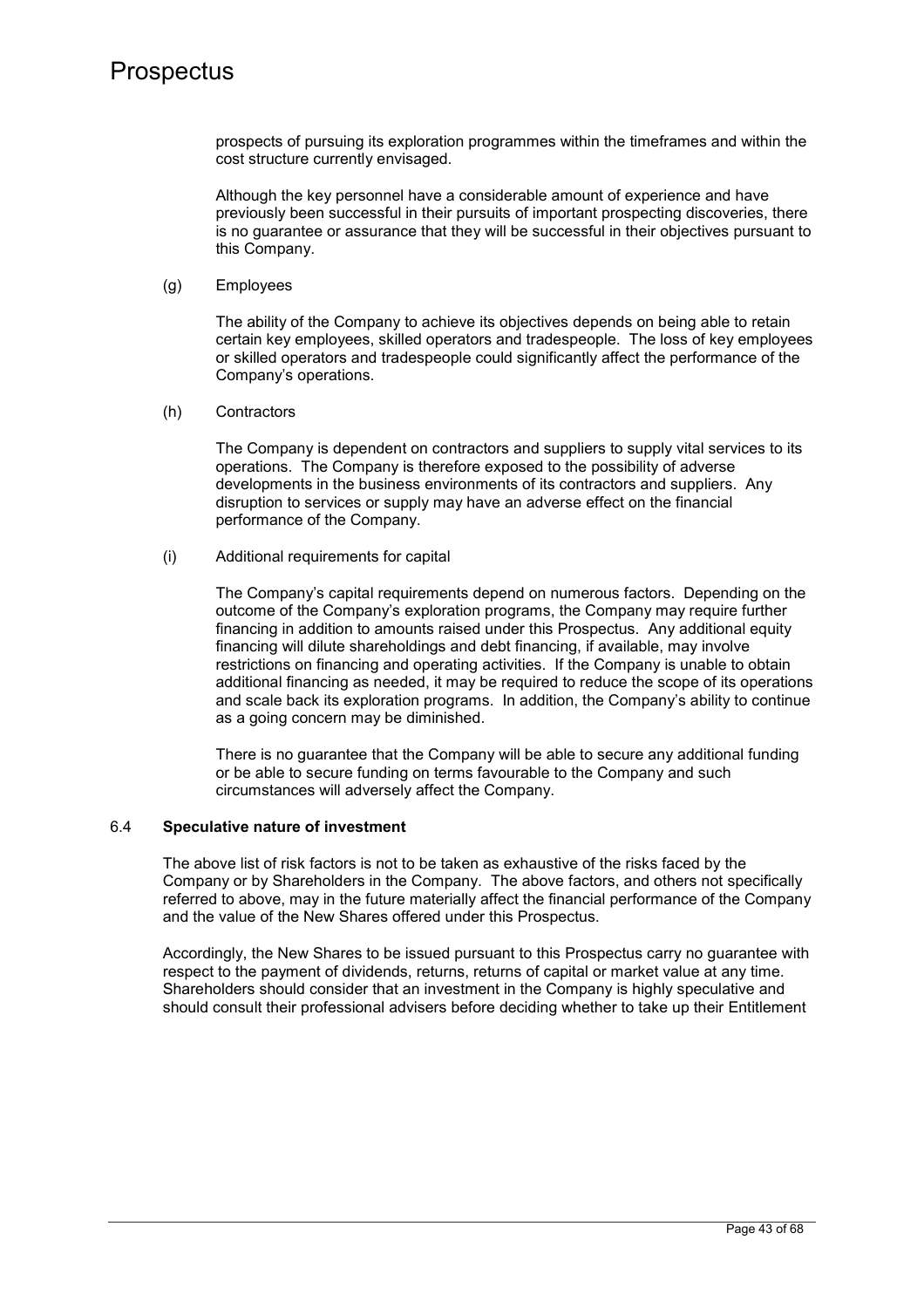prospects of pursuing its exploration programmes within the timeframes and within the cost structure currently envisaged.

Although the key personnel have a considerable amount of experience and have previously been successful in their pursuits of important prospecting discoveries, there is no guarantee or assurance that they will be successful in their objectives pursuant to this Company.

(g) Employees

The ability of the Company to achieve its objectives depends on being able to retain certain key employees, skilled operators and tradespeople. The loss of key employees or skilled operators and tradespeople could significantly affect the performance of the Company's operations.

(h) Contractors

The Company is dependent on contractors and suppliers to supply vital services to its operations. The Company is therefore exposed to the possibility of adverse developments in the business environments of its contractors and suppliers. Any disruption to services or supply may have an adverse effect on the financial performance of the Company.

(i) Additional requirements for capital

The Company's capital requirements depend on numerous factors. Depending on the outcome of the Company's exploration programs, the Company may require further financing in addition to amounts raised under this Prospectus. Any additional equity financing will dilute shareholdings and debt financing, if available, may involve restrictions on financing and operating activities. If the Company is unable to obtain additional financing as needed, it may be required to reduce the scope of its operations and scale back its exploration programs. In addition, the Company's ability to continue as a going concern may be diminished.

There is no guarantee that the Company will be able to secure any additional funding or be able to secure funding on terms favourable to the Company and such circumstances will adversely affect the Company.

### 6.4 **Speculative nature of investment**

The above list of risk factors is not to be taken as exhaustive of the risks faced by the Company or by Shareholders in the Company. The above factors, and others not specifically referred to above, may in the future materially affect the financial performance of the Company and the value of the New Shares offered under this Prospectus.

Accordingly, the New Shares to be issued pursuant to this Prospectus carry no guarantee with respect to the payment of dividends, returns, returns of capital or market value at any time. Shareholders should consider that an investment in the Company is highly speculative and should consult their professional advisers before deciding whether to take up their Entitlement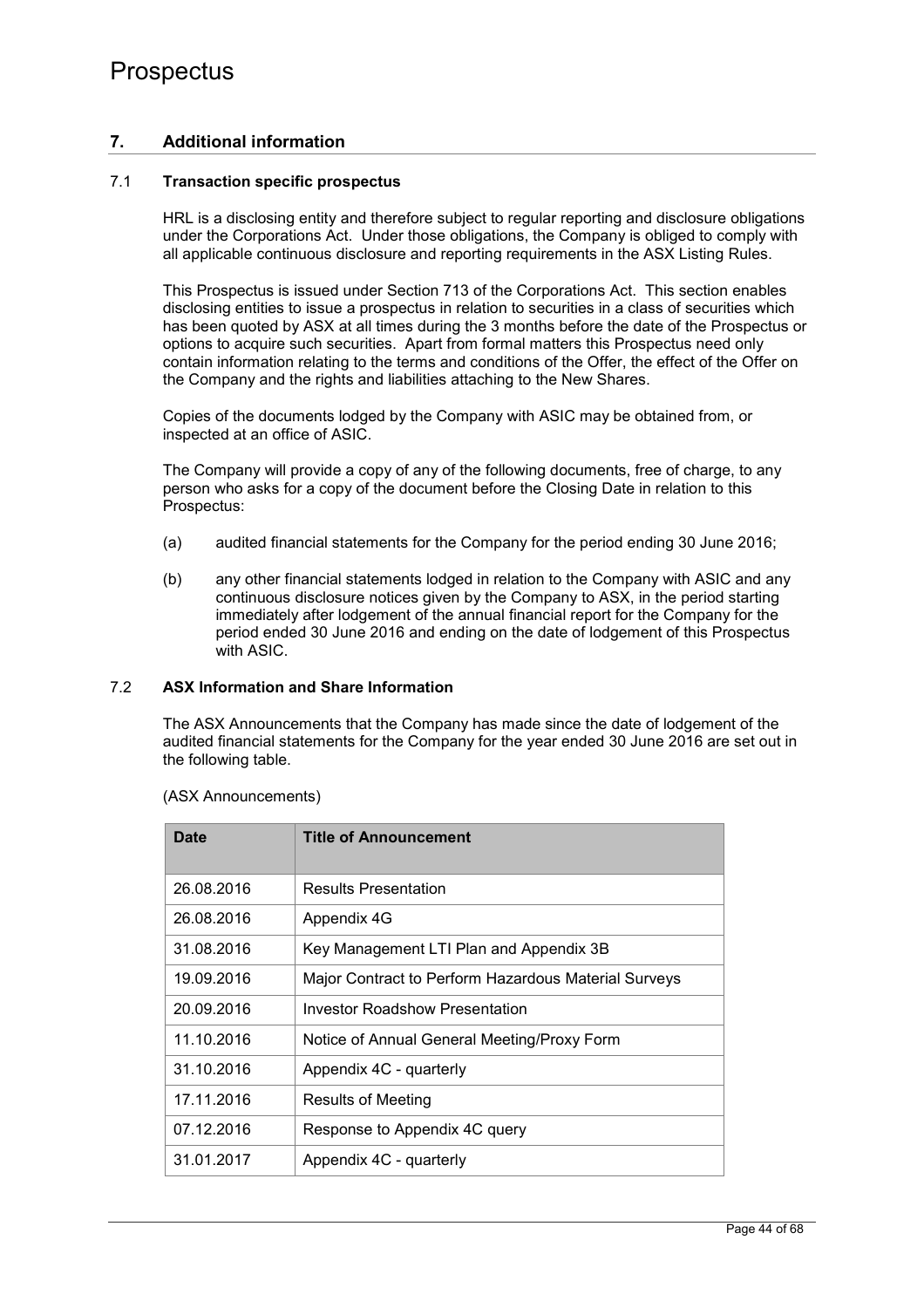## **7. Additional information**

## 7.1 **Transaction specific prospectus**

HRL is a disclosing entity and therefore subject to regular reporting and disclosure obligations under the Corporations Act. Under those obligations, the Company is obliged to comply with all applicable continuous disclosure and reporting requirements in the ASX Listing Rules.

This Prospectus is issued under Section 713 of the Corporations Act. This section enables disclosing entities to issue a prospectus in relation to securities in a class of securities which has been quoted by ASX at all times during the 3 months before the date of the Prospectus or options to acquire such securities. Apart from formal matters this Prospectus need only contain information relating to the terms and conditions of the Offer, the effect of the Offer on the Company and the rights and liabilities attaching to the New Shares.

Copies of the documents lodged by the Company with ASIC may be obtained from, or inspected at an office of ASIC.

The Company will provide a copy of any of the following documents, free of charge, to any person who asks for a copy of the document before the Closing Date in relation to this Prospectus:

- (a) audited financial statements for the Company for the period ending 30 June 2016;
- (b) any other financial statements lodged in relation to the Company with ASIC and any continuous disclosure notices given by the Company to ASX, in the period starting immediately after lodgement of the annual financial report for the Company for the period ended 30 June 2016 and ending on the date of lodgement of this Prospectus with ASIC.

### 7.2 **ASX Information and Share Information**

The ASX Announcements that the Company has made since the date of lodgement of the audited financial statements for the Company for the year ended 30 June 2016 are set out in the following table.

| Date       | <b>Title of Announcement</b>                         |
|------------|------------------------------------------------------|
|            |                                                      |
| 26.08.2016 | <b>Results Presentation</b>                          |
| 26.08.2016 | Appendix 4G                                          |
| 31.08.2016 | Key Management LTI Plan and Appendix 3B              |
| 19.09.2016 | Major Contract to Perform Hazardous Material Surveys |
| 20.09.2016 | <b>Investor Roadshow Presentation</b>                |
| 11.10.2016 | Notice of Annual General Meeting/Proxy Form          |
| 31.10.2016 | Appendix 4C - quarterly                              |
| 17.11.2016 | <b>Results of Meeting</b>                            |
| 07.12.2016 | Response to Appendix 4C query                        |
| 31.01.2017 | Appendix 4C - quarterly                              |

#### (ASX Announcements)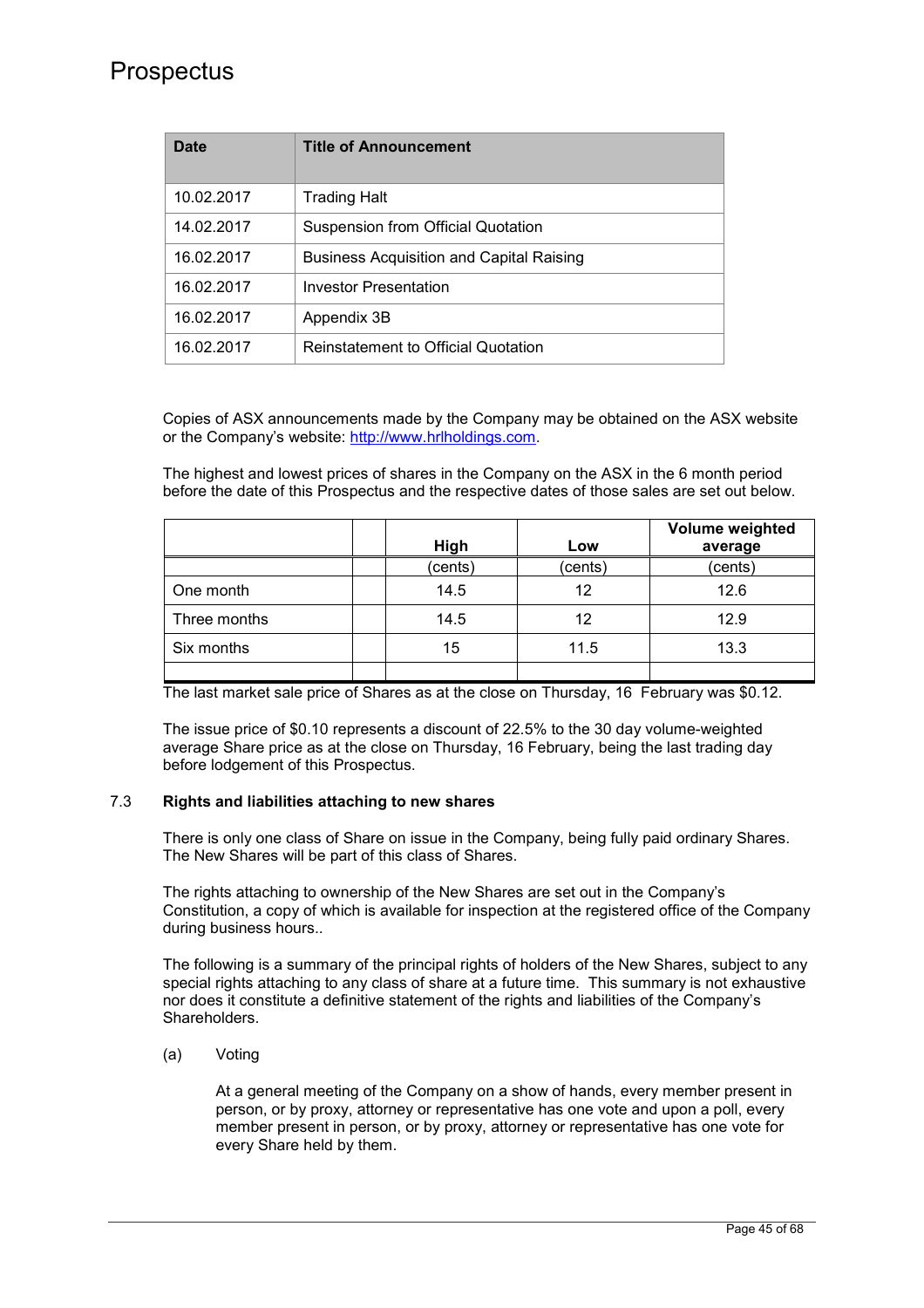| Date       | <b>Title of Announcement</b>                    |
|------------|-------------------------------------------------|
| 10.02.2017 | Trading Halt                                    |
| 14.02.2017 | Suspension from Official Quotation              |
| 16.02.2017 | <b>Business Acquisition and Capital Raising</b> |
| 16.02.2017 | <b>Investor Presentation</b>                    |
| 16.02.2017 | Appendix 3B                                     |
| 16.02.2017 | Reinstatement to Official Quotation             |

Copies of ASX announcements made by the Company may be obtained on the ASX website or the Company's website: http://www.hrlholdings.com.

The highest and lowest prices of shares in the Company on the ASX in the 6 month period before the date of this Prospectus and the respective dates of those sales are set out below.

|              | High    | Low     | Volume weighted<br>average |
|--------------|---------|---------|----------------------------|
|              | (cents) | (cents) | (cents)                    |
| One month    | 14.5    | 12      | 12.6                       |
| Three months | 14.5    | 12      | 12.9                       |
| Six months   | 15      | 11.5    | 13.3                       |
|              |         |         |                            |

The last market sale price of Shares as at the close on Thursday, 16 February was \$0.12.

The issue price of \$0.10 represents a discount of 22.5% to the 30 day volume-weighted average Share price as at the close on Thursday, 16 February, being the last trading day before lodgement of this Prospectus.

## 7.3 **Rights and liabilities attaching to new shares**

There is only one class of Share on issue in the Company, being fully paid ordinary Shares. The New Shares will be part of this class of Shares.

The rights attaching to ownership of the New Shares are set out in the Company's Constitution, a copy of which is available for inspection at the registered office of the Company during business hours..

The following is a summary of the principal rights of holders of the New Shares, subject to any special rights attaching to any class of share at a future time. This summary is not exhaustive nor does it constitute a definitive statement of the rights and liabilities of the Company's Shareholders.

(a) Voting

At a general meeting of the Company on a show of hands, every member present in person, or by proxy, attorney or representative has one vote and upon a poll, every member present in person, or by proxy, attorney or representative has one vote for every Share held by them.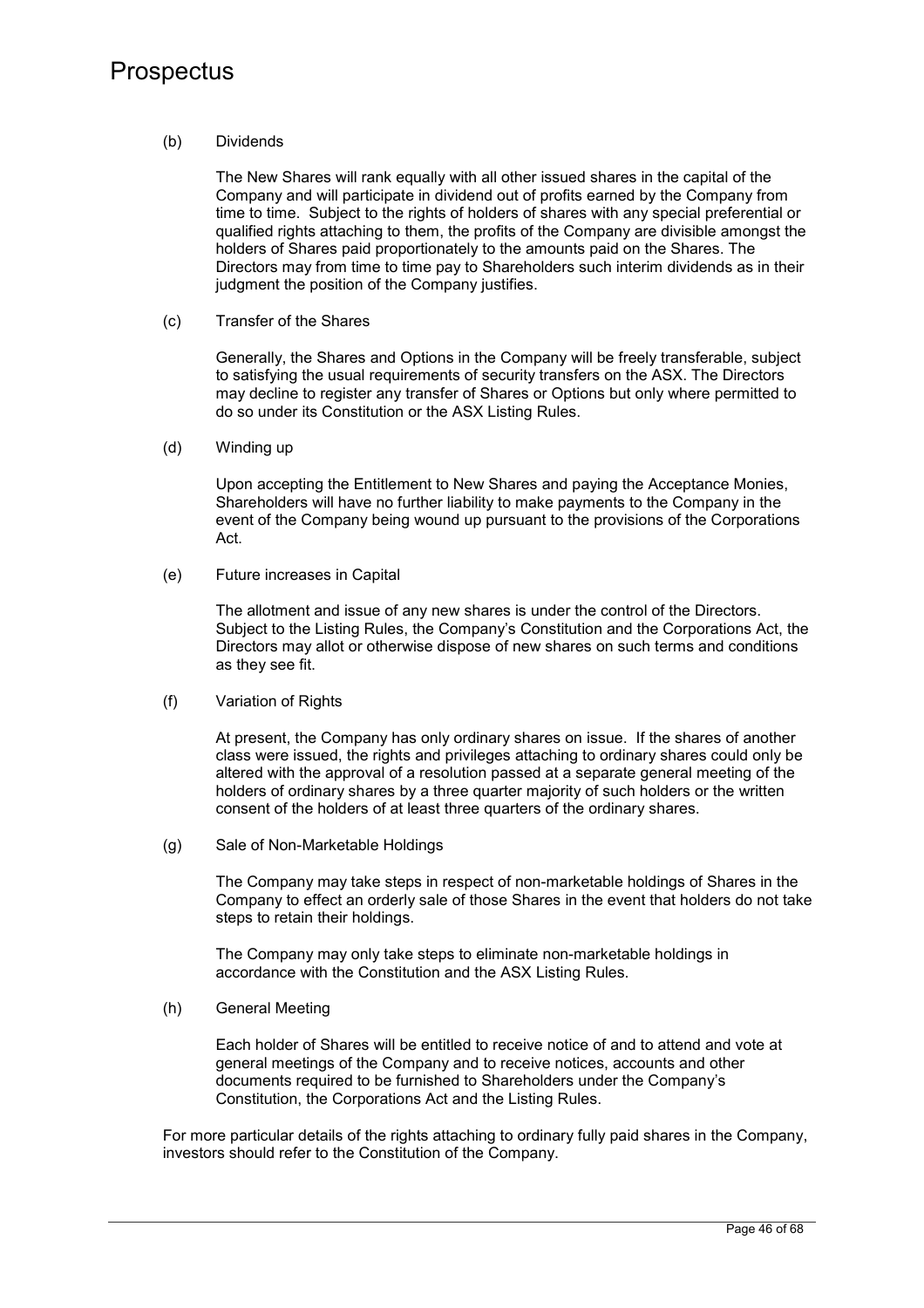### (b) Dividends

The New Shares will rank equally with all other issued shares in the capital of the Company and will participate in dividend out of profits earned by the Company from time to time. Subject to the rights of holders of shares with any special preferential or qualified rights attaching to them, the profits of the Company are divisible amongst the holders of Shares paid proportionately to the amounts paid on the Shares. The Directors may from time to time pay to Shareholders such interim dividends as in their judgment the position of the Company justifies.

(c) Transfer of the Shares

Generally, the Shares and Options in the Company will be freely transferable, subject to satisfying the usual requirements of security transfers on the ASX. The Directors may decline to register any transfer of Shares or Options but only where permitted to do so under its Constitution or the ASX Listing Rules.

(d) Winding up

Upon accepting the Entitlement to New Shares and paying the Acceptance Monies, Shareholders will have no further liability to make payments to the Company in the event of the Company being wound up pursuant to the provisions of the Corporations Act.

(e) Future increases in Capital

The allotment and issue of any new shares is under the control of the Directors. Subject to the Listing Rules, the Company's Constitution and the Corporations Act, the Directors may allot or otherwise dispose of new shares on such terms and conditions as they see fit.

(f) Variation of Rights

At present, the Company has only ordinary shares on issue. If the shares of another class were issued, the rights and privileges attaching to ordinary shares could only be altered with the approval of a resolution passed at a separate general meeting of the holders of ordinary shares by a three quarter majority of such holders or the written consent of the holders of at least three quarters of the ordinary shares.

(g) Sale of Non-Marketable Holdings

The Company may take steps in respect of non-marketable holdings of Shares in the Company to effect an orderly sale of those Shares in the event that holders do not take steps to retain their holdings.

The Company may only take steps to eliminate non-marketable holdings in accordance with the Constitution and the ASX Listing Rules.

(h) General Meeting

Each holder of Shares will be entitled to receive notice of and to attend and vote at general meetings of the Company and to receive notices, accounts and other documents required to be furnished to Shareholders under the Company's Constitution, the Corporations Act and the Listing Rules.

For more particular details of the rights attaching to ordinary fully paid shares in the Company, investors should refer to the Constitution of the Company.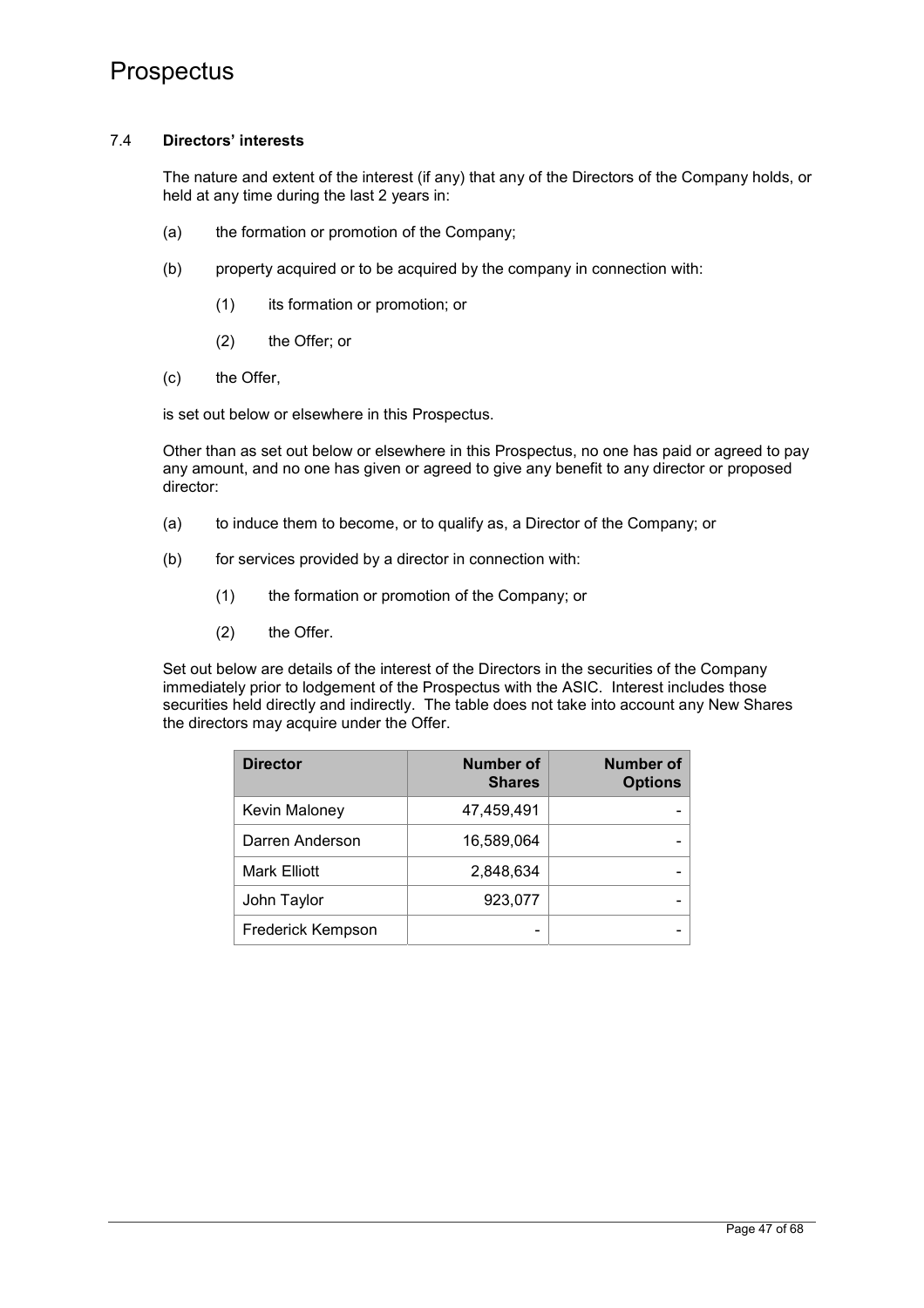### 7.4 **Directors' interests**

The nature and extent of the interest (if any) that any of the Directors of the Company holds, or held at any time during the last 2 years in:

- (a) the formation or promotion of the Company;
- (b) property acquired or to be acquired by the company in connection with:
	- (1) its formation or promotion; or
	- (2) the Offer; or
- (c) the Offer,

is set out below or elsewhere in this Prospectus.

Other than as set out below or elsewhere in this Prospectus, no one has paid or agreed to pay any amount, and no one has given or agreed to give any benefit to any director or proposed director:

- (a) to induce them to become, or to qualify as, a Director of the Company; or
- (b) for services provided by a director in connection with:
	- (1) the formation or promotion of the Company; or
	- (2) the Offer.

Set out below are details of the interest of the Directors in the securities of the Company immediately prior to lodgement of the Prospectus with the ASIC. Interest includes those securities held directly and indirectly. The table does not take into account any New Shares the directors may acquire under the Offer.

| <b>Director</b>      | <b>Number of</b><br><b>Shares</b> | <b>Number of</b><br><b>Options</b> |
|----------------------|-----------------------------------|------------------------------------|
| <b>Kevin Maloney</b> | 47,459,491                        |                                    |
| Darren Anderson      | 16,589,064                        |                                    |
| <b>Mark Elliott</b>  | 2,848,634                         |                                    |
| John Taylor          | 923,077                           |                                    |
| Frederick Kempson    |                                   |                                    |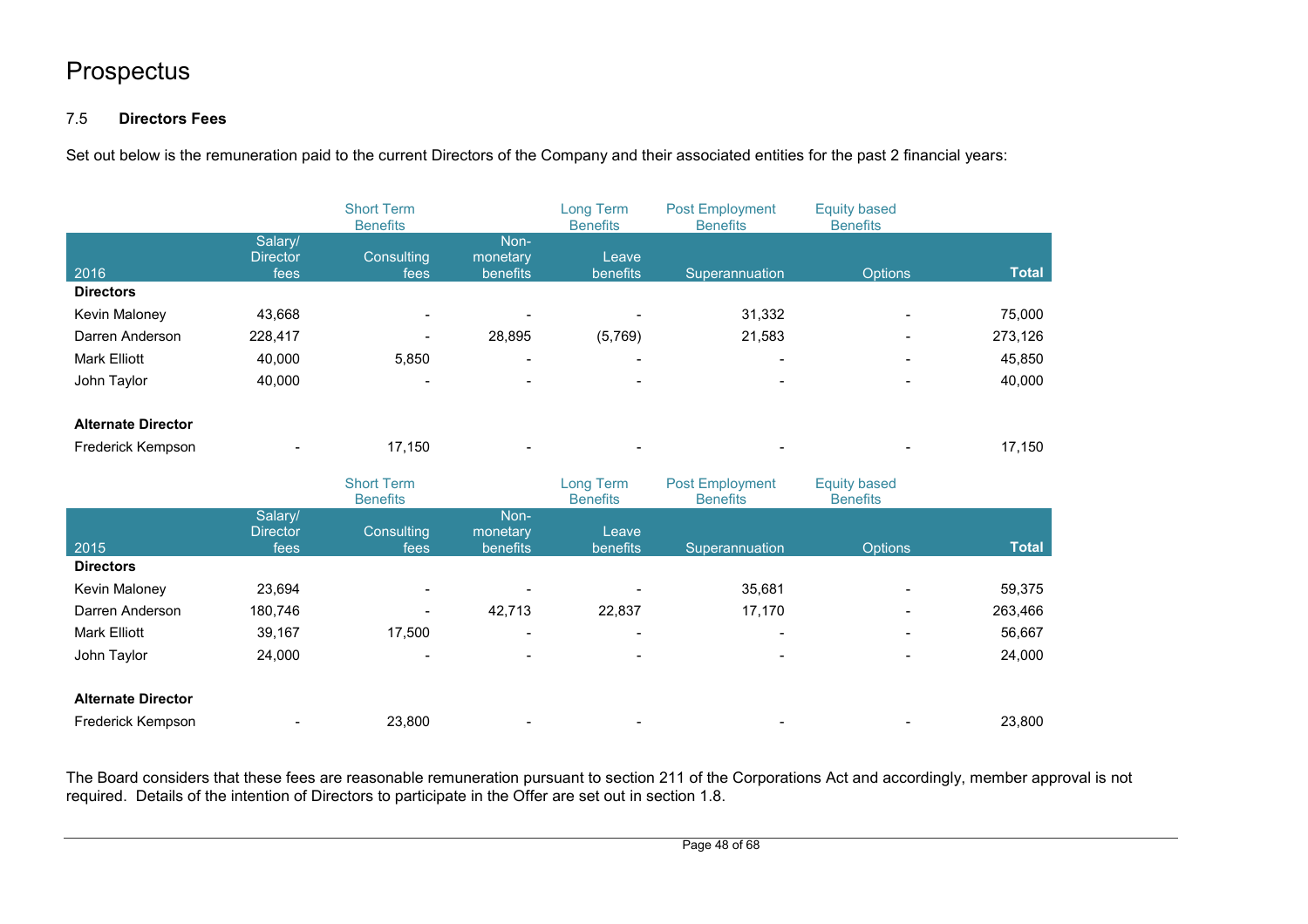## 7.5 **Directors Fees**

Set out below is the remuneration paid to the current Directors of the Company and their associated entities for the past 2 financial years:

|                                  |                            | <b>Short Term</b><br><b>Benefits</b> |                      | Long Term<br><b>Benefits</b> | <b>Post Employment</b><br><b>Benefits</b> | <b>Equity based</b><br><b>Benefits</b> |              |
|----------------------------------|----------------------------|--------------------------------------|----------------------|------------------------------|-------------------------------------------|----------------------------------------|--------------|
|                                  | Salary/                    |                                      | Non-                 |                              |                                           |                                        |              |
| 2016                             | <b>Director</b><br>fees    | Consulting<br>fees                   | monetary<br>benefits | Leave<br>benefits            | Superannuation                            | <b>Options</b>                         | <b>Total</b> |
| <b>Directors</b>                 |                            |                                      |                      |                              |                                           |                                        |              |
| Kevin Maloney                    | 43,668                     |                                      |                      |                              | 31,332                                    |                                        | 75,000       |
| Darren Anderson                  | 228,417                    |                                      | 28,895               | (5,769)                      | 21,583                                    |                                        | 273,126      |
| Mark Elliott                     | 40,000                     | 5,850                                |                      |                              |                                           |                                        | 45,850       |
| John Taylor                      | 40,000                     |                                      |                      |                              |                                           |                                        | 40,000       |
| <b>Alternate Director</b>        |                            |                                      |                      |                              |                                           |                                        |              |
| Frederick Kempson                |                            | 17,150                               |                      |                              |                                           |                                        | 17,150       |
|                                  |                            |                                      |                      |                              |                                           |                                        |              |
|                                  |                            | <b>Short Term</b><br><b>Benefits</b> |                      | Long Term<br><b>Benefits</b> | <b>Post Employment</b><br><b>Benefits</b> | <b>Equity based</b><br><b>Benefits</b> |              |
|                                  | Salary/<br><b>Director</b> | Consulting                           | Non-<br>monetary     | Leave                        |                                           |                                        |              |
| 2015<br><b>Directors</b>         | fees                       | fees                                 | benefits             | benefits                     | Superannuation                            | Options                                | <b>Total</b> |
|                                  | 23,694                     |                                      |                      |                              | 35,681                                    |                                        | 59,375       |
| Kevin Maloney<br>Darren Anderson | 180,746                    |                                      | 42,713               | 22,837                       | 17,170                                    |                                        | 263,466      |
| Mark Elliott                     | 39,167                     | 17,500                               |                      |                              |                                           |                                        | 56,667       |
| John Taylor                      | 24,000                     |                                      |                      |                              |                                           |                                        | 24,000       |
| <b>Alternate Director</b>        |                            |                                      |                      |                              |                                           |                                        |              |

The Board considers that these fees are reasonable remuneration pursuant to section 211 of the Corporations Act and accordingly, member approval is not required. Details of the intention of Directors to participate in the Offer are set out in section 1.8.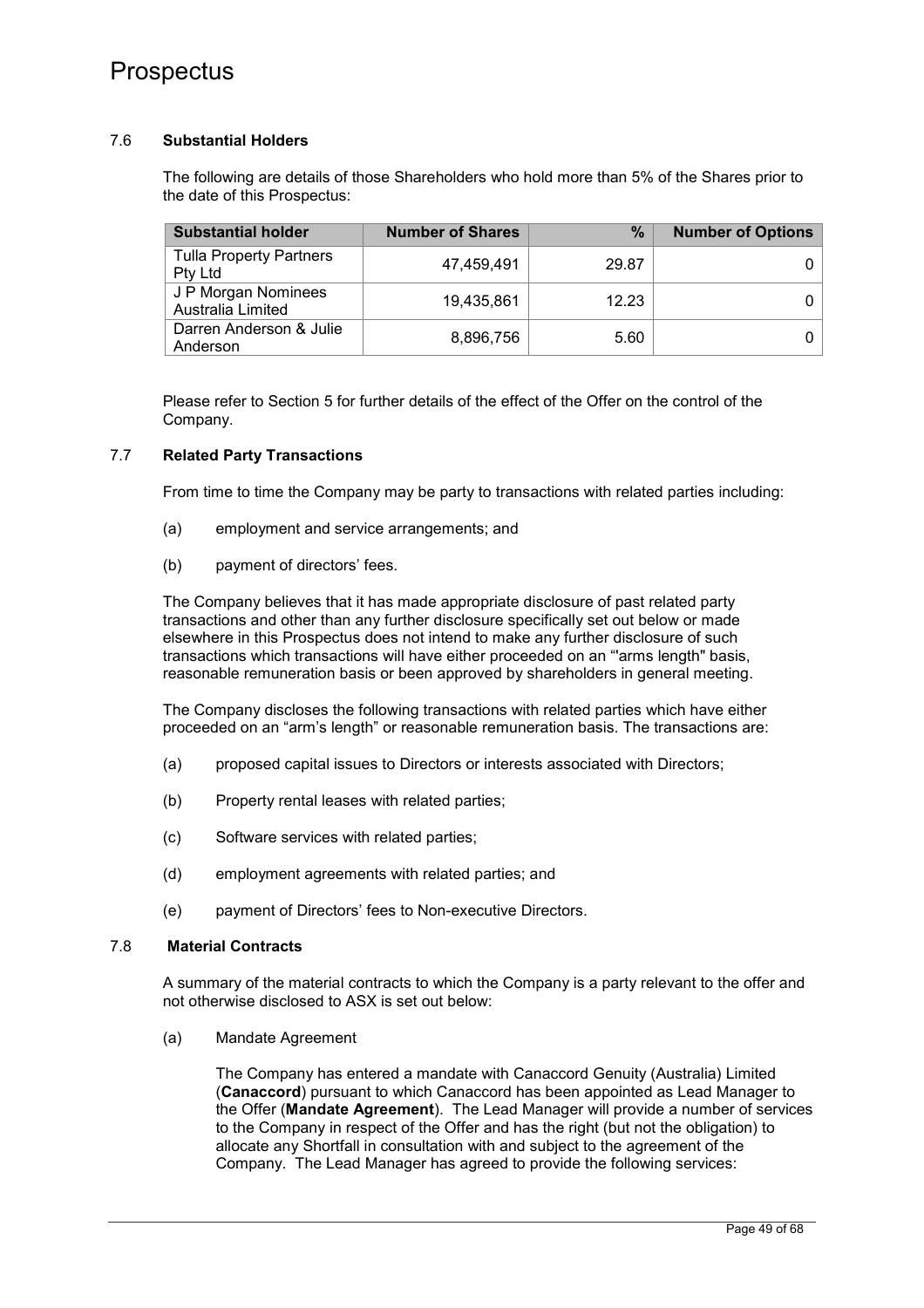## 7.6 **Substantial Holders**

The following are details of those Shareholders who hold more than 5% of the Shares prior to the date of this Prospectus:

| <b>Substantial holder</b>                        | <b>Number of Shares</b> | %     | <b>Number of Options</b> |
|--------------------------------------------------|-------------------------|-------|--------------------------|
| <b>Tulla Property Partners</b><br><b>Pty Ltd</b> | 47.459.491              | 29.87 |                          |
| J P Morgan Nominees<br>Australia Limited         | 19.435.861              | 12.23 |                          |
| Darren Anderson & Julie<br>Anderson              | 8,896,756               | 5.60  |                          |

Please refer to Section 5 for further details of the effect of the Offer on the control of the Company.

## 7.7 **Related Party Transactions**

From time to time the Company may be party to transactions with related parties including:

- (a) employment and service arrangements; and
- (b) payment of directors' fees.

The Company believes that it has made appropriate disclosure of past related party transactions and other than any further disclosure specifically set out below or made elsewhere in this Prospectus does not intend to make any further disclosure of such transactions which transactions will have either proceeded on an "'arms length" basis, reasonable remuneration basis or been approved by shareholders in general meeting.

The Company discloses the following transactions with related parties which have either proceeded on an "arm's length" or reasonable remuneration basis. The transactions are:

- (a) proposed capital issues to Directors or interests associated with Directors;
- (b) Property rental leases with related parties;
- (c) Software services with related parties;
- (d) employment agreements with related parties; and
- (e) payment of Directors' fees to Non-executive Directors.

#### 7.8 **Material Contracts**

A summary of the material contracts to which the Company is a party relevant to the offer and not otherwise disclosed to ASX is set out below:

(a) Mandate Agreement

The Company has entered a mandate with Canaccord Genuity (Australia) Limited (**Canaccord**) pursuant to which Canaccord has been appointed as Lead Manager to the Offer (**Mandate Agreement**). The Lead Manager will provide a number of services to the Company in respect of the Offer and has the right (but not the obligation) to allocate any Shortfall in consultation with and subject to the agreement of the Company. The Lead Manager has agreed to provide the following services: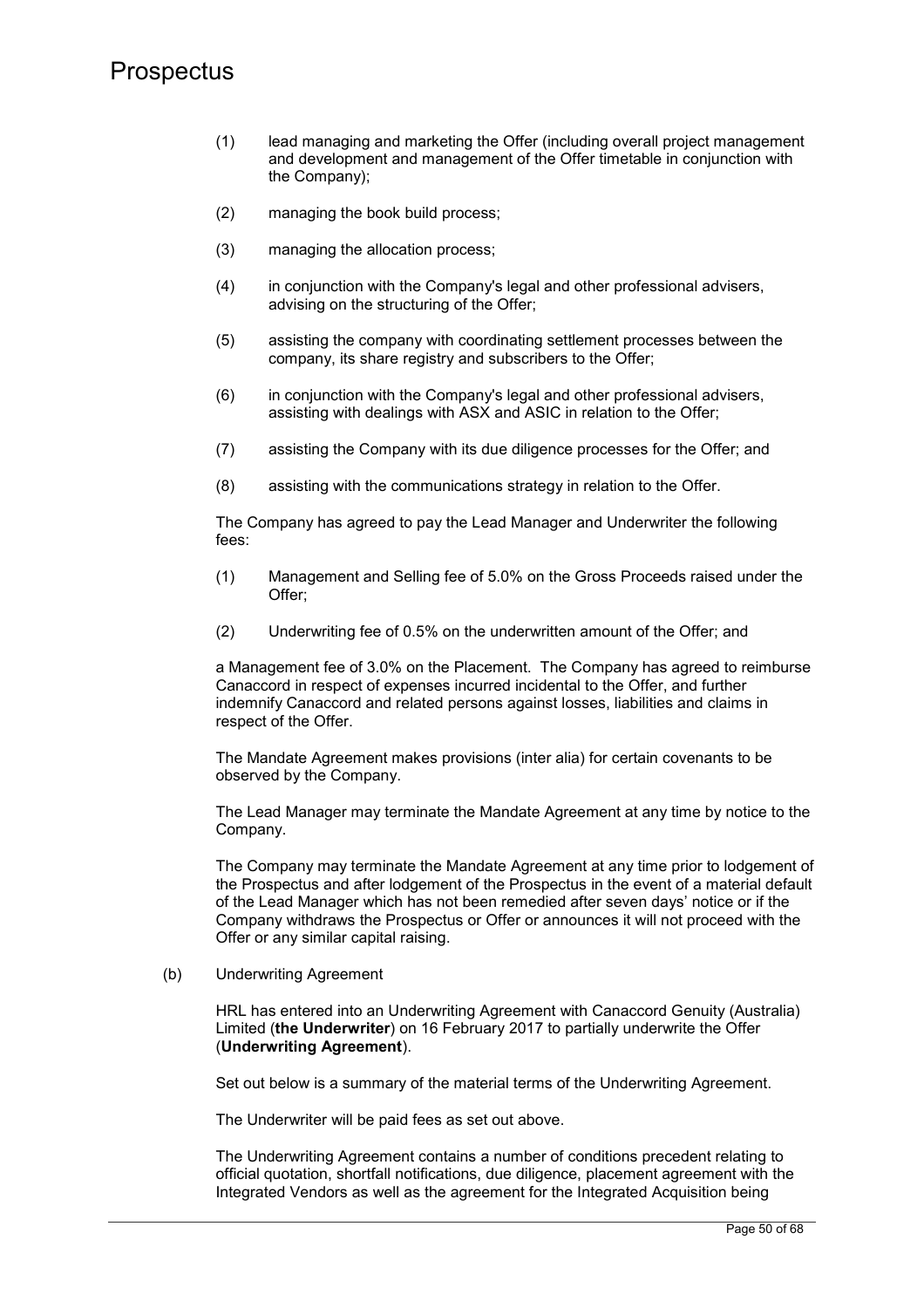- (1) lead managing and marketing the Offer (including overall project management and development and management of the Offer timetable in conjunction with the Company);
- (2) managing the book build process;
- (3) managing the allocation process;
- (4) in conjunction with the Company's legal and other professional advisers, advising on the structuring of the Offer;
- (5) assisting the company with coordinating settlement processes between the company, its share registry and subscribers to the Offer;
- (6) in conjunction with the Company's legal and other professional advisers, assisting with dealings with ASX and ASIC in relation to the Offer;
- (7) assisting the Company with its due diligence processes for the Offer; and
- (8) assisting with the communications strategy in relation to the Offer.

The Company has agreed to pay the Lead Manager and Underwriter the following fees:

- (1) Management and Selling fee of 5.0% on the Gross Proceeds raised under the Offer;
- (2) Underwriting fee of 0.5% on the underwritten amount of the Offer; and

a Management fee of 3.0% on the Placement. The Company has agreed to reimburse Canaccord in respect of expenses incurred incidental to the Offer, and further indemnify Canaccord and related persons against losses, liabilities and claims in respect of the Offer.

The Mandate Agreement makes provisions (inter alia) for certain covenants to be observed by the Company.

The Lead Manager may terminate the Mandate Agreement at any time by notice to the Company.

The Company may terminate the Mandate Agreement at any time prior to lodgement of the Prospectus and after lodgement of the Prospectus in the event of a material default of the Lead Manager which has not been remedied after seven days' notice or if the Company withdraws the Prospectus or Offer or announces it will not proceed with the Offer or any similar capital raising.

### (b) Underwriting Agreement

HRL has entered into an Underwriting Agreement with Canaccord Genuity (Australia) Limited (**the Underwriter**) on 16 February 2017 to partially underwrite the Offer (**Underwriting Agreement**).

Set out below is a summary of the material terms of the Underwriting Agreement.

The Underwriter will be paid fees as set out above.

The Underwriting Agreement contains a number of conditions precedent relating to official quotation, shortfall notifications, due diligence, placement agreement with the Integrated Vendors as well as the agreement for the Integrated Acquisition being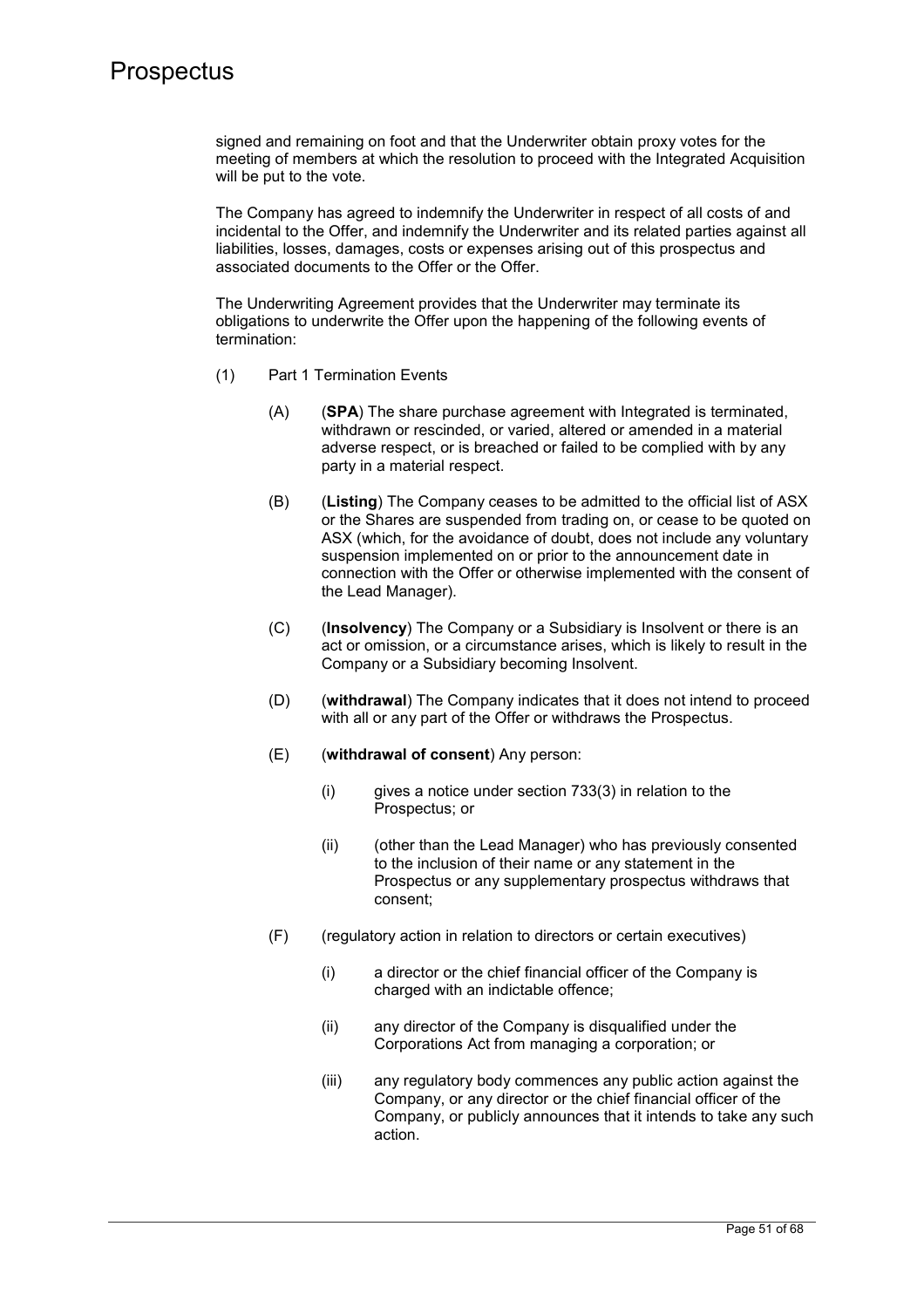signed and remaining on foot and that the Underwriter obtain proxy votes for the meeting of members at which the resolution to proceed with the Integrated Acquisition will be put to the vote.

The Company has agreed to indemnify the Underwriter in respect of all costs of and incidental to the Offer, and indemnify the Underwriter and its related parties against all liabilities, losses, damages, costs or expenses arising out of this prospectus and associated documents to the Offer or the Offer.

The Underwriting Agreement provides that the Underwriter may terminate its obligations to underwrite the Offer upon the happening of the following events of termination:

- (1) Part 1 Termination Events
	- (A) (**SPA**) The share purchase agreement with Integrated is terminated, withdrawn or rescinded, or varied, altered or amended in a material adverse respect, or is breached or failed to be complied with by any party in a material respect.
	- (B) (**Listing**) The Company ceases to be admitted to the official list of ASX or the Shares are suspended from trading on, or cease to be quoted on ASX (which, for the avoidance of doubt, does not include any voluntary suspension implemented on or prior to the announcement date in connection with the Offer or otherwise implemented with the consent of the Lead Manager).
	- (C) (**Insolvency**) The Company or a Subsidiary is Insolvent or there is an act or omission, or a circumstance arises, which is likely to result in the Company or a Subsidiary becoming Insolvent.
	- (D) (**withdrawal**) The Company indicates that it does not intend to proceed with all or any part of the Offer or withdraws the Prospectus.
	- (E) (**withdrawal of consent**) Any person:
		- $(i)$  gives a notice under section 733(3) in relation to the Prospectus; or
		- (ii) (other than the Lead Manager) who has previously consented to the inclusion of their name or any statement in the Prospectus or any supplementary prospectus withdraws that consent;
	- (F) (regulatory action in relation to directors or certain executives)
		- (i) a director or the chief financial officer of the Company is charged with an indictable offence;
		- (ii) any director of the Company is disqualified under the Corporations Act from managing a corporation; or
		- (iii) any regulatory body commences any public action against the Company, or any director or the chief financial officer of the Company, or publicly announces that it intends to take any such action.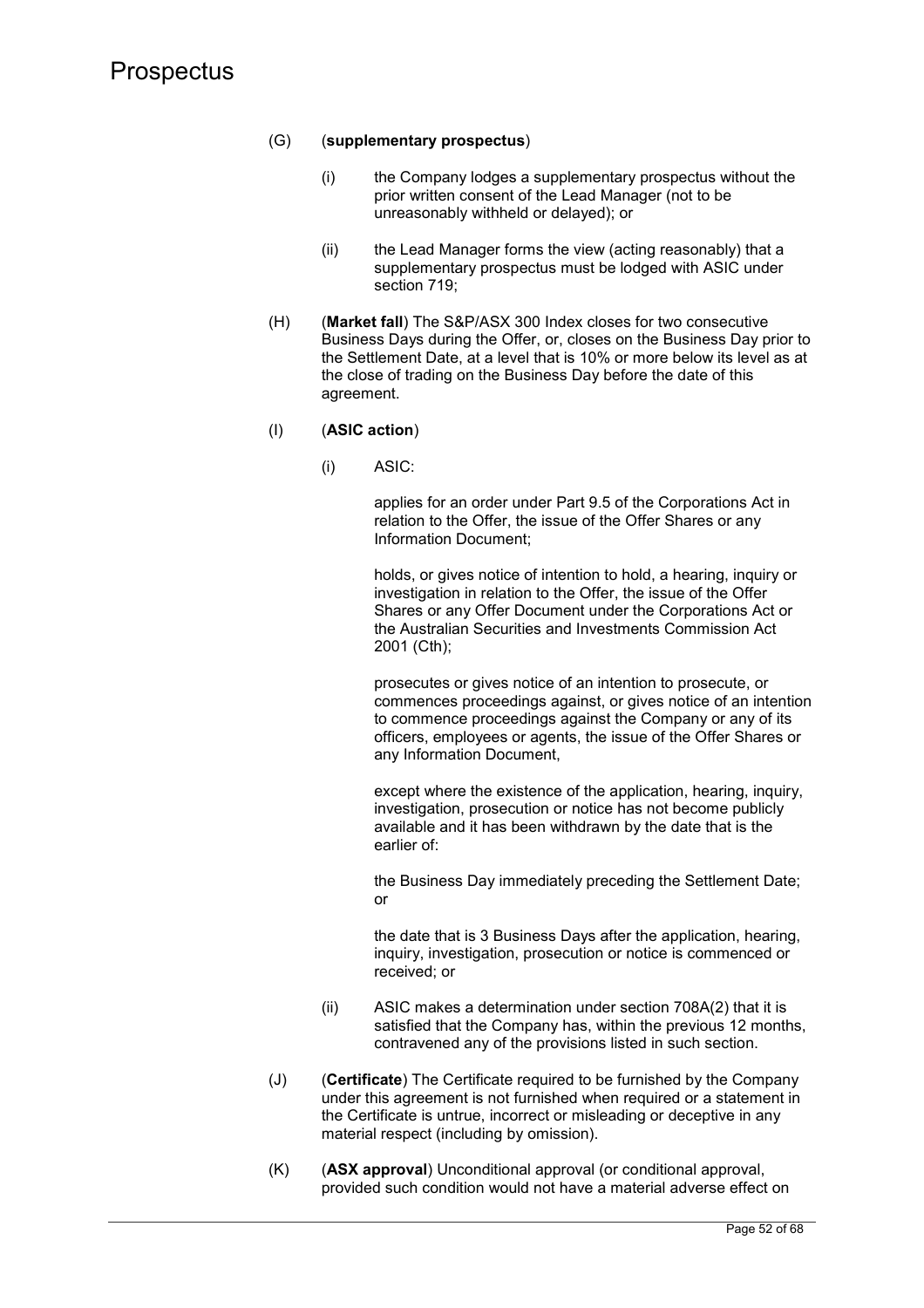## (G) (**supplementary prospectus**)

- (i) the Company lodges a supplementary prospectus without the prior written consent of the Lead Manager (not to be unreasonably withheld or delayed); or
- (ii) the Lead Manager forms the view (acting reasonably) that a supplementary prospectus must be lodged with ASIC under section 719:
- (H) (**Market fall**) The S&P/ASX 300 Index closes for two consecutive Business Days during the Offer, or, closes on the Business Day prior to the Settlement Date, at a level that is 10% or more below its level as at the close of trading on the Business Day before the date of this agreement.

## (I) (**ASIC action**)

(i) ASIC:

applies for an order under Part 9.5 of the Corporations Act in relation to the Offer, the issue of the Offer Shares or any Information Document;

holds, or gives notice of intention to hold, a hearing, inquiry or investigation in relation to the Offer, the issue of the Offer Shares or any Offer Document under the Corporations Act or the Australian Securities and Investments Commission Act 2001 (Cth);

prosecutes or gives notice of an intention to prosecute, or commences proceedings against, or gives notice of an intention to commence proceedings against the Company or any of its officers, employees or agents, the issue of the Offer Shares or any Information Document,

except where the existence of the application, hearing, inquiry, investigation, prosecution or notice has not become publicly available and it has been withdrawn by the date that is the earlier of:

the Business Day immediately preceding the Settlement Date; or

the date that is 3 Business Days after the application, hearing, inquiry, investigation, prosecution or notice is commenced or received; or

- (ii) ASIC makes a determination under section 708A(2) that it is satisfied that the Company has, within the previous 12 months, contravened any of the provisions listed in such section.
- (J) (**Certificate**) The Certificate required to be furnished by the Company under this agreement is not furnished when required or a statement in the Certificate is untrue, incorrect or misleading or deceptive in any material respect (including by omission).
- (K) (**ASX approval**) Unconditional approval (or conditional approval, provided such condition would not have a material adverse effect on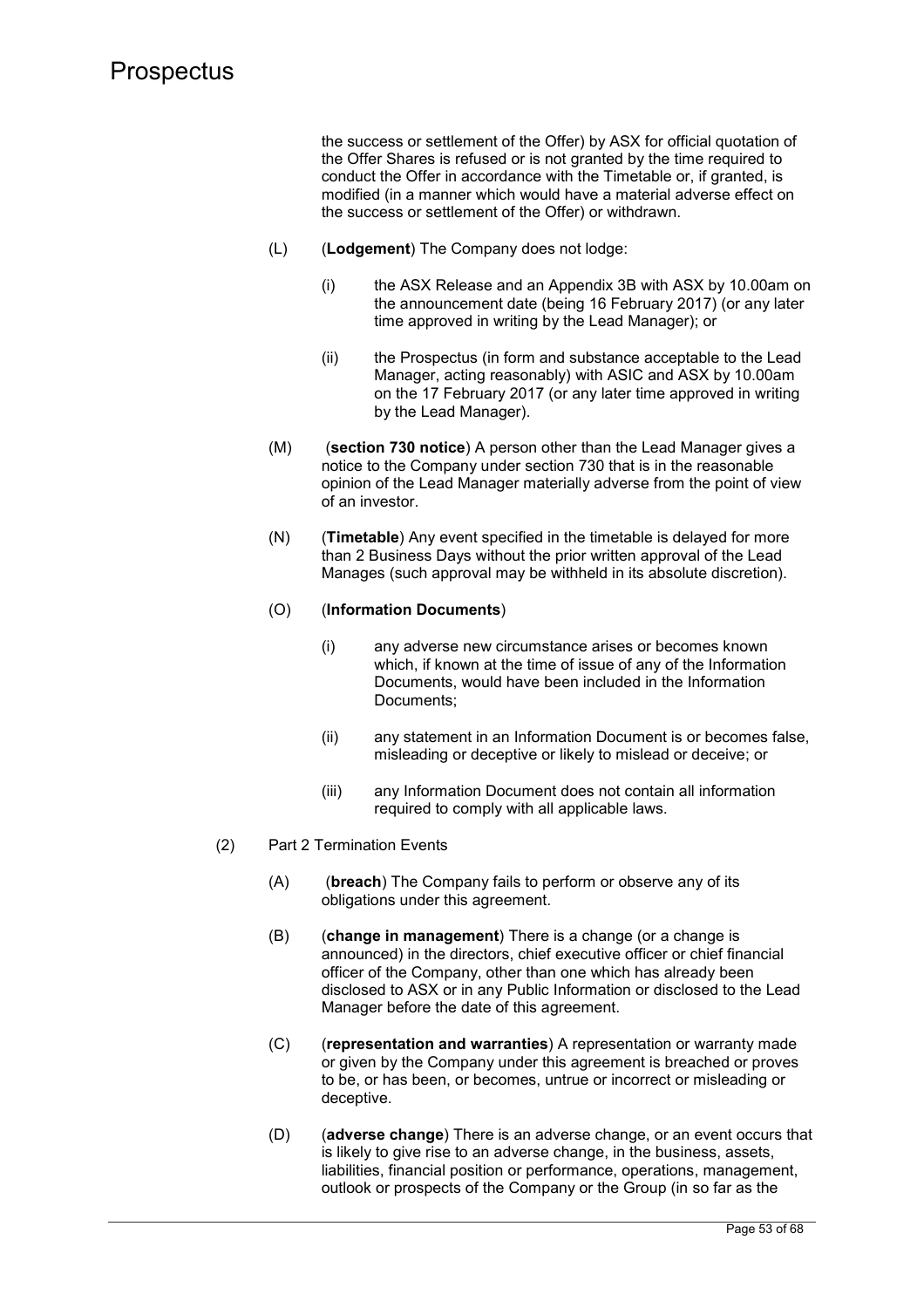the success or settlement of the Offer) by ASX for official quotation of the Offer Shares is refused or is not granted by the time required to conduct the Offer in accordance with the Timetable or, if granted, is modified (in a manner which would have a material adverse effect on the success or settlement of the Offer) or withdrawn.

- (L) (**Lodgement**) The Company does not lodge:
	- (i) the ASX Release and an Appendix 3B with ASX by 10.00am on the announcement date (being 16 February 2017) (or any later time approved in writing by the Lead Manager); or
	- (ii) the Prospectus (in form and substance acceptable to the Lead Manager, acting reasonably) with ASIC and ASX by 10.00am on the 17 February 2017 (or any later time approved in writing by the Lead Manager).
- (M) (**section 730 notice**) A person other than the Lead Manager gives a notice to the Company under section 730 that is in the reasonable opinion of the Lead Manager materially adverse from the point of view of an investor.
- (N) (**Timetable**) Any event specified in the timetable is delayed for more than 2 Business Days without the prior written approval of the Lead Manages (such approval may be withheld in its absolute discretion).

### (O) (**Information Documents**)

- (i) any adverse new circumstance arises or becomes known which, if known at the time of issue of any of the Information Documents, would have been included in the Information Documents;
- (ii) any statement in an Information Document is or becomes false, misleading or deceptive or likely to mislead or deceive; or
- (iii) any Information Document does not contain all information required to comply with all applicable laws.
- (2) Part 2 Termination Events
	- (A) (**breach**) The Company fails to perform or observe any of its obligations under this agreement.
	- (B) (**change in management**) There is a change (or a change is announced) in the directors, chief executive officer or chief financial officer of the Company, other than one which has already been disclosed to ASX or in any Public Information or disclosed to the Lead Manager before the date of this agreement.
	- (C) (**representation and warranties**) A representation or warranty made or given by the Company under this agreement is breached or proves to be, or has been, or becomes, untrue or incorrect or misleading or deceptive.
	- (D) (**adverse change**) There is an adverse change, or an event occurs that is likely to give rise to an adverse change, in the business, assets, liabilities, financial position or performance, operations, management, outlook or prospects of the Company or the Group (in so far as the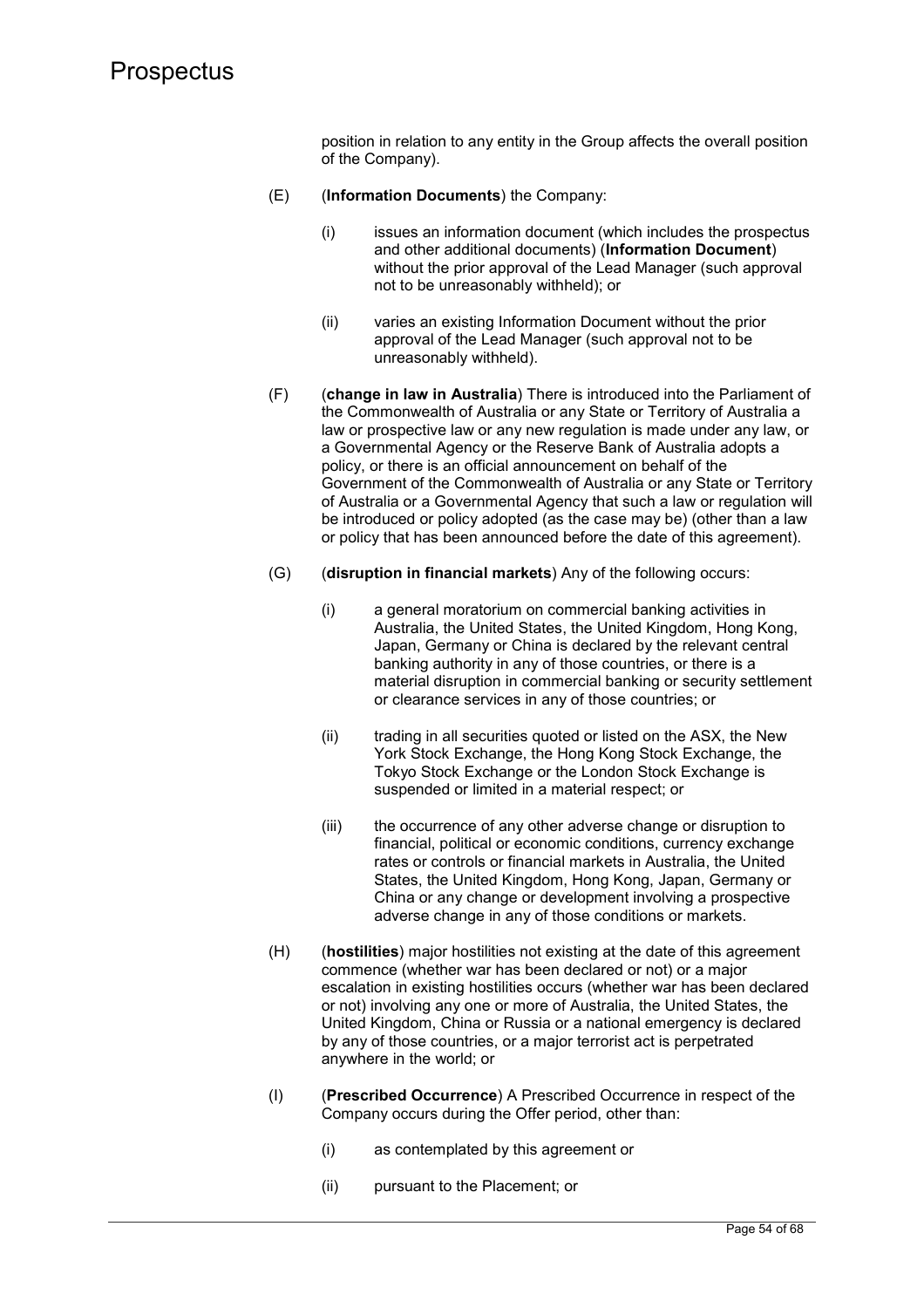position in relation to any entity in the Group affects the overall position of the Company).

- (E) (**Information Documents**) the Company:
	- (i) issues an information document (which includes the prospectus and other additional documents) (**Information Document**) without the prior approval of the Lead Manager (such approval not to be unreasonably withheld); or
	- (ii) varies an existing Information Document without the prior approval of the Lead Manager (such approval not to be unreasonably withheld).
- (F) (**change in law in Australia**) There is introduced into the Parliament of the Commonwealth of Australia or any State or Territory of Australia a law or prospective law or any new regulation is made under any law, or a Governmental Agency or the Reserve Bank of Australia adopts a policy, or there is an official announcement on behalf of the Government of the Commonwealth of Australia or any State or Territory of Australia or a Governmental Agency that such a law or regulation will be introduced or policy adopted (as the case may be) (other than a law or policy that has been announced before the date of this agreement).
- (G) (**disruption in financial markets**) Any of the following occurs:
	- (i) a general moratorium on commercial banking activities in Australia, the United States, the United Kingdom, Hong Kong, Japan, Germany or China is declared by the relevant central banking authority in any of those countries, or there is a material disruption in commercial banking or security settlement or clearance services in any of those countries; or
	- (ii) trading in all securities quoted or listed on the ASX, the New York Stock Exchange, the Hong Kong Stock Exchange, the Tokyo Stock Exchange or the London Stock Exchange is suspended or limited in a material respect; or
	- (iii) the occurrence of any other adverse change or disruption to financial, political or economic conditions, currency exchange rates or controls or financial markets in Australia, the United States, the United Kingdom, Hong Kong, Japan, Germany or China or any change or development involving a prospective adverse change in any of those conditions or markets.
- (H) (**hostilities**) major hostilities not existing at the date of this agreement commence (whether war has been declared or not) or a major escalation in existing hostilities occurs (whether war has been declared or not) involving any one or more of Australia, the United States, the United Kingdom, China or Russia or a national emergency is declared by any of those countries, or a major terrorist act is perpetrated anywhere in the world; or
- (I) (**Prescribed Occurrence**) A Prescribed Occurrence in respect of the Company occurs during the Offer period, other than:
	- (i) as contemplated by this agreement or
	- (ii) pursuant to the Placement; or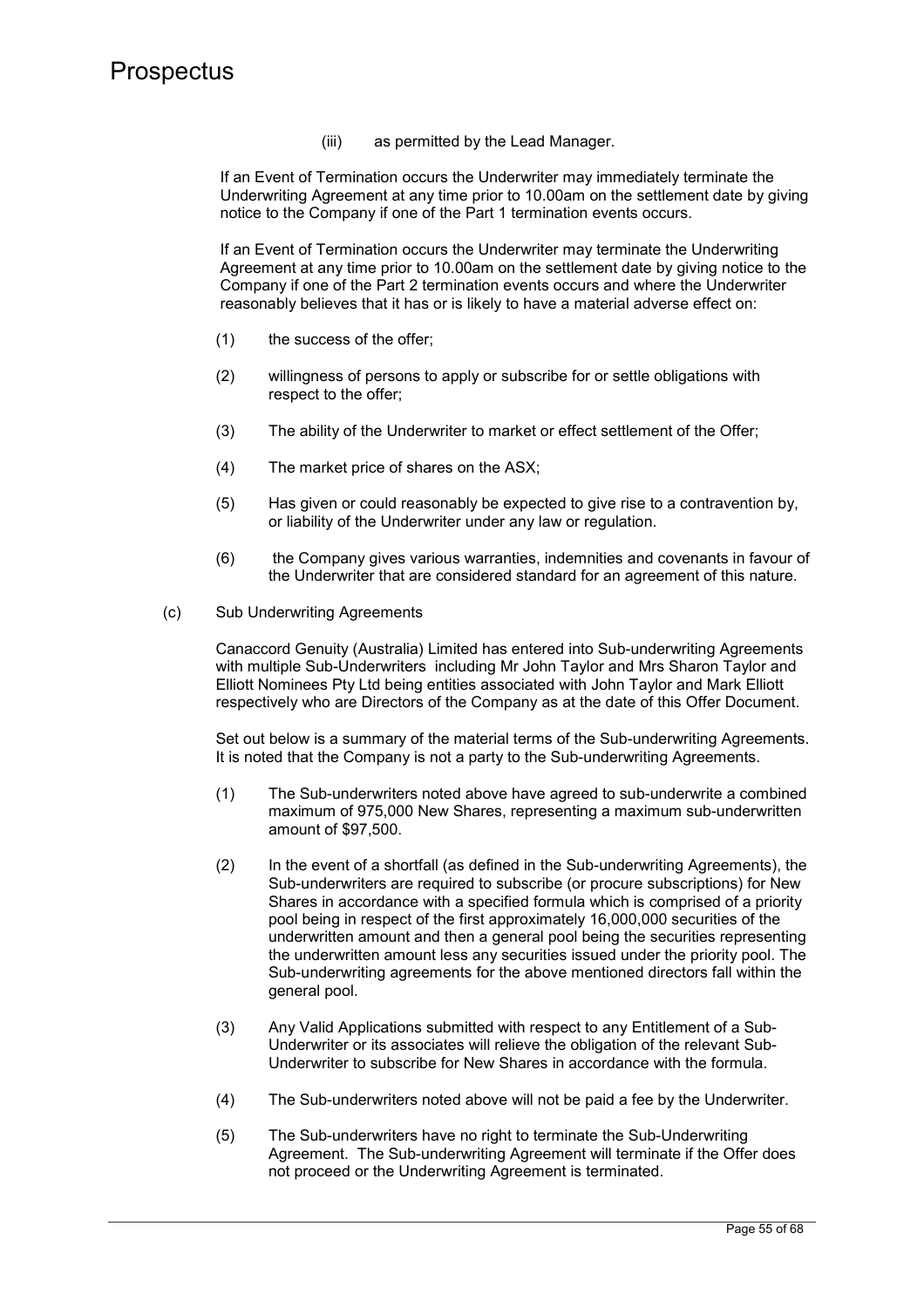(iii) as permitted by the Lead Manager.

If an Event of Termination occurs the Underwriter may immediately terminate the Underwriting Agreement at any time prior to 10.00am on the settlement date by giving notice to the Company if one of the Part 1 termination events occurs.

If an Event of Termination occurs the Underwriter may terminate the Underwriting Agreement at any time prior to 10.00am on the settlement date by giving notice to the Company if one of the Part 2 termination events occurs and where the Underwriter reasonably believes that it has or is likely to have a material adverse effect on:

- (1) the success of the offer;
- (2) willingness of persons to apply or subscribe for or settle obligations with respect to the offer;
- (3) The ability of the Underwriter to market or effect settlement of the Offer;
- (4) The market price of shares on the ASX;
- (5) Has given or could reasonably be expected to give rise to a contravention by, or liability of the Underwriter under any law or regulation.
- (6) the Company gives various warranties, indemnities and covenants in favour of the Underwriter that are considered standard for an agreement of this nature.
- (c) Sub Underwriting Agreements

Canaccord Genuity (Australia) Limited has entered into Sub-underwriting Agreements with multiple Sub-Underwriters including Mr John Taylor and Mrs Sharon Taylor and Elliott Nominees Pty Ltd being entities associated with John Taylor and Mark Elliott respectively who are Directors of the Company as at the date of this Offer Document.

Set out below is a summary of the material terms of the Sub-underwriting Agreements. It is noted that the Company is not a party to the Sub-underwriting Agreements.

- (1) The Sub-underwriters noted above have agreed to sub-underwrite a combined maximum of 975,000 New Shares, representing a maximum sub-underwritten amount of \$97,500.
- (2) In the event of a shortfall (as defined in the Sub-underwriting Agreements), the Sub-underwriters are required to subscribe (or procure subscriptions) for New Shares in accordance with a specified formula which is comprised of a priority pool being in respect of the first approximately 16,000,000 securities of the underwritten amount and then a general pool being the securities representing the underwritten amount less any securities issued under the priority pool. The Sub-underwriting agreements for the above mentioned directors fall within the general pool.
- (3) Any Valid Applications submitted with respect to any Entitlement of a Sub-Underwriter or its associates will relieve the obligation of the relevant Sub-Underwriter to subscribe for New Shares in accordance with the formula.
- (4) The Sub-underwriters noted above will not be paid a fee by the Underwriter.
- (5) The Sub-underwriters have no right to terminate the Sub-Underwriting Agreement. The Sub-underwriting Agreement will terminate if the Offer does not proceed or the Underwriting Agreement is terminated.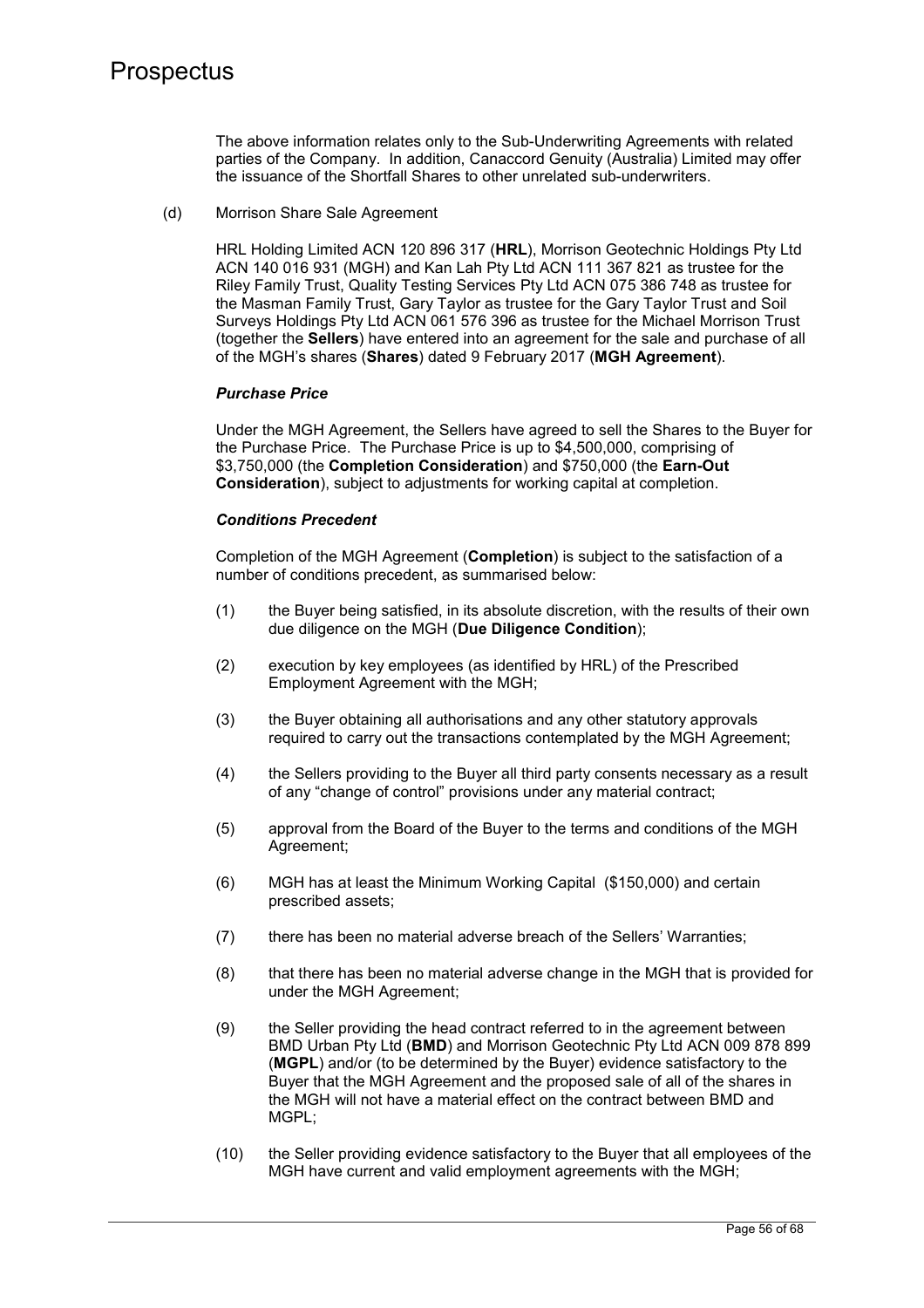The above information relates only to the Sub-Underwriting Agreements with related parties of the Company. In addition, Canaccord Genuity (Australia) Limited may offer the issuance of the Shortfall Shares to other unrelated sub-underwriters.

(d) Morrison Share Sale Agreement

HRL Holding Limited ACN 120 896 317 (**HRL**), Morrison Geotechnic Holdings Pty Ltd ACN 140 016 931 (MGH) and Kan Lah Pty Ltd ACN 111 367 821 as trustee for the Riley Family Trust, Quality Testing Services Pty Ltd ACN 075 386 748 as trustee for the Masman Family Trust, Gary Taylor as trustee for the Gary Taylor Trust and Soil Surveys Holdings Pty Ltd ACN 061 576 396 as trustee for the Michael Morrison Trust (together the **Sellers**) have entered into an agreement for the sale and purchase of all of the MGH's shares (**Shares**) dated 9 February 2017 (**MGH Agreement**).

### *Purchase Price*

Under the MGH Agreement, the Sellers have agreed to sell the Shares to the Buyer for the Purchase Price. The Purchase Price is up to \$4,500,000, comprising of \$3,750,000 (the **Completion Consideration**) and \$750,000 (the **Earn-Out Consideration**), subject to adjustments for working capital at completion.

## *Conditions Precedent*

Completion of the MGH Agreement (**Completion**) is subject to the satisfaction of a number of conditions precedent, as summarised below:

- (1) the Buyer being satisfied, in its absolute discretion, with the results of their own due diligence on the MGH (**Due Diligence Condition**);
- (2) execution by key employees (as identified by HRL) of the Prescribed Employment Agreement with the MGH;
- (3) the Buyer obtaining all authorisations and any other statutory approvals required to carry out the transactions contemplated by the MGH Agreement;
- (4) the Sellers providing to the Buyer all third party consents necessary as a result of any "change of control" provisions under any material contract;
- (5) approval from the Board of the Buyer to the terms and conditions of the MGH Agreement;
- (6) MGH has at least the Minimum Working Capital (\$150,000) and certain prescribed assets;
- (7) there has been no material adverse breach of the Sellers' Warranties;
- (8) that there has been no material adverse change in the MGH that is provided for under the MGH Agreement;
- (9) the Seller providing the head contract referred to in the agreement between BMD Urban Pty Ltd (**BMD**) and Morrison Geotechnic Pty Ltd ACN 009 878 899 (**MGPL**) and/or (to be determined by the Buyer) evidence satisfactory to the Buyer that the MGH Agreement and the proposed sale of all of the shares in the MGH will not have a material effect on the contract between BMD and MGPI ·
- (10) the Seller providing evidence satisfactory to the Buyer that all employees of the MGH have current and valid employment agreements with the MGH;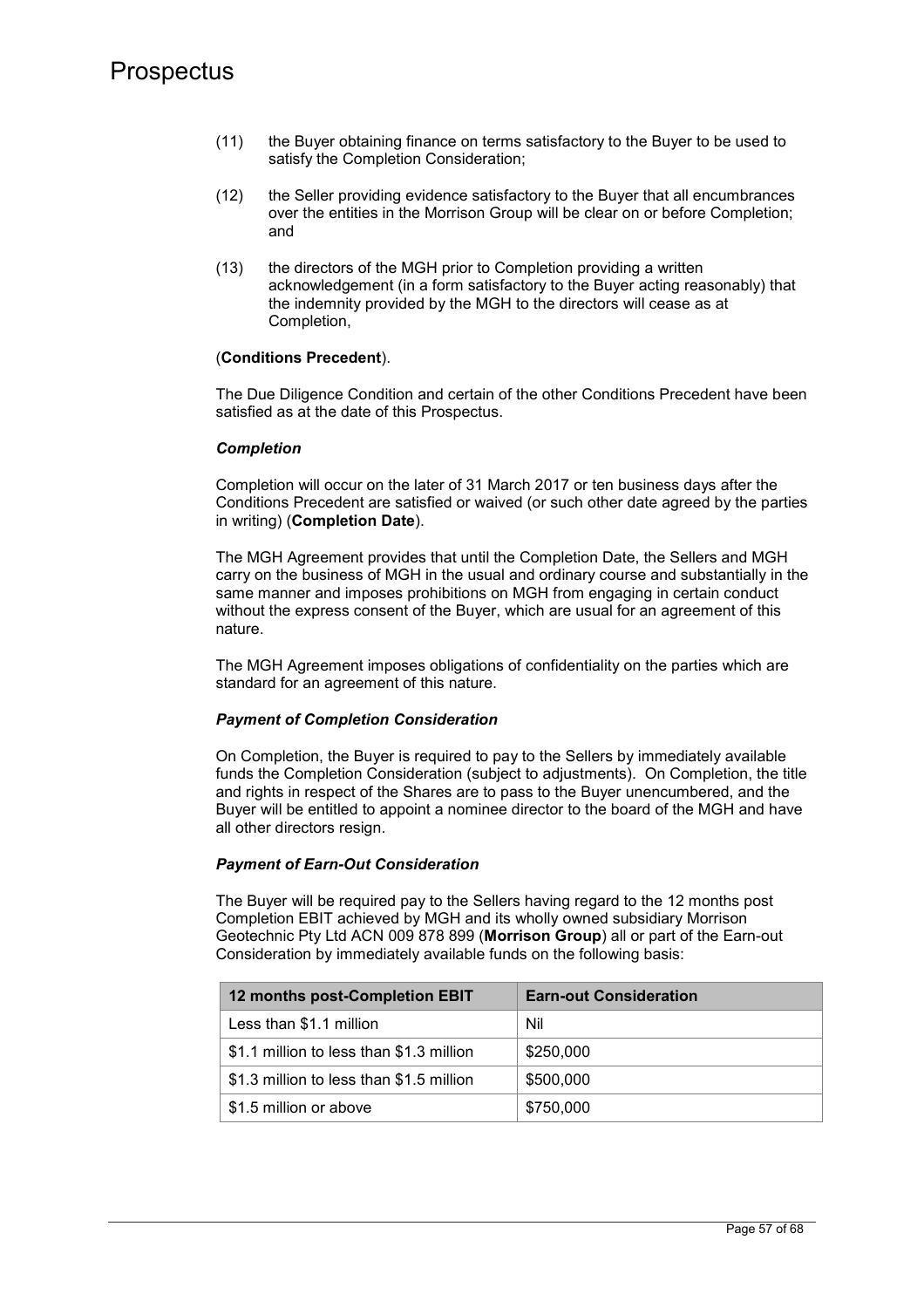- (11) the Buyer obtaining finance on terms satisfactory to the Buyer to be used to satisfy the Completion Consideration;
- (12) the Seller providing evidence satisfactory to the Buyer that all encumbrances over the entities in the Morrison Group will be clear on or before Completion; and
- (13) the directors of the MGH prior to Completion providing a written acknowledgement (in a form satisfactory to the Buyer acting reasonably) that the indemnity provided by the MGH to the directors will cease as at Completion,

### (**Conditions Precedent**).

The Due Diligence Condition and certain of the other Conditions Precedent have been satisfied as at the date of this Prospectus.

### *Completion*

Completion will occur on the later of 31 March 2017 or ten business days after the Conditions Precedent are satisfied or waived (or such other date agreed by the parties in writing) (**Completion Date**).

The MGH Agreement provides that until the Completion Date, the Sellers and MGH carry on the business of MGH in the usual and ordinary course and substantially in the same manner and imposes prohibitions on MGH from engaging in certain conduct without the express consent of the Buyer, which are usual for an agreement of this nature.

The MGH Agreement imposes obligations of confidentiality on the parties which are standard for an agreement of this nature.

## *Payment of Completion Consideration*

On Completion, the Buyer is required to pay to the Sellers by immediately available funds the Completion Consideration (subject to adjustments). On Completion, the title and rights in respect of the Shares are to pass to the Buyer unencumbered, and the Buyer will be entitled to appoint a nominee director to the board of the MGH and have all other directors resign.

## *Payment of Earn-Out Consideration*

The Buyer will be required pay to the Sellers having regard to the 12 months post Completion EBIT achieved by MGH and its wholly owned subsidiary Morrison Geotechnic Pty Ltd ACN 009 878 899 (**Morrison Group**) all or part of the Earn-out Consideration by immediately available funds on the following basis:

| 12 months post-Completion EBIT           | <b>Earn-out Consideration</b> |
|------------------------------------------|-------------------------------|
| Less than \$1.1 million                  | Nil                           |
| \$1.1 million to less than \$1.3 million | \$250,000                     |
| \$1.3 million to less than \$1.5 million | \$500,000                     |
| \$1.5 million or above                   | \$750,000                     |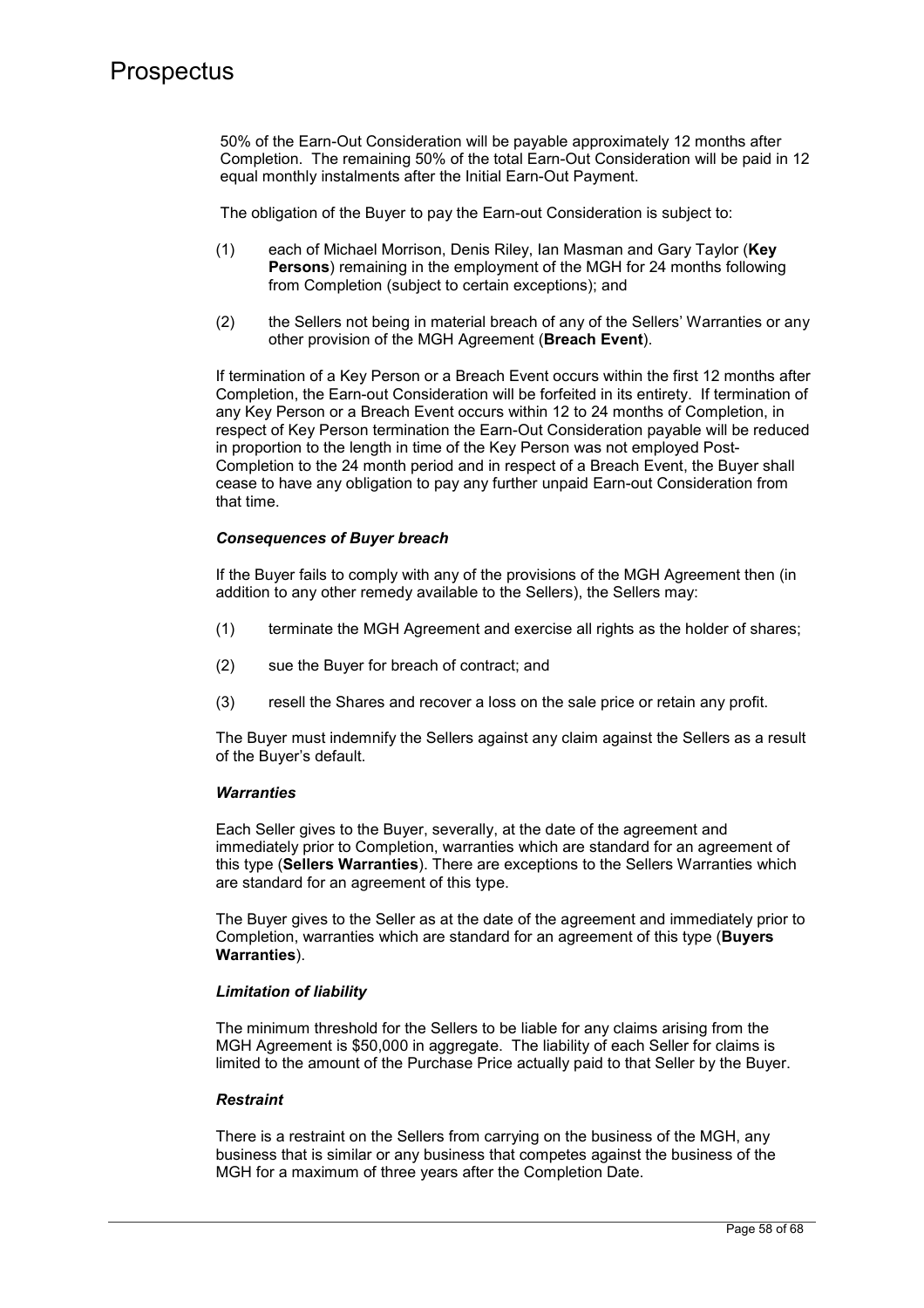50% of the Earn-Out Consideration will be payable approximately 12 months after Completion. The remaining 50% of the total Earn-Out Consideration will be paid in 12 equal monthly instalments after the Initial Earn-Out Payment.

The obligation of the Buyer to pay the Earn-out Consideration is subject to:

- (1) each of Michael Morrison, Denis Riley, Ian Masman and Gary Taylor (**Key Persons**) remaining in the employment of the MGH for 24 months following from Completion (subject to certain exceptions); and
- (2) the Sellers not being in material breach of any of the Sellers' Warranties or any other provision of the MGH Agreement (**Breach Event**).

If termination of a Key Person or a Breach Event occurs within the first 12 months after Completion, the Earn-out Consideration will be forfeited in its entirety. If termination of any Key Person or a Breach Event occurs within 12 to 24 months of Completion, in respect of Key Person termination the Earn-Out Consideration payable will be reduced in proportion to the length in time of the Key Person was not employed Post-Completion to the 24 month period and in respect of a Breach Event, the Buyer shall cease to have any obligation to pay any further unpaid Earn-out Consideration from that time.

## *Consequences of Buyer breach*

If the Buyer fails to comply with any of the provisions of the MGH Agreement then (in addition to any other remedy available to the Sellers), the Sellers may:

- (1) terminate the MGH Agreement and exercise all rights as the holder of shares;
- (2) sue the Buyer for breach of contract; and
- (3) resell the Shares and recover a loss on the sale price or retain any profit.

The Buyer must indemnify the Sellers against any claim against the Sellers as a result of the Buyer's default.

#### *Warranties*

Each Seller gives to the Buyer, severally, at the date of the agreement and immediately prior to Completion, warranties which are standard for an agreement of this type (**Sellers Warranties**). There are exceptions to the Sellers Warranties which are standard for an agreement of this type.

The Buyer gives to the Seller as at the date of the agreement and immediately prior to Completion, warranties which are standard for an agreement of this type (**Buyers Warranties**).

## *Limitation of liability*

The minimum threshold for the Sellers to be liable for any claims arising from the MGH Agreement is \$50,000 in aggregate. The liability of each Seller for claims is limited to the amount of the Purchase Price actually paid to that Seller by the Buyer.

## *Restraint*

There is a restraint on the Sellers from carrying on the business of the MGH, any business that is similar or any business that competes against the business of the MGH for a maximum of three years after the Completion Date.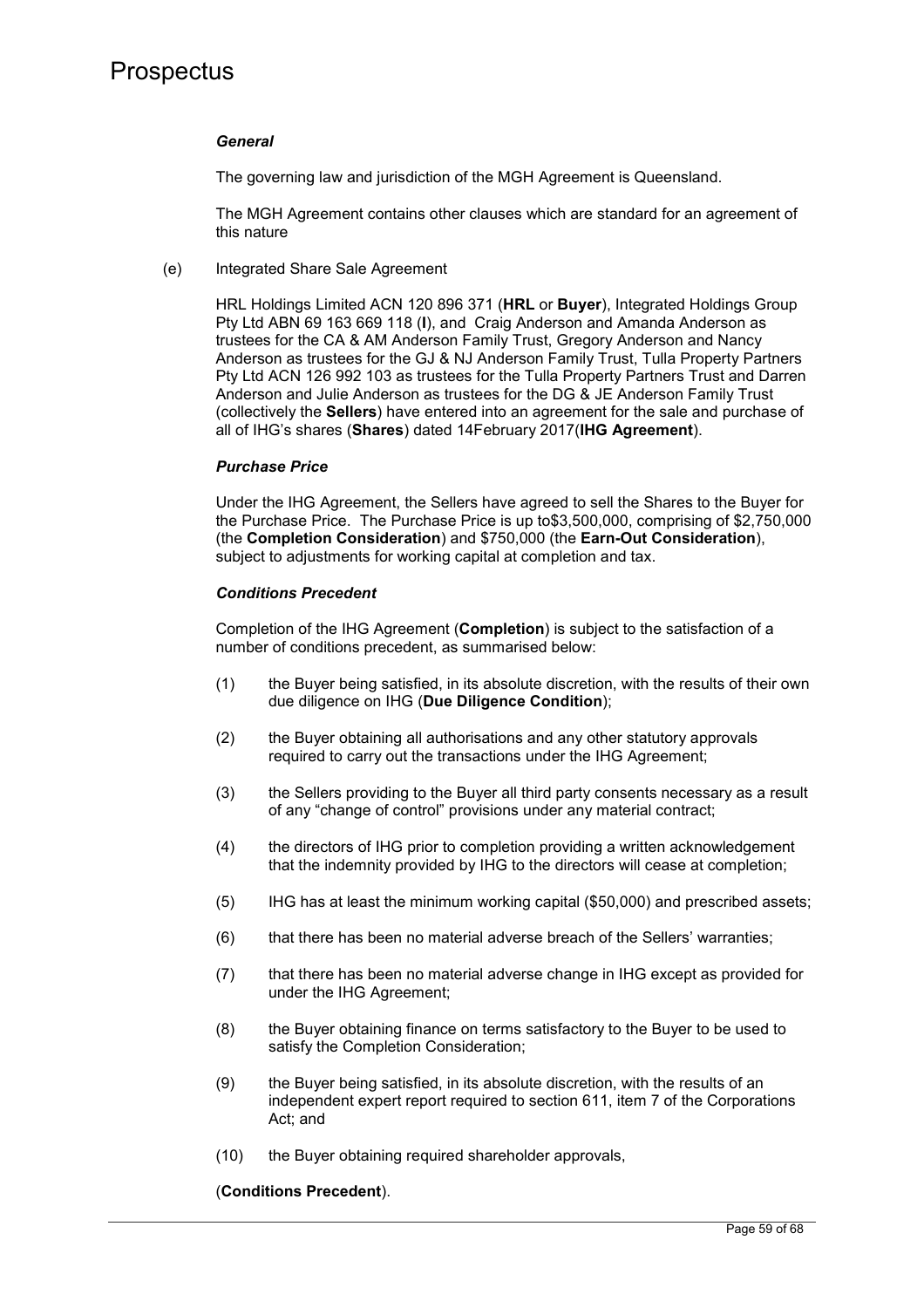### *General*

The governing law and jurisdiction of the MGH Agreement is Queensland.

The MGH Agreement contains other clauses which are standard for an agreement of this nature

(e) Integrated Share Sale Agreement

HRL Holdings Limited ACN 120 896 371 (**HRL** or **Buyer**), Integrated Holdings Group Pty Ltd ABN 69 163 669 118 (**I**), and Craig Anderson and Amanda Anderson as trustees for the CA & AM Anderson Family Trust, Gregory Anderson and Nancy Anderson as trustees for the GJ & NJ Anderson Family Trust, Tulla Property Partners Pty Ltd ACN 126 992 103 as trustees for the Tulla Property Partners Trust and Darren Anderson and Julie Anderson as trustees for the DG & JE Anderson Family Trust (collectively the **Sellers**) have entered into an agreement for the sale and purchase of all of IHG's shares (**Shares**) dated 14February 2017(**IHG Agreement**).

### *Purchase Price*

Under the IHG Agreement, the Sellers have agreed to sell the Shares to the Buyer for the Purchase Price. The Purchase Price is up to\$3,500,000, comprising of \$2,750,000 (the **Completion Consideration**) and \$750,000 (the **Earn-Out Consideration**), subject to adjustments for working capital at completion and tax.

### *Conditions Precedent*

Completion of the IHG Agreement (**Completion**) is subject to the satisfaction of a number of conditions precedent, as summarised below:

- (1) the Buyer being satisfied, in its absolute discretion, with the results of their own due diligence on IHG (**Due Diligence Condition**);
- (2) the Buyer obtaining all authorisations and any other statutory approvals required to carry out the transactions under the IHG Agreement;
- (3) the Sellers providing to the Buyer all third party consents necessary as a result of any "change of control" provisions under any material contract;
- (4) the directors of IHG prior to completion providing a written acknowledgement that the indemnity provided by IHG to the directors will cease at completion;
- (5) IHG has at least the minimum working capital (\$50,000) and prescribed assets;
- (6) that there has been no material adverse breach of the Sellers' warranties;
- (7) that there has been no material adverse change in IHG except as provided for under the IHG Agreement;
- (8) the Buyer obtaining finance on terms satisfactory to the Buyer to be used to satisfy the Completion Consideration;
- (9) the Buyer being satisfied, in its absolute discretion, with the results of an independent expert report required to section 611, item 7 of the Corporations Act; and
- (10) the Buyer obtaining required shareholder approvals,

#### (**Conditions Precedent**).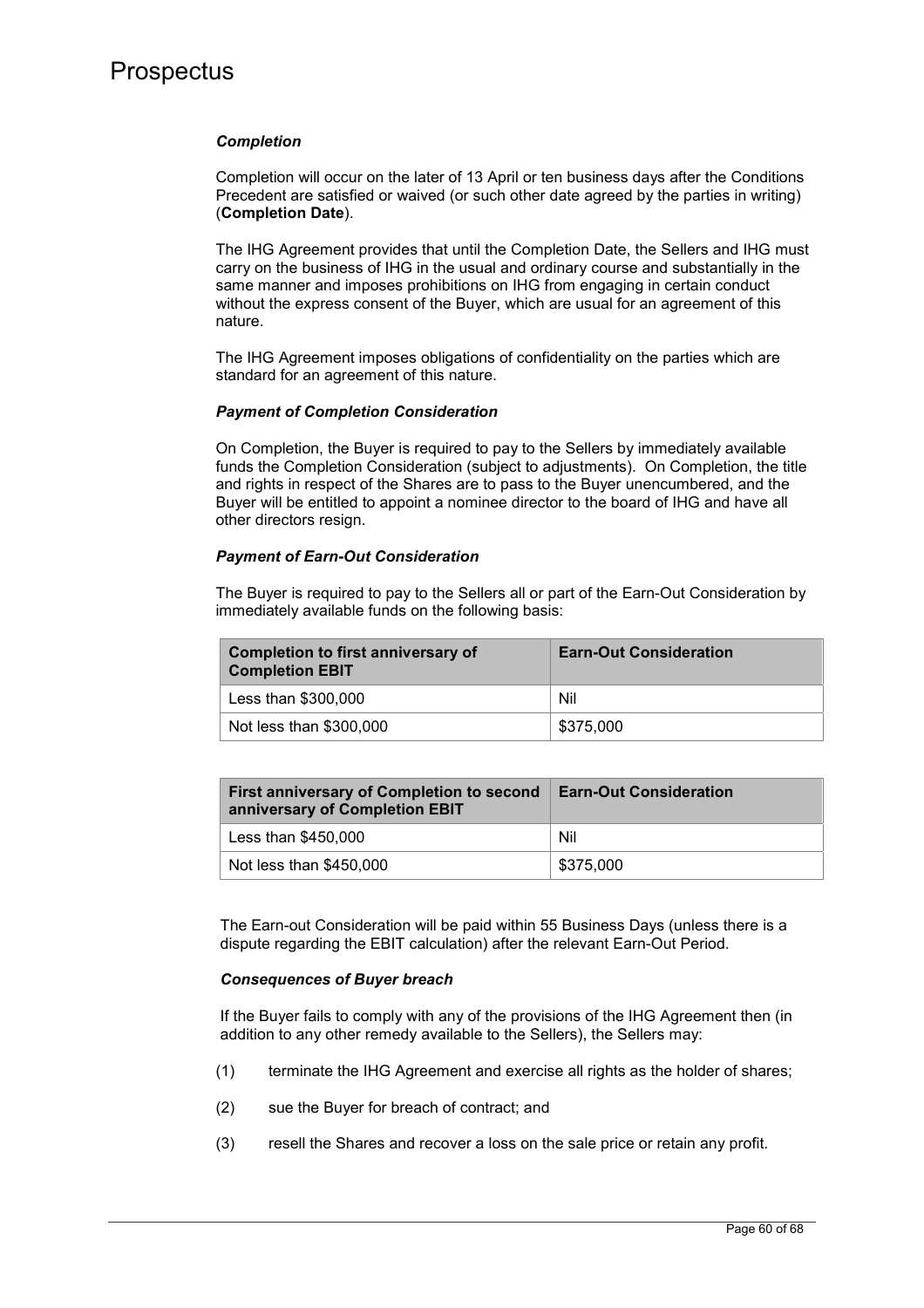### *Completion*

Completion will occur on the later of 13 April or ten business days after the Conditions Precedent are satisfied or waived (or such other date agreed by the parties in writing) (**Completion Date**).

The IHG Agreement provides that until the Completion Date, the Sellers and IHG must carry on the business of IHG in the usual and ordinary course and substantially in the same manner and imposes prohibitions on IHG from engaging in certain conduct without the express consent of the Buyer, which are usual for an agreement of this nature.

The IHG Agreement imposes obligations of confidentiality on the parties which are standard for an agreement of this nature.

### *Payment of Completion Consideration*

On Completion, the Buyer is required to pay to the Sellers by immediately available funds the Completion Consideration (subject to adjustments). On Completion, the title and rights in respect of the Shares are to pass to the Buyer unencumbered, and the Buyer will be entitled to appoint a nominee director to the board of IHG and have all other directors resign.

### *Payment of Earn-Out Consideration*

The Buyer is required to pay to the Sellers all or part of the Earn-Out Consideration by immediately available funds on the following basis:

| <b>Completion to first anniversary of</b><br><b>Completion EBIT</b> | <b>Earn-Out Consideration</b> |
|---------------------------------------------------------------------|-------------------------------|
| Less than \$300,000                                                 | Nil                           |
| Not less than \$300,000                                             | \$375,000                     |

| First anniversary of Completion to second<br>anniversary of Completion EBIT | <b>Earn-Out Consideration</b> |
|-----------------------------------------------------------------------------|-------------------------------|
| Less than \$450,000                                                         | Nil                           |
| Not less than \$450,000                                                     | \$375,000                     |

The Earn-out Consideration will be paid within 55 Business Days (unless there is a dispute regarding the EBIT calculation) after the relevant Earn-Out Period.

#### *Consequences of Buyer breach*

If the Buyer fails to comply with any of the provisions of the IHG Agreement then (in addition to any other remedy available to the Sellers), the Sellers may:

- (1) terminate the IHG Agreement and exercise all rights as the holder of shares;
- (2) sue the Buyer for breach of contract; and
- (3) resell the Shares and recover a loss on the sale price or retain any profit.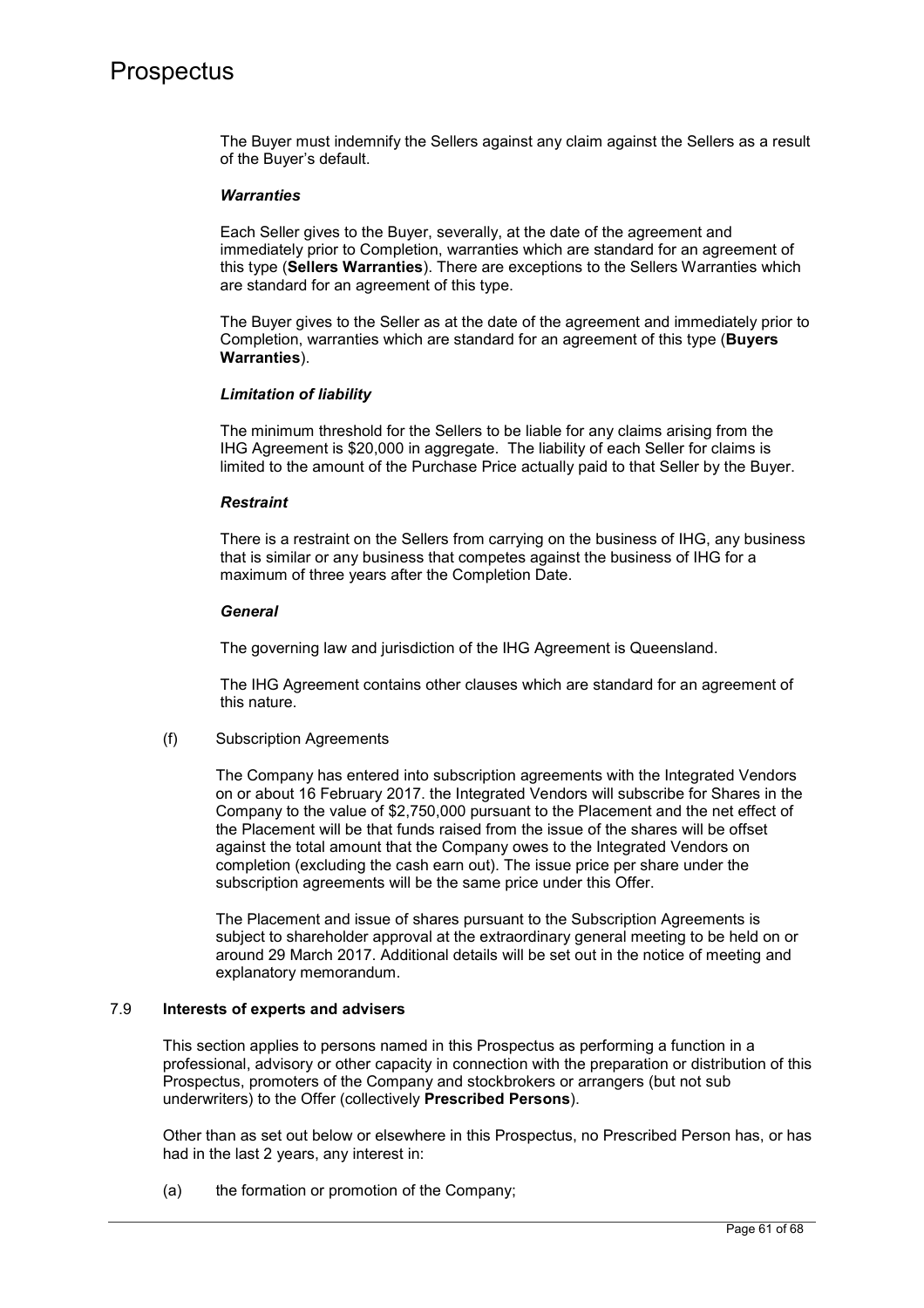The Buyer must indemnify the Sellers against any claim against the Sellers as a result of the Buyer's default.

### *Warranties*

Each Seller gives to the Buyer, severally, at the date of the agreement and immediately prior to Completion, warranties which are standard for an agreement of this type (**Sellers Warranties**). There are exceptions to the Sellers Warranties which are standard for an agreement of this type.

The Buyer gives to the Seller as at the date of the agreement and immediately prior to Completion, warranties which are standard for an agreement of this type (**Buyers Warranties**).

### *Limitation of liability*

The minimum threshold for the Sellers to be liable for any claims arising from the IHG Agreement is \$20,000 in aggregate. The liability of each Seller for claims is limited to the amount of the Purchase Price actually paid to that Seller by the Buyer.

### *Restraint*

There is a restraint on the Sellers from carrying on the business of IHG, any business that is similar or any business that competes against the business of IHG for a maximum of three years after the Completion Date.

### *General*

The governing law and jurisdiction of the IHG Agreement is Queensland.

The IHG Agreement contains other clauses which are standard for an agreement of this nature.

#### (f) Subscription Agreements

The Company has entered into subscription agreements with the Integrated Vendors on or about 16 February 2017. the Integrated Vendors will subscribe for Shares in the Company to the value of \$2,750,000 pursuant to the Placement and the net effect of the Placement will be that funds raised from the issue of the shares will be offset against the total amount that the Company owes to the Integrated Vendors on completion (excluding the cash earn out). The issue price per share under the subscription agreements will be the same price under this Offer.

The Placement and issue of shares pursuant to the Subscription Agreements is subject to shareholder approval at the extraordinary general meeting to be held on or around 29 March 2017. Additional details will be set out in the notice of meeting and explanatory memorandum.

#### 7.9 **Interests of experts and advisers**

This section applies to persons named in this Prospectus as performing a function in a professional, advisory or other capacity in connection with the preparation or distribution of this Prospectus, promoters of the Company and stockbrokers or arrangers (but not sub underwriters) to the Offer (collectively **Prescribed Persons**).

Other than as set out below or elsewhere in this Prospectus, no Prescribed Person has, or has had in the last 2 years, any interest in:

(a) the formation or promotion of the Company;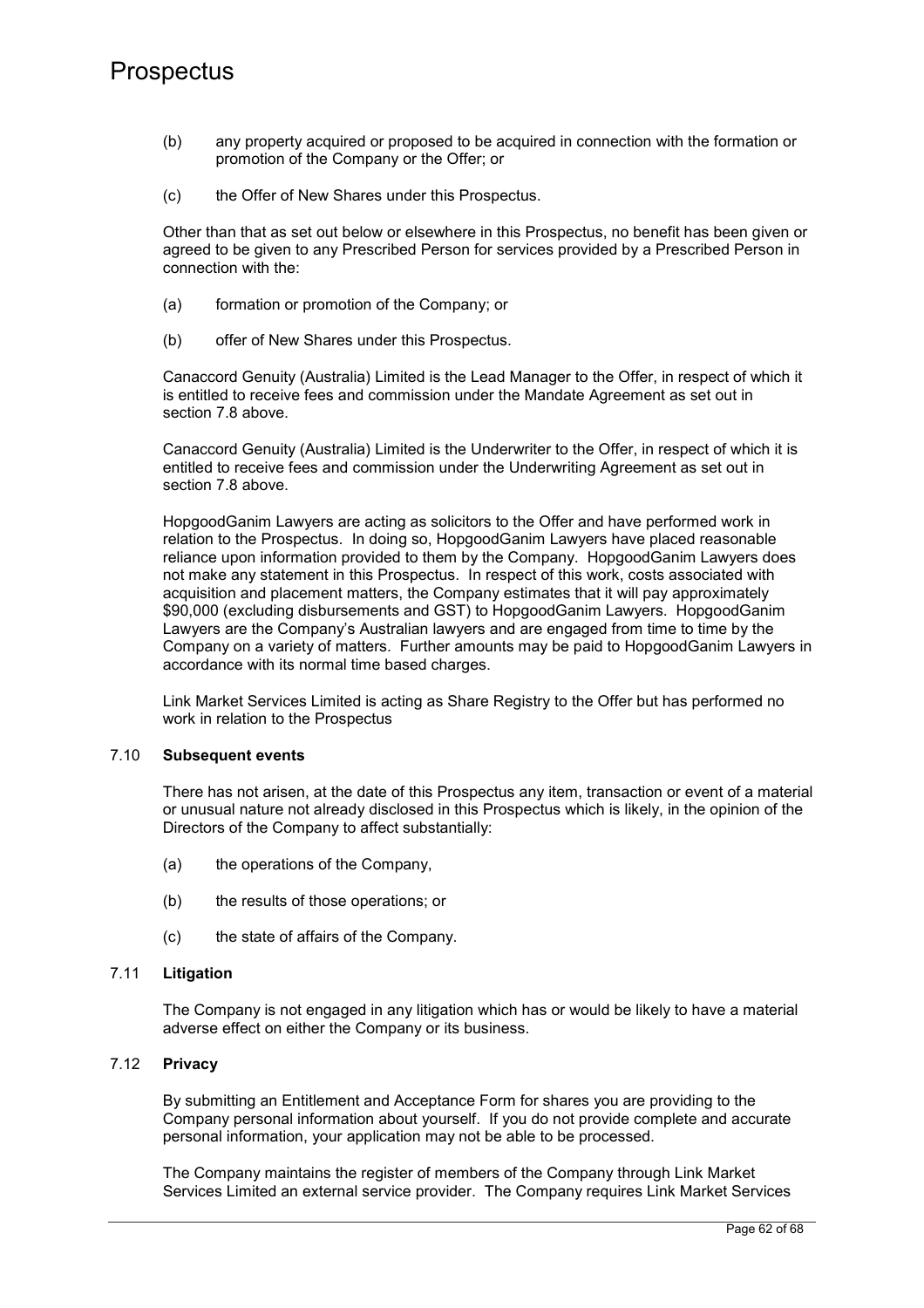- (b) any property acquired or proposed to be acquired in connection with the formation or promotion of the Company or the Offer; or
- (c) the Offer of New Shares under this Prospectus.

Other than that as set out below or elsewhere in this Prospectus, no benefit has been given or agreed to be given to any Prescribed Person for services provided by a Prescribed Person in connection with the:

- (a) formation or promotion of the Company; or
- (b) offer of New Shares under this Prospectus.

Canaccord Genuity (Australia) Limited is the Lead Manager to the Offer, in respect of which it is entitled to receive fees and commission under the Mandate Agreement as set out in section 7.8 above.

Canaccord Genuity (Australia) Limited is the Underwriter to the Offer, in respect of which it is entitled to receive fees and commission under the Underwriting Agreement as set out in section 7.8 above.

HopgoodGanim Lawyers are acting as solicitors to the Offer and have performed work in relation to the Prospectus. In doing so, HopgoodGanim Lawyers have placed reasonable reliance upon information provided to them by the Company. HopgoodGanim Lawyers does not make any statement in this Prospectus. In respect of this work, costs associated with acquisition and placement matters, the Company estimates that it will pay approximately \$90,000 (excluding disbursements and GST) to HopgoodGanim Lawyers. HopgoodGanim Lawyers are the Company's Australian lawyers and are engaged from time to time by the Company on a variety of matters. Further amounts may be paid to HopgoodGanim Lawyers in accordance with its normal time based charges.

Link Market Services Limited is acting as Share Registry to the Offer but has performed no work in relation to the Prospectus

## 7.10 **Subsequent events**

There has not arisen, at the date of this Prospectus any item, transaction or event of a material or unusual nature not already disclosed in this Prospectus which is likely, in the opinion of the Directors of the Company to affect substantially:

- (a) the operations of the Company,
- (b) the results of those operations; or
- (c) the state of affairs of the Company.

## 7.11 **Litigation**

The Company is not engaged in any litigation which has or would be likely to have a material adverse effect on either the Company or its business.

## 7.12 **Privacy**

By submitting an Entitlement and Acceptance Form for shares you are providing to the Company personal information about yourself. If you do not provide complete and accurate personal information, your application may not be able to be processed.

The Company maintains the register of members of the Company through Link Market Services Limited an external service provider. The Company requires Link Market Services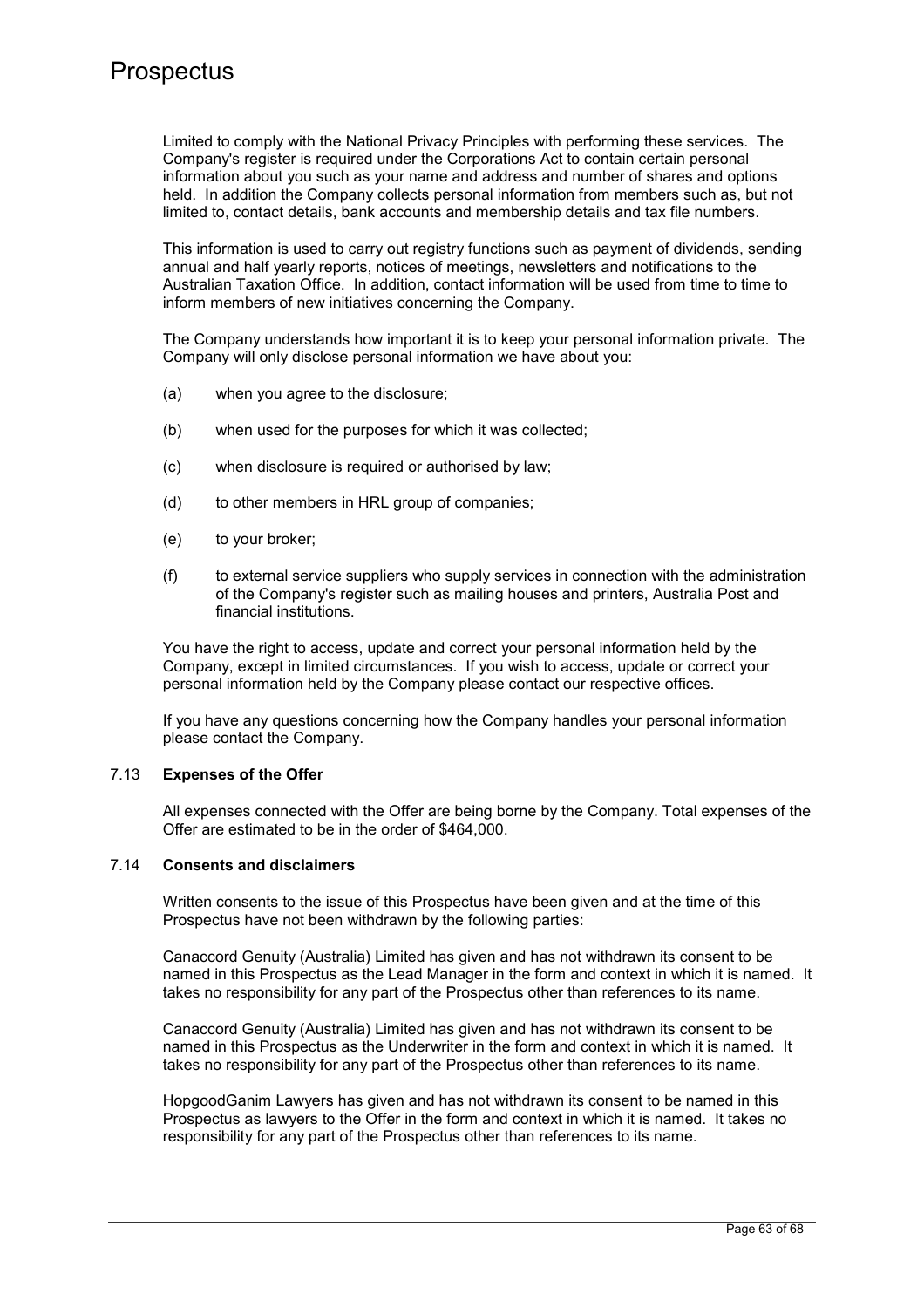Limited to comply with the National Privacy Principles with performing these services. The Company's register is required under the Corporations Act to contain certain personal information about you such as your name and address and number of shares and options held. In addition the Company collects personal information from members such as, but not limited to, contact details, bank accounts and membership details and tax file numbers.

This information is used to carry out registry functions such as payment of dividends, sending annual and half yearly reports, notices of meetings, newsletters and notifications to the Australian Taxation Office. In addition, contact information will be used from time to time to inform members of new initiatives concerning the Company.

The Company understands how important it is to keep your personal information private. The Company will only disclose personal information we have about you:

- (a) when you agree to the disclosure;
- (b) when used for the purposes for which it was collected;
- (c) when disclosure is required or authorised by law;
- (d) to other members in HRL group of companies;
- (e) to your broker;
- (f) to external service suppliers who supply services in connection with the administration of the Company's register such as mailing houses and printers, Australia Post and financial institutions.

You have the right to access, update and correct your personal information held by the Company, except in limited circumstances. If you wish to access, update or correct your personal information held by the Company please contact our respective offices.

If you have any questions concerning how the Company handles your personal information please contact the Company.

#### 7.13 **Expenses of the Offer**

All expenses connected with the Offer are being borne by the Company. Total expenses of the Offer are estimated to be in the order of \$464,000.

## 7.14 **Consents and disclaimers**

Written consents to the issue of this Prospectus have been given and at the time of this Prospectus have not been withdrawn by the following parties:

Canaccord Genuity (Australia) Limited has given and has not withdrawn its consent to be named in this Prospectus as the Lead Manager in the form and context in which it is named. It takes no responsibility for any part of the Prospectus other than references to its name.

Canaccord Genuity (Australia) Limited has given and has not withdrawn its consent to be named in this Prospectus as the Underwriter in the form and context in which it is named. It takes no responsibility for any part of the Prospectus other than references to its name.

HopgoodGanim Lawyers has given and has not withdrawn its consent to be named in this Prospectus as lawyers to the Offer in the form and context in which it is named. It takes no responsibility for any part of the Prospectus other than references to its name.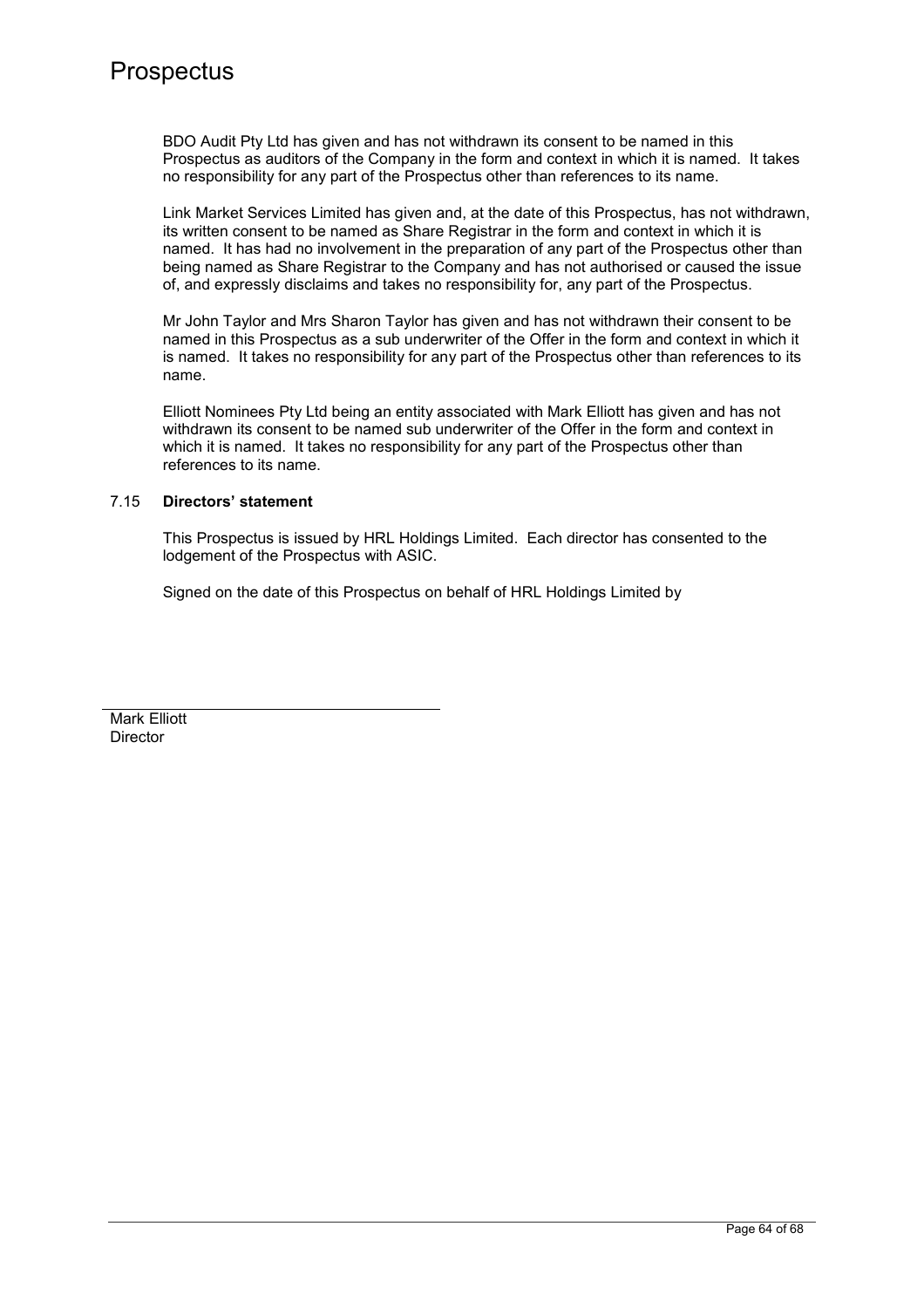BDO Audit Pty Ltd has given and has not withdrawn its consent to be named in this Prospectus as auditors of the Company in the form and context in which it is named. It takes no responsibility for any part of the Prospectus other than references to its name.

Link Market Services Limited has given and, at the date of this Prospectus, has not withdrawn, its written consent to be named as Share Registrar in the form and context in which it is named. It has had no involvement in the preparation of any part of the Prospectus other than being named as Share Registrar to the Company and has not authorised or caused the issue of, and expressly disclaims and takes no responsibility for, any part of the Prospectus.

Mr John Taylor and Mrs Sharon Taylor has given and has not withdrawn their consent to be named in this Prospectus as a sub underwriter of the Offer in the form and context in which it is named. It takes no responsibility for any part of the Prospectus other than references to its name.

Elliott Nominees Pty Ltd being an entity associated with Mark Elliott has given and has not withdrawn its consent to be named sub underwriter of the Offer in the form and context in which it is named. It takes no responsibility for any part of the Prospectus other than references to its name.

## 7.15 **Directors' statement**

This Prospectus is issued by HRL Holdings Limited. Each director has consented to the lodgement of the Prospectus with ASIC.

Signed on the date of this Prospectus on behalf of HRL Holdings Limited by

Mark Elliott Director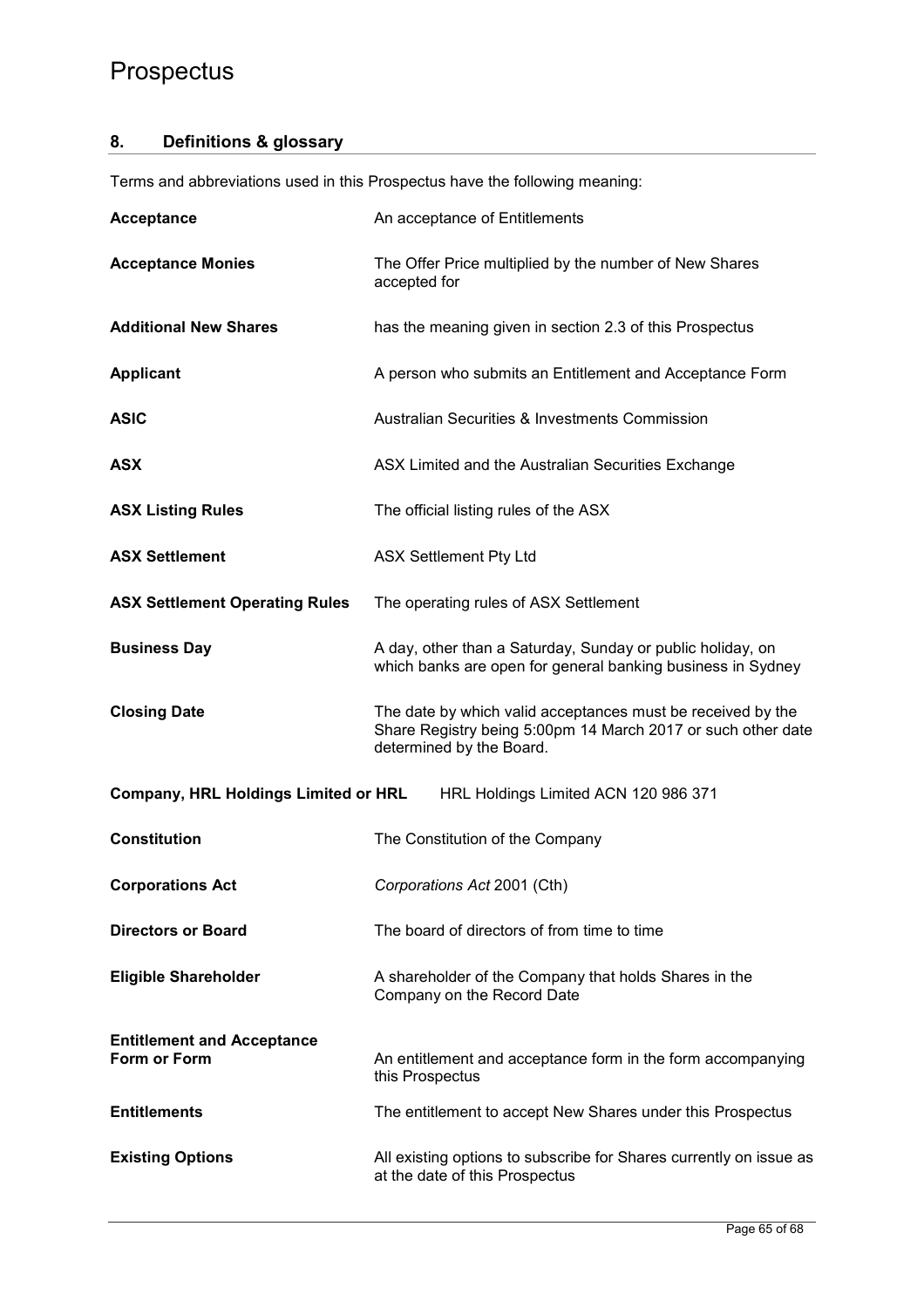## **8. Definitions & glossary**

Terms and abbreviations used in this Prospectus have the following meaning:

| <b>Acceptance</b>                                 | An acceptance of Entitlements                                                                                                                           |
|---------------------------------------------------|---------------------------------------------------------------------------------------------------------------------------------------------------------|
| <b>Acceptance Monies</b>                          | The Offer Price multiplied by the number of New Shares<br>accepted for                                                                                  |
| <b>Additional New Shares</b>                      | has the meaning given in section 2.3 of this Prospectus                                                                                                 |
| <b>Applicant</b>                                  | A person who submits an Entitlement and Acceptance Form                                                                                                 |
| <b>ASIC</b>                                       | <b>Australian Securities &amp; Investments Commission</b>                                                                                               |
| <b>ASX</b>                                        | ASX Limited and the Australian Securities Exchange                                                                                                      |
| <b>ASX Listing Rules</b>                          | The official listing rules of the ASX                                                                                                                   |
| <b>ASX Settlement</b>                             | <b>ASX Settlement Pty Ltd</b>                                                                                                                           |
| <b>ASX Settlement Operating Rules</b>             | The operating rules of ASX Settlement                                                                                                                   |
| <b>Business Day</b>                               | A day, other than a Saturday, Sunday or public holiday, on<br>which banks are open for general banking business in Sydney                               |
| <b>Closing Date</b>                               | The date by which valid acceptances must be received by the<br>Share Registry being 5:00pm 14 March 2017 or such other date<br>determined by the Board. |
| <b>Company, HRL Holdings Limited or HRL</b>       | HRL Holdings Limited ACN 120 986 371                                                                                                                    |
| <b>Constitution</b>                               | The Constitution of the Company                                                                                                                         |
| <b>Corporations Act</b>                           | Corporations Act 2001 (Cth)                                                                                                                             |
| <b>Directors or Board</b>                         | The board of directors of from time to time                                                                                                             |
| <b>Eligible Shareholder</b>                       | A shareholder of the Company that holds Shares in the<br>Company on the Record Date                                                                     |
| <b>Entitlement and Acceptance</b><br>Form or Form | An entitlement and acceptance form in the form accompanying<br>this Prospectus                                                                          |
| <b>Entitlements</b>                               | The entitlement to accept New Shares under this Prospectus                                                                                              |
| <b>Existing Options</b>                           | All existing options to subscribe for Shares currently on issue as<br>at the date of this Prospectus                                                    |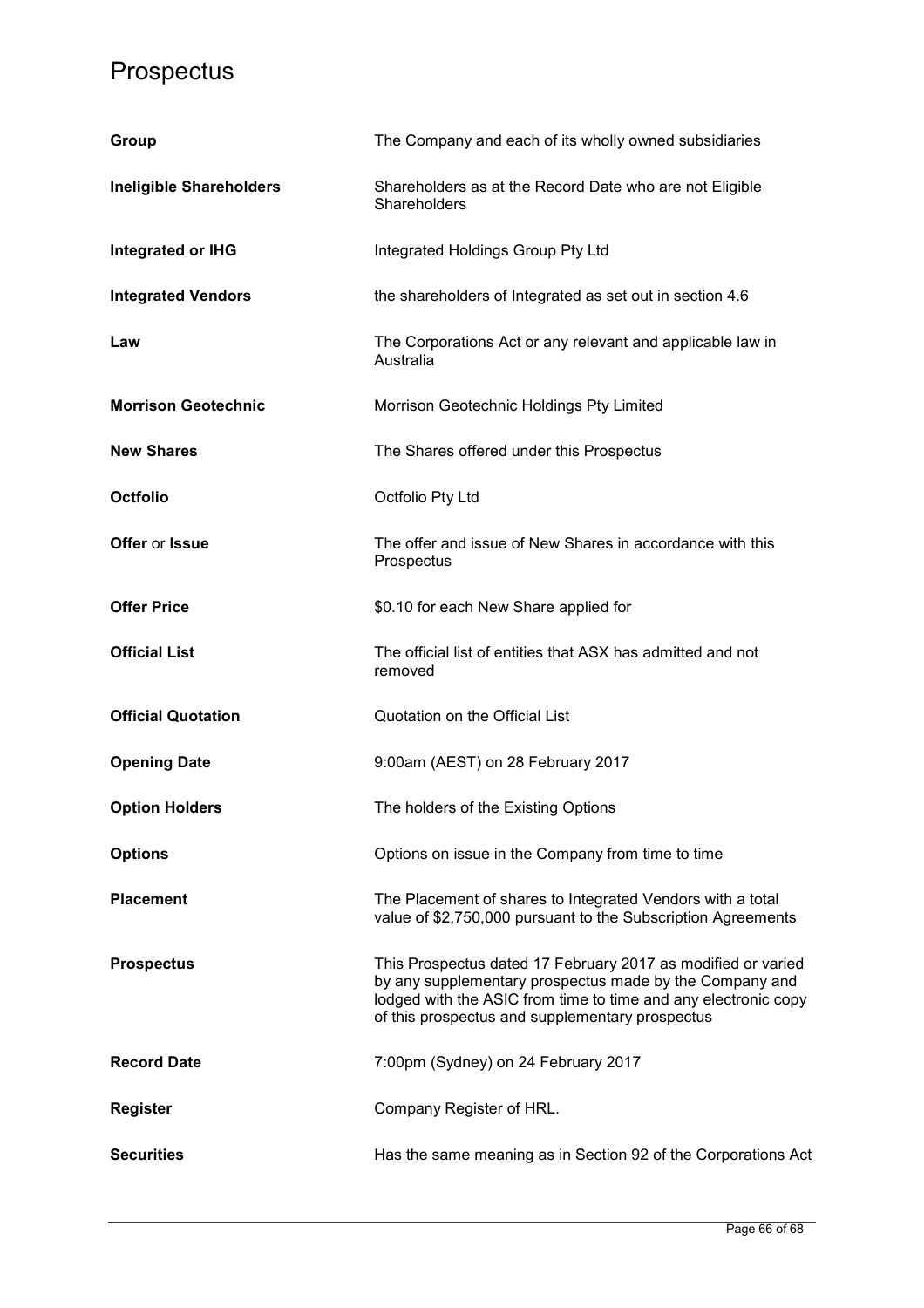| Group                          | The Company and each of its wholly owned subsidiaries                                                                                                                                                                                        |
|--------------------------------|----------------------------------------------------------------------------------------------------------------------------------------------------------------------------------------------------------------------------------------------|
| <b>Ineligible Shareholders</b> | Shareholders as at the Record Date who are not Eligible<br>Shareholders                                                                                                                                                                      |
| Integrated or IHG              | Integrated Holdings Group Pty Ltd                                                                                                                                                                                                            |
| <b>Integrated Vendors</b>      | the shareholders of Integrated as set out in section 4.6                                                                                                                                                                                     |
| Law                            | The Corporations Act or any relevant and applicable law in<br>Australia                                                                                                                                                                      |
| <b>Morrison Geotechnic</b>     | Morrison Geotechnic Holdings Pty Limited                                                                                                                                                                                                     |
| <b>New Shares</b>              | The Shares offered under this Prospectus                                                                                                                                                                                                     |
| <b>Octfolio</b>                | Octfolio Pty Ltd                                                                                                                                                                                                                             |
| Offer or Issue                 | The offer and issue of New Shares in accordance with this<br>Prospectus                                                                                                                                                                      |
| <b>Offer Price</b>             | \$0.10 for each New Share applied for                                                                                                                                                                                                        |
| <b>Official List</b>           | The official list of entities that ASX has admitted and not<br>removed                                                                                                                                                                       |
| <b>Official Quotation</b>      | Quotation on the Official List                                                                                                                                                                                                               |
| <b>Opening Date</b>            | 9:00am (AEST) on 28 February 2017                                                                                                                                                                                                            |
| <b>Option Holders</b>          | The holders of the Existing Options                                                                                                                                                                                                          |
| <b>Options</b>                 | Options on issue in the Company from time to time                                                                                                                                                                                            |
| <b>Placement</b>               | The Placement of shares to Integrated Vendors with a total<br>value of \$2,750,000 pursuant to the Subscription Agreements                                                                                                                   |
| <b>Prospectus</b>              | This Prospectus dated 17 February 2017 as modified or varied<br>by any supplementary prospectus made by the Company and<br>lodged with the ASIC from time to time and any electronic copy<br>of this prospectus and supplementary prospectus |
| <b>Record Date</b>             | 7:00pm (Sydney) on 24 February 2017                                                                                                                                                                                                          |
| <b>Register</b>                | Company Register of HRL.                                                                                                                                                                                                                     |
| <b>Securities</b>              | Has the same meaning as in Section 92 of the Corporations Act                                                                                                                                                                                |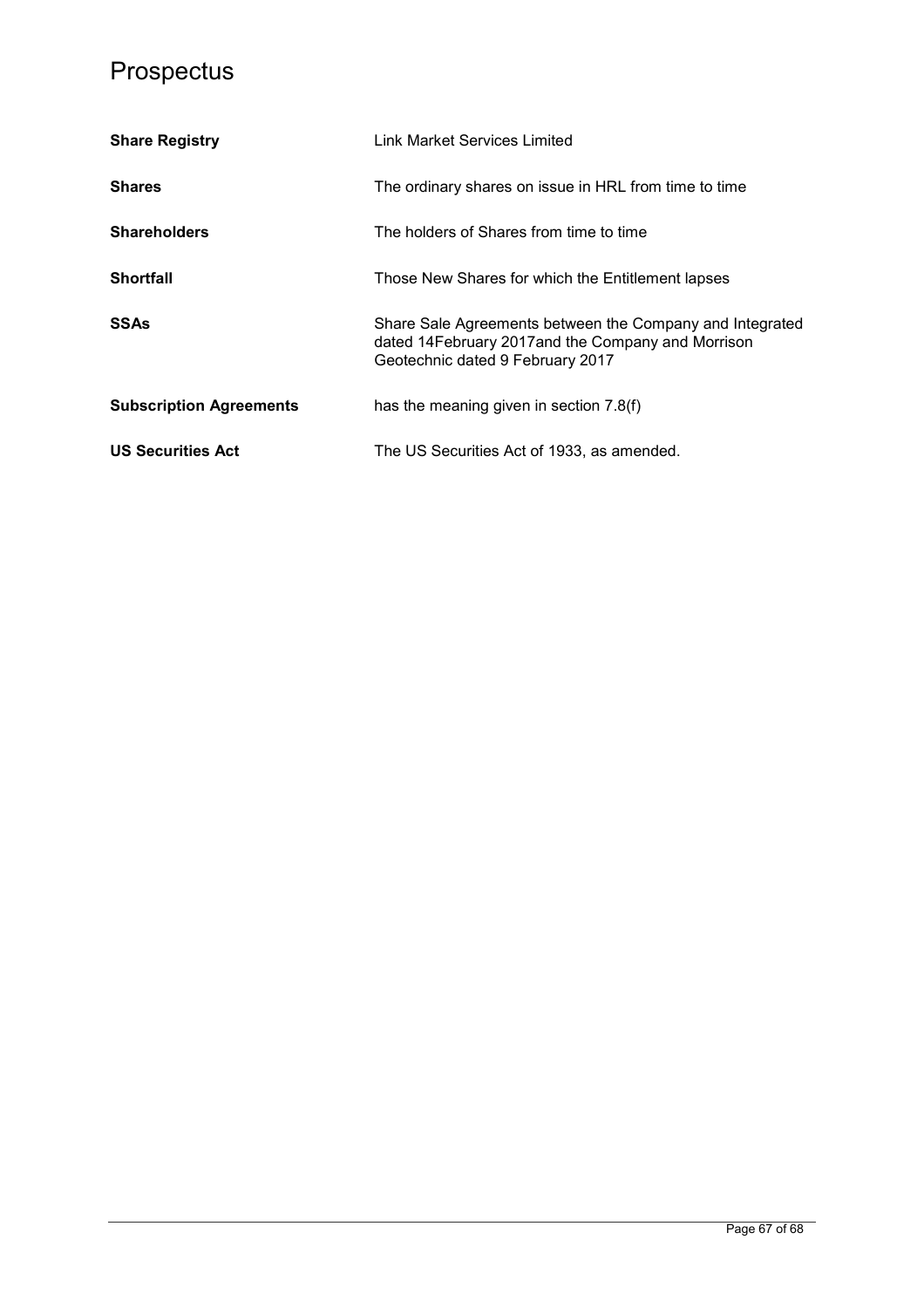| <b>Share Registry</b>          | Link Market Services Limited                                                                                                                       |  |
|--------------------------------|----------------------------------------------------------------------------------------------------------------------------------------------------|--|
| <b>Shares</b>                  | The ordinary shares on issue in HRL from time to time                                                                                              |  |
| <b>Shareholders</b>            | The holders of Shares from time to time                                                                                                            |  |
| <b>Shortfall</b>               | Those New Shares for which the Entitlement lapses                                                                                                  |  |
| SSAs                           | Share Sale Agreements between the Company and Integrated<br>dated 14February 2017 and the Company and Morrison<br>Geotechnic dated 9 February 2017 |  |
| <b>Subscription Agreements</b> | has the meaning given in section 7.8(f)                                                                                                            |  |
| <b>US Securities Act</b>       | The US Securities Act of 1933, as amended.                                                                                                         |  |